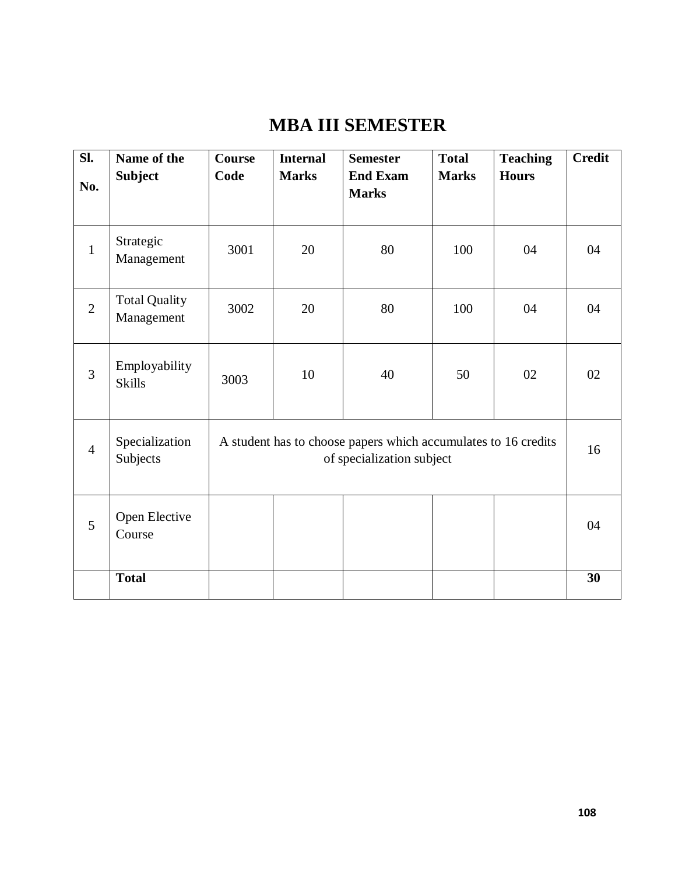# **MBA III SEMESTER**

| $\overline{\text{SL}}$<br>No. | Name of the<br><b>Subject</b>      | <b>Course</b><br>Code                                                                       | <b>Internal</b><br><b>Marks</b> | <b>Semester</b><br><b>End Exam</b><br><b>Marks</b> | <b>Total</b><br><b>Marks</b> | <b>Teaching</b><br><b>Hours</b> | <b>Credit</b> |
|-------------------------------|------------------------------------|---------------------------------------------------------------------------------------------|---------------------------------|----------------------------------------------------|------------------------------|---------------------------------|---------------|
|                               |                                    |                                                                                             |                                 |                                                    |                              |                                 |               |
| $\mathbf{1}$                  | Strategic<br>Management            | 3001                                                                                        | 20                              | 80                                                 | 100                          | 04                              | 04            |
| $\overline{2}$                | <b>Total Quality</b><br>Management | 3002                                                                                        | 20                              | 80                                                 | 100                          | 04                              | 04            |
| 3                             | Employability<br><b>Skills</b>     | 3003                                                                                        | 10                              | 40                                                 | 50                           | 02                              | 02            |
| $\overline{4}$                | Specialization<br>Subjects         | A student has to choose papers which accumulates to 16 credits<br>of specialization subject |                                 |                                                    | 16                           |                                 |               |
| 5                             | Open Elective<br>Course            |                                                                                             |                                 |                                                    |                              |                                 | 04            |
|                               | <b>Total</b>                       |                                                                                             |                                 |                                                    |                              |                                 | 30            |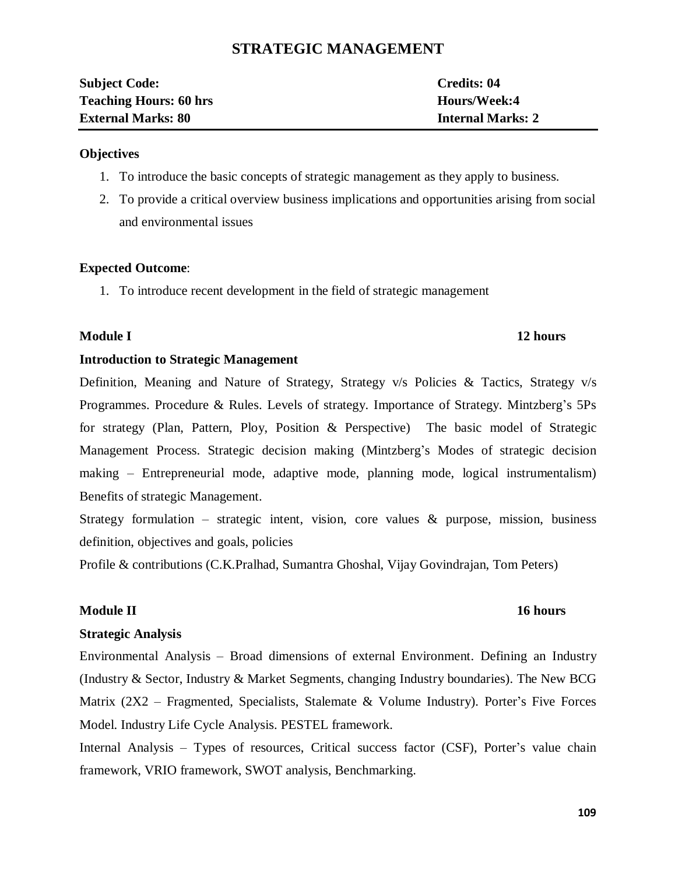# **STRATEGIC MANAGEMENT**

| <b>Subject Code:</b>          | Credits: 04              |
|-------------------------------|--------------------------|
| <b>Teaching Hours: 60 hrs</b> | Hours/Week:4             |
| <b>External Marks: 80</b>     | <b>Internal Marks: 2</b> |

#### **Objectives**

- 1. To introduce the basic concepts of strategic management as they apply to business.
- 2. To provide a critical overview business implications and opportunities arising from social and environmental issues

#### **Expected Outcome**:

1. To introduce recent development in the field of strategic management

#### **Module I 12 hours**

#### **Introduction to Strategic Management**

Definition, Meaning and Nature of Strategy, Strategy v/s Policies & Tactics, Strategy v/s Programmes. Procedure & Rules. Levels of strategy. Importance of Strategy. Mintzberg's 5Ps for strategy (Plan, Pattern, Ploy, Position & Perspective) The basic model of Strategic Management Process. Strategic decision making (Mintzberg's Modes of strategic decision making – Entrepreneurial mode, adaptive mode, planning mode, logical instrumentalism) Benefits of strategic Management.

Strategy formulation – strategic intent, vision, core values  $\&$  purpose, mission, business definition, objectives and goals, policies

Profile & contributions (C.K.Pralhad, Sumantra Ghoshal, Vijay Govindrajan, Tom Peters)

#### **Module II 16 hours**

#### **Strategic Analysis**

Environmental Analysis – Broad dimensions of external Environment. Defining an Industry (Industry & Sector, Industry & Market Segments, changing Industry boundaries). The New BCG Matrix ( $2X2$  – Fragmented, Specialists, Stalemate & Volume Industry). Porter's Five Forces Model. Industry Life Cycle Analysis. PESTEL framework.

Internal Analysis – Types of resources, Critical success factor (CSF), Porter's value chain framework, VRIO framework, SWOT analysis, Benchmarking.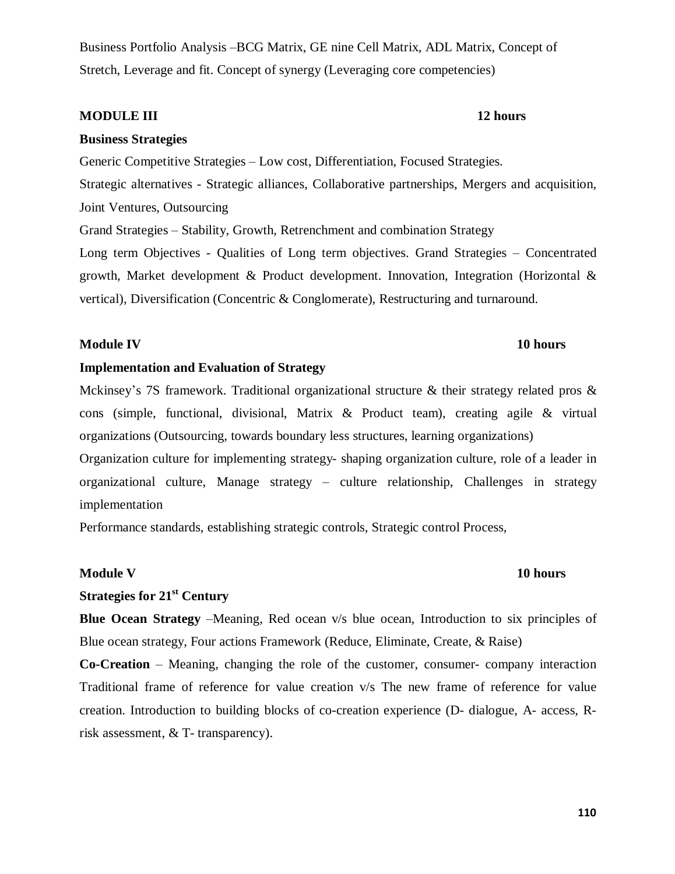Business Portfolio Analysis –BCG Matrix, GE nine Cell Matrix, ADL Matrix, Concept of Stretch, Leverage and fit. Concept of synergy (Leveraging core competencies)

#### **MODULE III 12 hours**

#### **Business Strategies**

Generic Competitive Strategies – Low cost, Differentiation, Focused Strategies.

Strategic alternatives - Strategic alliances, Collaborative partnerships, Mergers and acquisition, Joint Ventures, Outsourcing

Grand Strategies – Stability, Growth, Retrenchment and combination Strategy

Long term Objectives - Qualities of Long term objectives. Grand Strategies – Concentrated growth, Market development & Product development. Innovation, Integration (Horizontal & vertical), Diversification (Concentric & Conglomerate), Restructuring and turnaround.

#### **Module IV 10 hours**

#### **Implementation and Evaluation of Strategy**

Mckinsey's 7S framework. Traditional organizational structure & their strategy related pros & cons (simple, functional, divisional, Matrix & Product team), creating agile & virtual organizations (Outsourcing, towards boundary less structures, learning organizations)

Organization culture for implementing strategy- shaping organization culture, role of a leader in organizational culture, Manage strategy – culture relationship, Challenges in strategy implementation

Performance standards, establishing strategic controls, Strategic control Process,

#### **Module V 10 hours**

# **Strategies for 21st Century**

**Blue Ocean Strategy** –Meaning, Red ocean v/s blue ocean, Introduction to six principles of Blue ocean strategy, Four actions Framework (Reduce, Eliminate, Create, & Raise)

**Co-Creation** – Meaning, changing the role of the customer, consumer- company interaction Traditional frame of reference for value creation v/s The new frame of reference for value creation. Introduction to building blocks of co-creation experience (D- dialogue, A- access, Rrisk assessment, & T- transparency).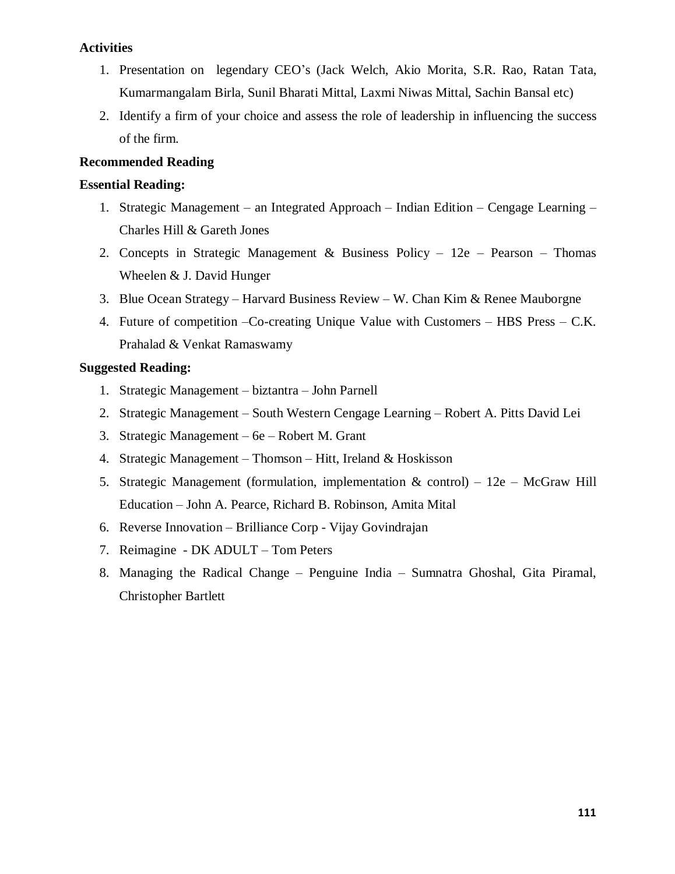#### **Activities**

- 1. Presentation on legendary CEO's (Jack Welch, Akio Morita, S.R. Rao, Ratan Tata, Kumarmangalam Birla, Sunil Bharati Mittal, Laxmi Niwas Mittal, Sachin Bansal etc)
- 2. Identify a firm of your choice and assess the role of leadership in influencing the success of the firm.

#### **Recommended Reading**

#### **Essential Reading:**

- 1. Strategic Management an Integrated Approach Indian Edition Cengage Learning Charles Hill & Gareth Jones
- 2. Concepts in Strategic Management & Business Policy 12e Pearson Thomas Wheelen & J. David Hunger
- 3. Blue Ocean Strategy Harvard Business Review W. Chan Kim & Renee Mauborgne
- 4. Future of competition –Co-creating Unique Value with Customers HBS Press C.K. Prahalad & Venkat Ramaswamy

#### **Suggested Reading:**

- 1. Strategic Management biztantra John Parnell
- 2. Strategic Management South Western Cengage Learning Robert A. Pitts David Lei
- 3. Strategic Management 6e Robert M. Grant
- 4. Strategic Management Thomson Hitt, Ireland & Hoskisson
- 5. Strategic Management (formulation, implementation  $\&$  control) 12e McGraw Hill Education – John A. Pearce, Richard B. Robinson, Amita Mital
- 6. Reverse Innovation Brilliance Corp Vijay Govindrajan
- 7. Reimagine DK ADULT Tom Peters
- 8. Managing the Radical Change Penguine India Sumnatra Ghoshal, Gita Piramal, Christopher Bartlett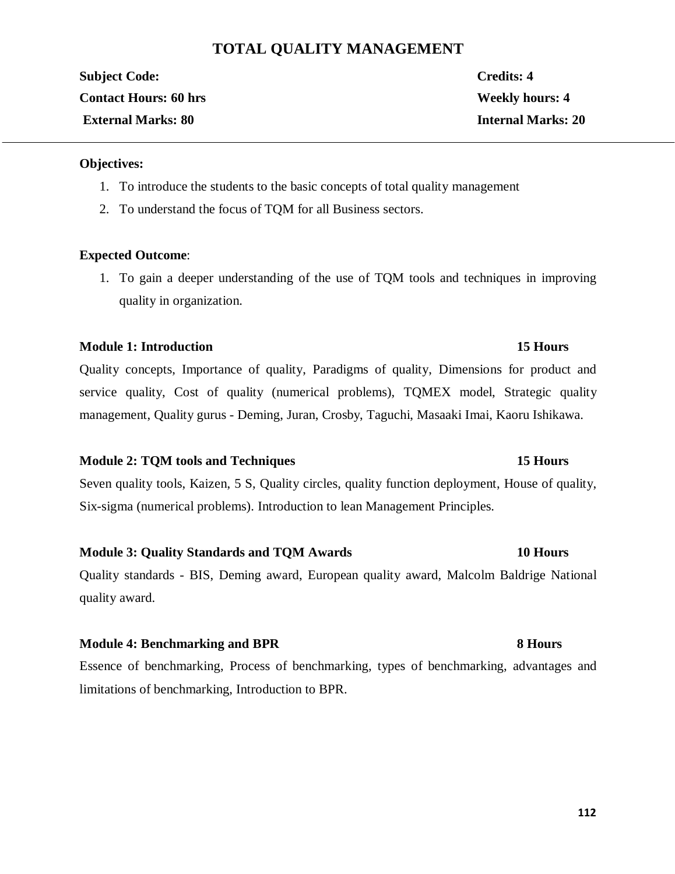# **TOTAL QUALITY MANAGEMENT**

**Subject Code: Credits: 4 Contact Hours: 60 hrs Weekly hours: 4 External Marks: 80 Internal Marks: 20**

#### **Objectives:**

- 1. To introduce the students to the basic concepts of total quality management
- 2. To understand the focus of TQM for all Business sectors.

#### **Expected Outcome**:

1. To gain a deeper understanding of the use of TQM tools and techniques in improving quality in organization.

#### **Module 1: Introduction 15 Hours**

Quality concepts, Importance of quality, Paradigms of quality, Dimensions for product and service quality, Cost of quality (numerical problems), TQMEX model, Strategic quality management, Quality gurus - Deming, Juran, Crosby, Taguchi, Masaaki Imai, Kaoru Ishikawa.

#### **Module 2: TQM tools and Techniques 15 Hours**

Seven quality tools, Kaizen, 5 S, Quality circles, quality function deployment, House of quality, Six-sigma (numerical problems). Introduction to lean Management Principles.

#### **Module 3: Quality Standards and TQM Awards 10 Hours**

Quality standards - BIS, Deming award, European quality award, Malcolm Baldrige National quality award.

#### **Module 4: Benchmarking and BPR 8 Hours**

Essence of benchmarking, Process of benchmarking, types of benchmarking, advantages and limitations of benchmarking, Introduction to BPR.

#### **112**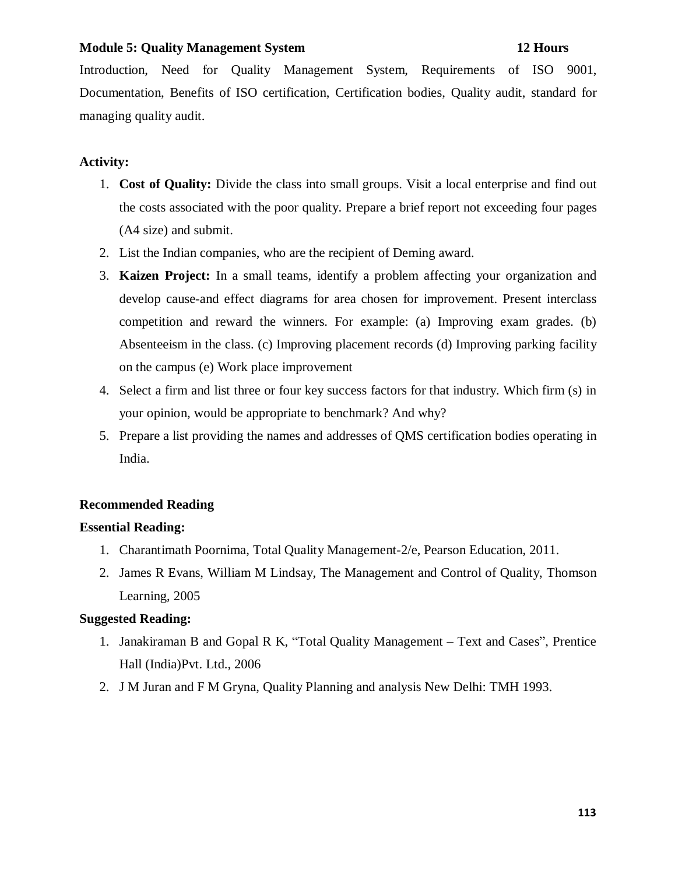#### **Module 5: Quality Management System 12 Hours**

Introduction, Need for Quality Management System, Requirements of ISO 9001, Documentation, Benefits of ISO certification, Certification bodies, Quality audit, standard for managing quality audit.

### **Activity:**

- 1. **Cost of Quality:** Divide the class into small groups. Visit a local enterprise and find out the costs associated with the poor quality. Prepare a brief report not exceeding four pages (A4 size) and submit.
- 2. List the Indian companies, who are the recipient of Deming award.
- 3. **Kaizen Project:** In a small teams, identify a problem affecting your organization and develop cause-and effect diagrams for area chosen for improvement. Present interclass competition and reward the winners. For example: (a) Improving exam grades. (b) Absenteeism in the class. (c) Improving placement records (d) Improving parking facility on the campus (e) Work place improvement
- 4. Select a firm and list three or four key success factors for that industry. Which firm (s) in your opinion, would be appropriate to benchmark? And why?
- 5. Prepare a list providing the names and addresses of QMS certification bodies operating in India.

### **Recommended Reading**

#### **Essential Reading:**

- 1. Charantimath Poornima, Total Quality Management-2/e, Pearson Education, 2011.
- 2. James R Evans, William M Lindsay, The Management and Control of Quality, Thomson Learning, 2005

### **Suggested Reading:**

- 1. Janakiraman B and Gopal R K, "Total Quality Management Text and Cases", Prentice Hall (India)Pvt. Ltd., 2006
- 2. J M Juran and F M Gryna, Quality Planning and analysis New Delhi: TMH 1993.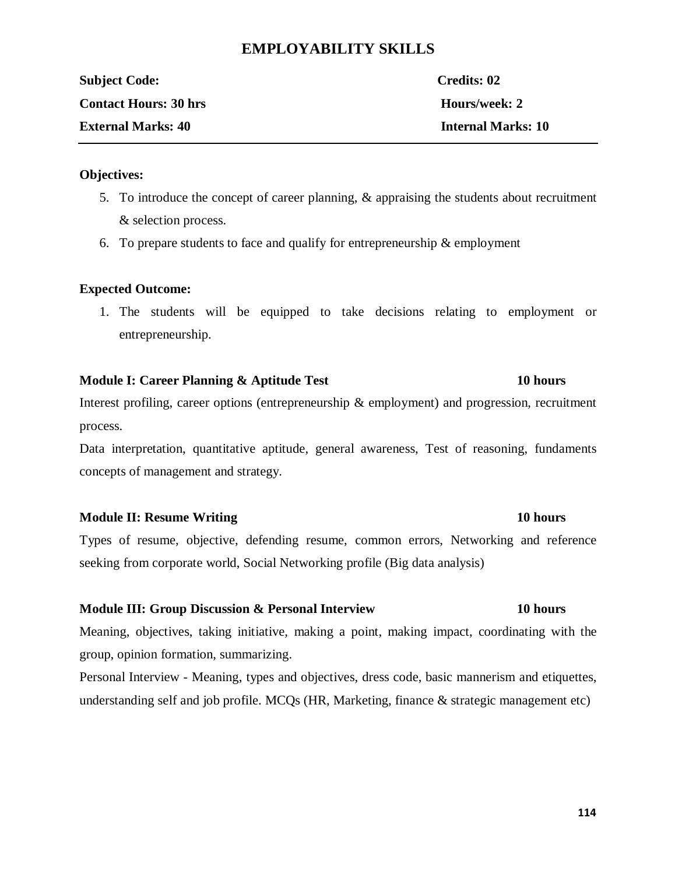# **EMPLOYABILITY SKILLS**

| <b>Subject Code:</b>         | Credits: 02               |
|------------------------------|---------------------------|
| <b>Contact Hours: 30 hrs</b> | Hours/week: 2             |
| <b>External Marks: 40</b>    | <b>Internal Marks: 10</b> |

#### **Objectives:**

- 5. To introduce the concept of career planning, & appraising the students about recruitment & selection process.
- 6. To prepare students to face and qualify for entrepreneurship  $\&$  employment

### **Expected Outcome:**

1. The students will be equipped to take decisions relating to employment or entrepreneurship.

### **Module I: Career Planning & Aptitude Test 10 hours**

# Interest profiling, career options (entrepreneurship & employment) and progression, recruitment process.

Data interpretation, quantitative aptitude, general awareness, Test of reasoning, fundaments concepts of management and strategy.

### **Module II: Resume Writing 10 hours**

Types of resume, objective, defending resume, common errors, Networking and reference seeking from corporate world, Social Networking profile (Big data analysis)

### **Module III: Group Discussion & Personal Interview 10 hours**

Meaning, objectives, taking initiative, making a point, making impact, coordinating with the group, opinion formation, summarizing.

Personal Interview - Meaning, types and objectives, dress code, basic mannerism and etiquettes, understanding self and job profile. MCQs (HR, Marketing, finance & strategic management etc)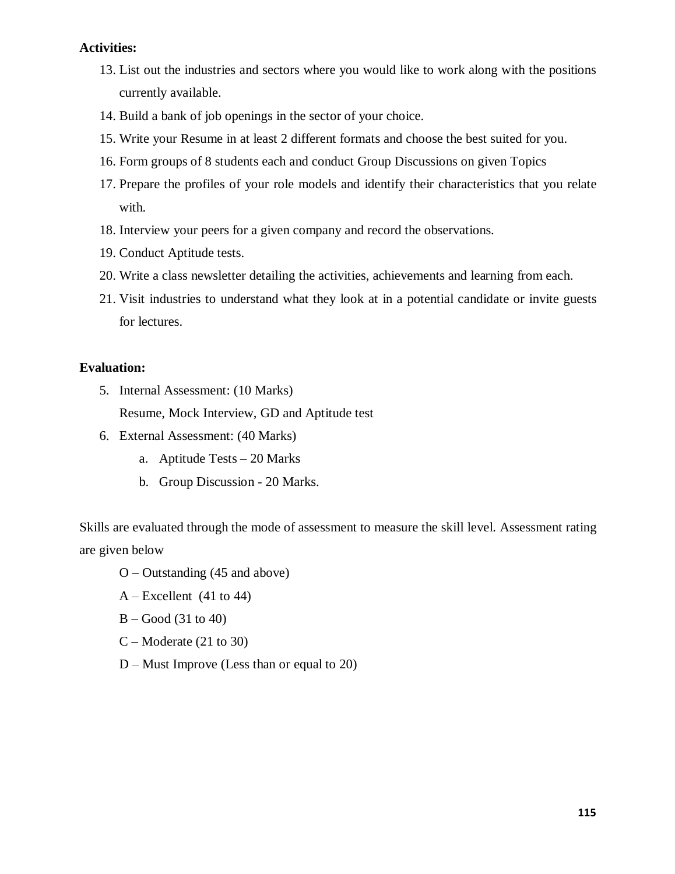#### **Activities:**

- 13. List out the industries and sectors where you would like to work along with the positions currently available.
- 14. Build a bank of job openings in the sector of your choice.
- 15. Write your Resume in at least 2 different formats and choose the best suited for you.
- 16. Form groups of 8 students each and conduct Group Discussions on given Topics
- 17. Prepare the profiles of your role models and identify their characteristics that you relate with.
- 18. Interview your peers for a given company and record the observations.
- 19. Conduct Aptitude tests.
- 20. Write a class newsletter detailing the activities, achievements and learning from each.
- 21. Visit industries to understand what they look at in a potential candidate or invite guests for lectures.

#### **Evaluation:**

- 5. Internal Assessment: (10 Marks) Resume, Mock Interview, GD and Aptitude test
- 6. External Assessment: (40 Marks)
	- a. Aptitude Tests 20 Marks
	- b. Group Discussion 20 Marks.

Skills are evaluated through the mode of assessment to measure the skill level. Assessment rating are given below

- O Outstanding (45 and above)
- A Excellent (41 to 44)
- $B Good(31 to 40)$
- $C -$ Moderate (21 to 30)
- D Must Improve (Less than or equal to 20)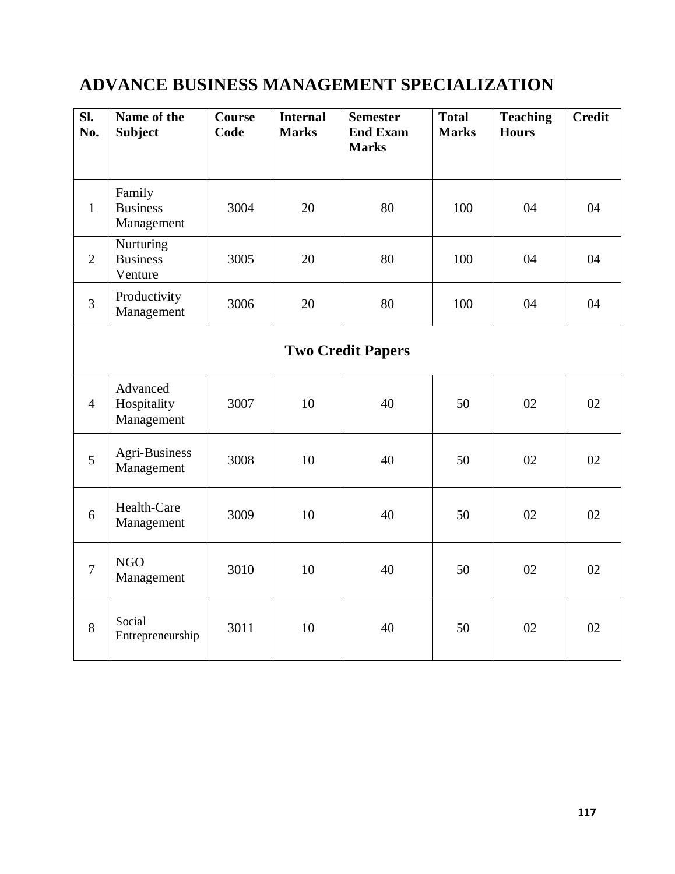# **ADVANCE BUSINESS MANAGEMENT SPECIALIZATION**

| SI.<br>No.     | Name of the<br><b>Subject</b>           | <b>Course</b><br>Code | <b>Internal</b><br><b>Marks</b> | <b>Semester</b><br><b>End Exam</b><br><b>Marks</b> | <b>Total</b><br><b>Marks</b> | <b>Teaching</b><br><b>Hours</b> | <b>Credit</b> |
|----------------|-----------------------------------------|-----------------------|---------------------------------|----------------------------------------------------|------------------------------|---------------------------------|---------------|
|                |                                         |                       |                                 |                                                    |                              |                                 |               |
| $\mathbf{1}$   | Family<br><b>Business</b><br>Management | 3004                  | 20                              | 80                                                 | 100                          | 04                              | 04            |
| $\overline{2}$ | Nurturing<br><b>Business</b><br>Venture | 3005                  | 20                              | 80                                                 | 100                          | 04                              | 04            |
| $\overline{3}$ | Productivity<br>Management              | 3006                  | 20                              | 80                                                 | 100                          | 04                              | 04            |
|                |                                         |                       |                                 | <b>Two Credit Papers</b>                           |                              |                                 |               |
| $\overline{4}$ | Advanced<br>Hospitality<br>Management   | 3007                  | 10                              | 40                                                 | 50                           | 02                              | 02            |
| 5              | <b>Agri-Business</b><br>Management      | 3008                  | 10                              | 40                                                 | 50                           | 02                              | 02            |
| 6              | Health-Care<br>Management               | 3009                  | 10                              | 40                                                 | 50                           | 02                              | 02            |
| $\overline{7}$ | <b>NGO</b><br>Management                | 3010                  | 10                              | 40                                                 | 50                           | 02                              | 02            |
| 8              | Social<br>Entrepreneurship              | 3011                  | 10                              | 40                                                 | 50                           | 02                              | 02            |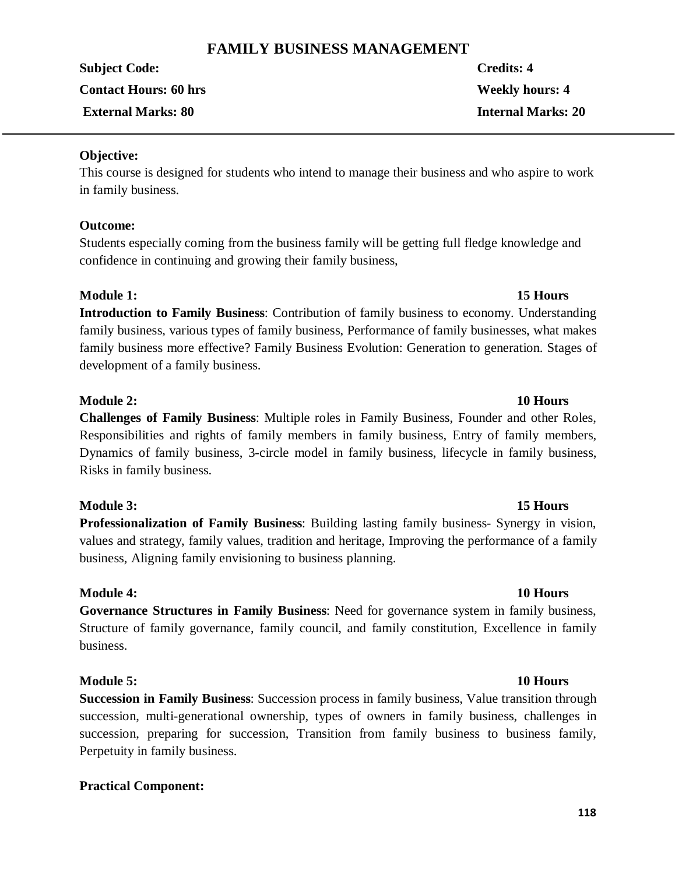# **FAMILY BUSINESS MANAGEMENT**

**Subject Code: Credits: 4 Contact Hours: 60 hrs Weekly hours: 4 External Marks: 80 Internal Marks: 20**

**Objective:**

This course is designed for students who intend to manage their business and who aspire to work in family business.

#### **Outcome:**

Students especially coming from the business family will be getting full fledge knowledge and confidence in continuing and growing their family business,

### **Module 1: 15 Hours**

**Introduction to Family Business**: Contribution of family business to economy. Understanding family business, various types of family business, Performance of family businesses, what makes family business more effective? Family Business Evolution: Generation to generation. Stages of development of a family business.

#### **Module 2: 10 Hours**

**Challenges of Family Business**: Multiple roles in Family Business, Founder and other Roles, Responsibilities and rights of family members in family business, Entry of family members, Dynamics of family business, 3-circle model in family business, lifecycle in family business, Risks in family business.

### **Module 3: 15 Hours**

**Professionalization of Family Business**: Building lasting family business- Synergy in vision, values and strategy, family values, tradition and heritage, Improving the performance of a family business, Aligning family envisioning to business planning.

#### **Module 4: 10 Hours**

**Governance Structures in Family Business**: Need for governance system in family business, Structure of family governance, family council, and family constitution, Excellence in family business.

### **Module 5: 10 Hours**

**Succession in Family Business**: Succession process in family business, Value transition through succession, multi-generational ownership, types of owners in family business, challenges in succession, preparing for succession, Transition from family business to business family, Perpetuity in family business.

### **Practical Component:**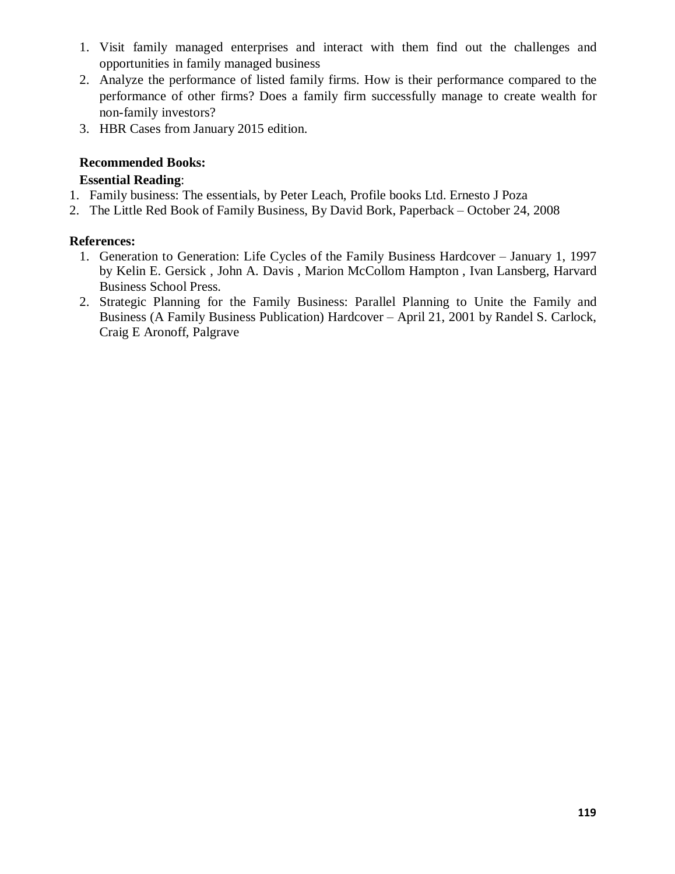- 1. Visit family managed enterprises and interact with them find out the challenges and opportunities in family managed business
- 2. Analyze the performance of listed family firms. How is their performance compared to the performance of other firms? Does a family firm successfully manage to create wealth for non-family investors?
- 3. HBR Cases from January 2015 edition.

### **Recommended Books:**

### **Essential Reading**:

- 1. Family business: The essentials, by Peter Leach, Profile books Ltd. Ernesto J Poza
- 2. The Little Red Book of Family Business, By David Bork, Paperback October 24, 2008

### **References:**

- 1. Generation to Generation: Life Cycles of the Family Business Hardcover January 1, 1997 by Kelin E. Gersick , John A. Davis , Marion McCollom Hampton , Ivan Lansberg, Harvard Business School Press.
- 2. Strategic Planning for the Family Business: Parallel Planning to Unite the Family and Business (A Family Business Publication) Hardcover – April 21, 2001 by Randel S. Carlock, Craig E Aronoff, Palgrave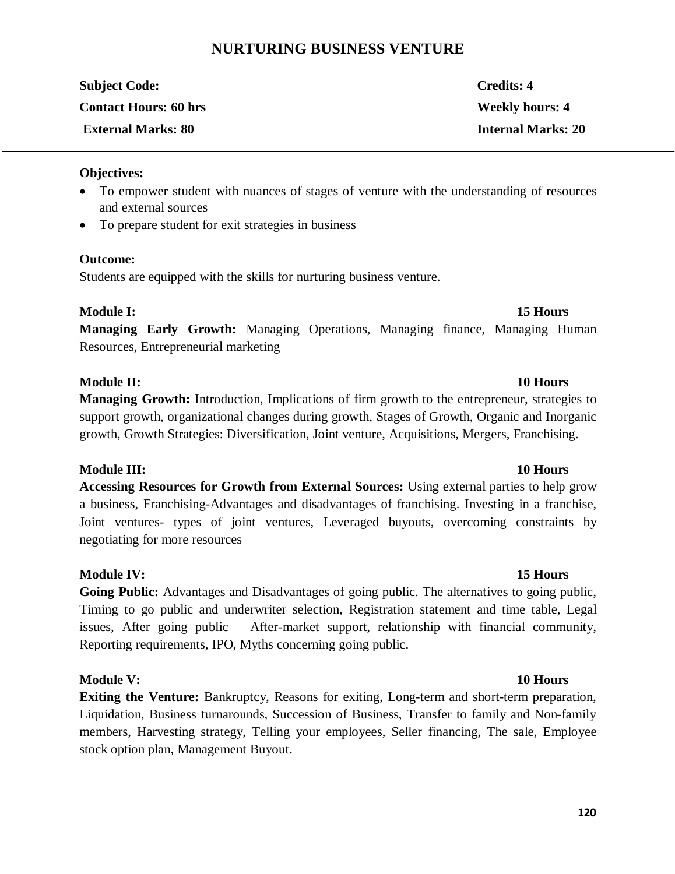# **NURTURING BUSINESS VENTURE**

| <b>Subject Code:</b>         | Credits: 4                |
|------------------------------|---------------------------|
| <b>Contact Hours: 60 hrs</b> | <b>Weekly hours: 4</b>    |
| <b>External Marks: 80</b>    | <b>Internal Marks: 20</b> |

#### **Objectives:**

- · To empower student with nuances of stages of venture with the understanding of resources and external sources
- To prepare student for exit strategies in business

#### **Outcome:**

Students are equipped with the skills for nurturing business venture.

#### **Module I:** 15 Hours

**Managing Early Growth:** Managing Operations, Managing finance, Managing Human Resources, Entrepreneurial marketing

#### **Module II: 10 Hours**

**Managing Growth:** Introduction, Implications of firm growth to the entrepreneur, strategies to support growth, organizational changes during growth, Stages of Growth, Organic and Inorganic growth, Growth Strategies: Diversification, Joint venture, Acquisitions, Mergers, Franchising.

#### **Module III: 10 Hours**

**Accessing Resources for Growth from External Sources:** Using external parties to help grow a business, Franchising-Advantages and disadvantages of franchising. Investing in a franchise, Joint ventures- types of joint ventures, Leveraged buyouts, overcoming constraints by negotiating for more resources

#### **Module IV: 15 Hours**

**Going Public:** Advantages and Disadvantages of going public. The alternatives to going public, Timing to go public and underwriter selection, Registration statement and time table, Legal issues, After going public – After-market support, relationship with financial community, Reporting requirements, IPO, Myths concerning going public.

#### **Module V: 10 Hours**

**Exiting the Venture:** Bankruptcy, Reasons for exiting, Long-term and short-term preparation, Liquidation, Business turnarounds, Succession of Business, Transfer to family and Non-family members, Harvesting strategy, Telling your employees, Seller financing, The sale, Employee stock option plan, Management Buyout.

#### **120**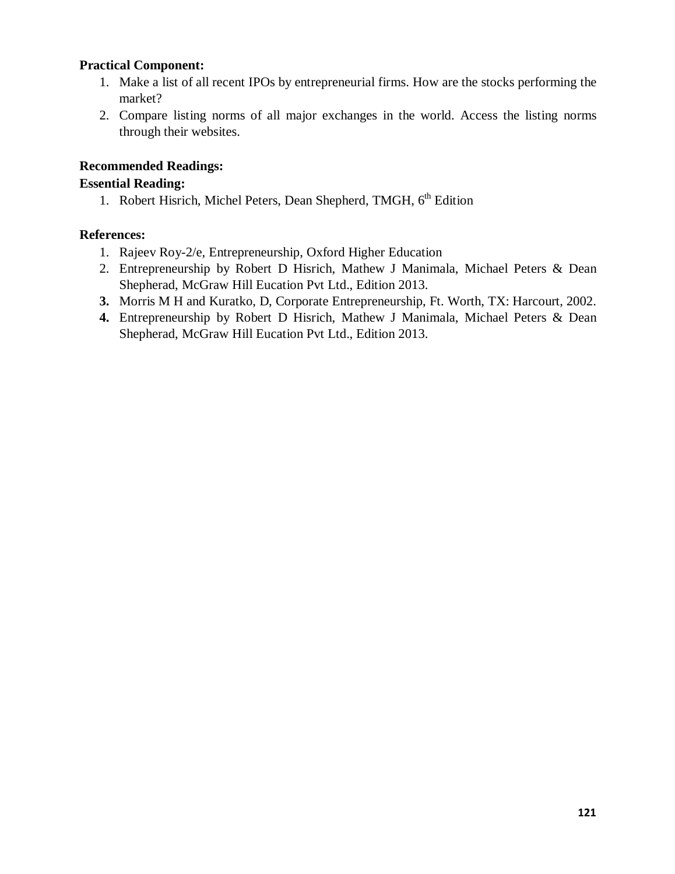#### **Practical Component:**

- 1. Make a list of all recent IPOs by entrepreneurial firms. How are the stocks performing the market?
- 2. Compare listing norms of all major exchanges in the world. Access the listing norms through their websites.

### **Recommended Readings:**

### **Essential Reading:**

1. Robert Hisrich, Michel Peters, Dean Shepherd, TMGH, 6<sup>th</sup> Edition

### **References:**

- 1. Rajeev Roy-2/e, Entrepreneurship, Oxford Higher Education
- 2. Entrepreneurship by Robert D Hisrich, Mathew J Manimala, Michael Peters & Dean Shepherad, McGraw Hill Eucation Pvt Ltd., Edition 2013.
- **3.** Morris M H and Kuratko, D, Corporate Entrepreneurship, Ft. Worth, TX: Harcourt, 2002.
- **4.** Entrepreneurship by Robert D Hisrich, Mathew J Manimala, Michael Peters & Dean Shepherad, McGraw Hill Eucation Pvt Ltd., Edition 2013.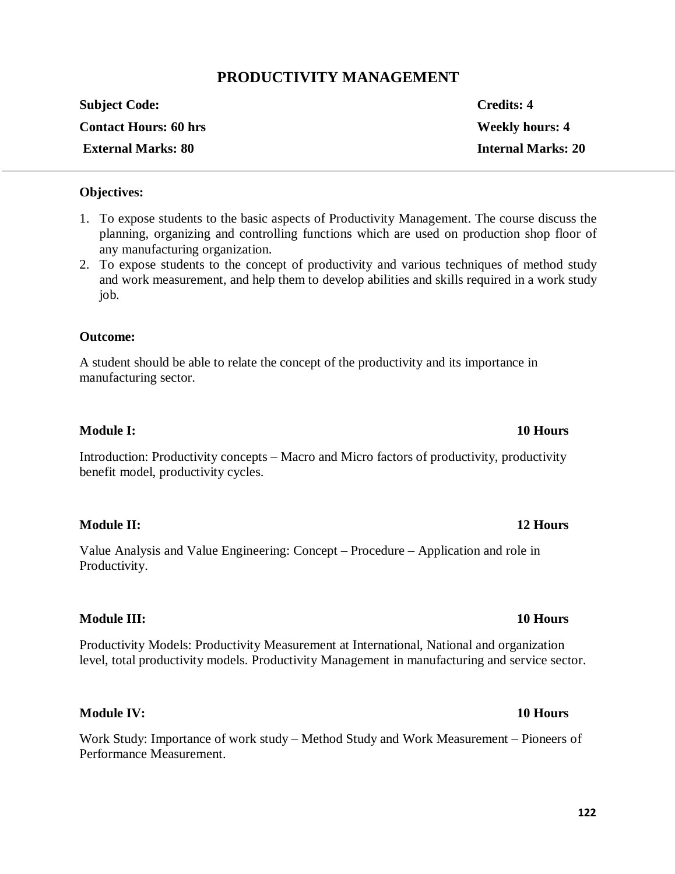# **PRODUCTIVITY MANAGEMENT**

| <b>Subject Code:</b>         | <b>Credits: 4</b>         |
|------------------------------|---------------------------|
| <b>Contact Hours: 60 hrs</b> | <b>Weekly hours: 4</b>    |
| <b>External Marks: 80</b>    | <b>Internal Marks: 20</b> |

#### **Objectives:**

- 1. To expose students to the basic aspects of Productivity Management. The course discuss the planning, organizing and controlling functions which are used on production shop floor of any manufacturing organization.
- 2. To expose students to the concept of productivity and various techniques of method study and work measurement, and help them to develop abilities and skills required in a work study job.

#### **Outcome:**

A student should be able to relate the concept of the productivity and its importance in manufacturing sector.

#### **Module I: 10 Hours**

Introduction: Productivity concepts – Macro and Micro factors of productivity, productivity benefit model, productivity cycles.

#### **Module II: 12 Hours**

Value Analysis and Value Engineering: Concept – Procedure – Application and role in Productivity.

#### **Module III: 10 Hours**

Productivity Models: Productivity Measurement at International, National and organization level, total productivity models. Productivity Management in manufacturing and service sector.

#### **Module IV: 10 Hours**

Work Study: Importance of work study – Method Study and Work Measurement – Pioneers of Performance Measurement.

# **122**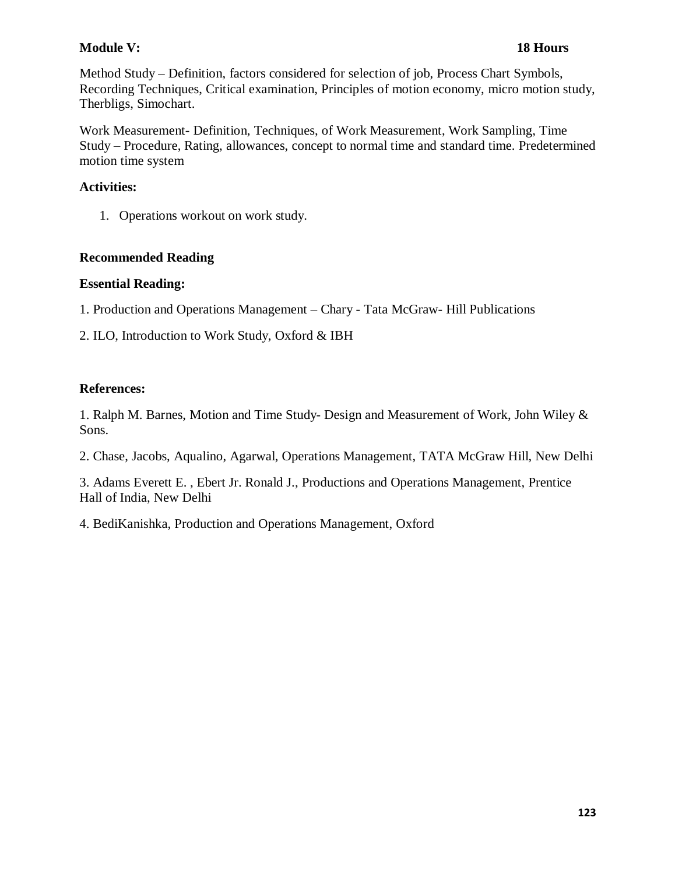### **Module V: 18 Hours**

Method Study – Definition, factors considered for selection of job, Process Chart Symbols, Recording Techniques, Critical examination, Principles of motion economy, micro motion study, Therbligs, Simochart.

Work Measurement- Definition, Techniques, of Work Measurement, Work Sampling, Time Study – Procedure, Rating, allowances, concept to normal time and standard time. Predetermined motion time system

#### **Activities:**

1. Operations workout on work study.

#### **Recommended Reading**

#### **Essential Reading:**

1. Production and Operations Management – Chary - Tata McGraw- Hill Publications

2. ILO, Introduction to Work Study, Oxford & IBH

#### **References:**

1. Ralph M. Barnes, Motion and Time Study- Design and Measurement of Work, John Wiley & Sons.

2. Chase, Jacobs, Aqualino, Agarwal, Operations Management, TATA McGraw Hill, New Delhi

3. Adams Everett E. , Ebert Jr. Ronald J., Productions and Operations Management, Prentice Hall of India, New Delhi

4. BediKanishka, Production and Operations Management, Oxford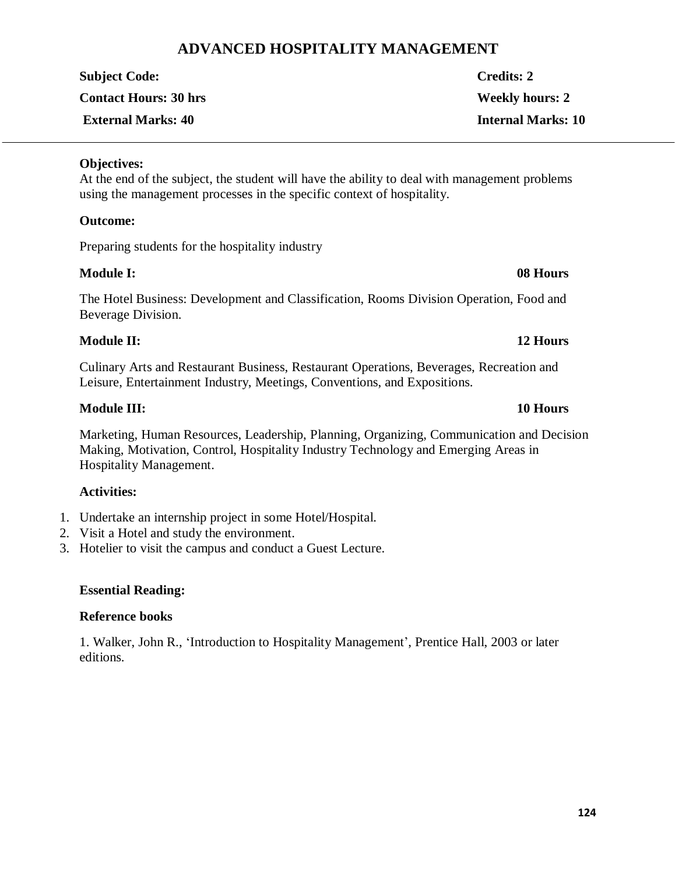# **ADVANCED HOSPITALITY MANAGEMENT**

| <b>Subject Code:</b>         | <b>Credits: 2</b>         |
|------------------------------|---------------------------|
| <b>Contact Hours: 30 hrs</b> | <b>Weekly hours: 2</b>    |
| <b>External Marks: 40</b>    | <b>Internal Marks: 10</b> |

#### **Objectives:**

At the end of the subject, the student will have the ability to deal with management problems using the management processes in the specific context of hospitality.

#### **Outcome:**

Preparing students for the hospitality industry

#### **Module I: 08 Hours**

The Hotel Business: Development and Classification, Rooms Division Operation, Food and Beverage Division.

### **Module II: 12 Hours**

Culinary Arts and Restaurant Business, Restaurant Operations, Beverages, Recreation and Leisure, Entertainment Industry, Meetings, Conventions, and Expositions.

### **Module III: 10 Hours**

Marketing, Human Resources, Leadership, Planning, Organizing, Communication and Decision Making, Motivation, Control, Hospitality Industry Technology and Emerging Areas in Hospitality Management.

# **Activities:**

- 1. Undertake an internship project in some Hotel/Hospital.
- 2. Visit a Hotel and study the environment.
- 3. Hotelier to visit the campus and conduct a Guest Lecture.

### **Essential Reading:**

### **Reference books**

1. Walker, John R., 'Introduction to Hospitality Management', Prentice Hall, 2003 or later editions.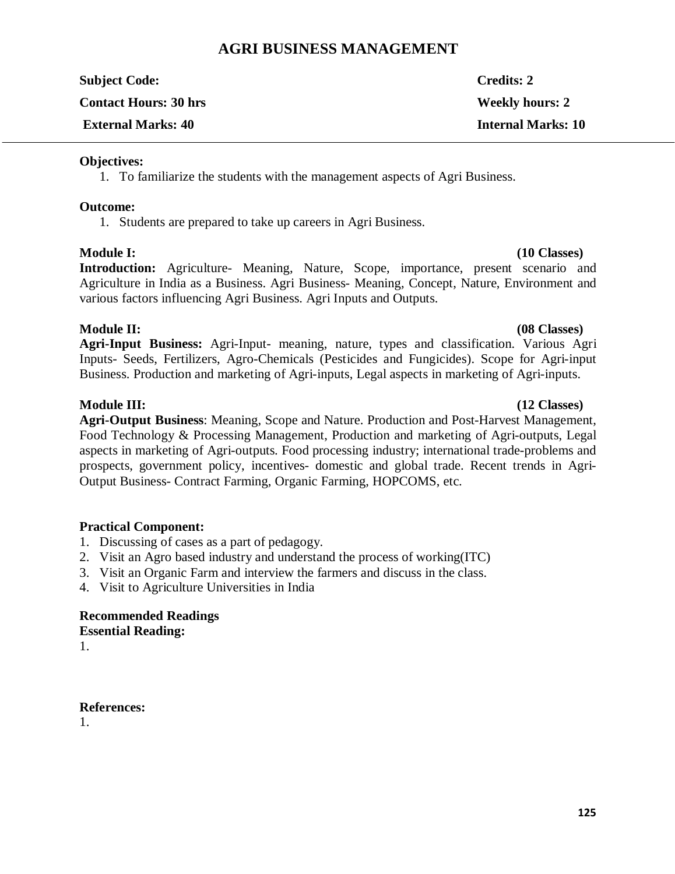# **AGRI BUSINESS MANAGEMENT**

| <b>Subject Code:</b>         | <b>Credits: 2</b>         |
|------------------------------|---------------------------|
| <b>Contact Hours: 30 hrs</b> | <b>Weekly hours: 2</b>    |
| <b>External Marks: 40</b>    | <b>Internal Marks: 10</b> |

#### **Objectives:**

1. To familiarize the students with the management aspects of Agri Business.

#### **Outcome:**

1. Students are prepared to take up careers in Agri Business.

#### **Module I: (10 Classes)**

**Introduction:** Agriculture- Meaning, Nature, Scope, importance, present scenario and Agriculture in India as a Business. Agri Business- Meaning, Concept, Nature, Environment and various factors influencing Agri Business. Agri Inputs and Outputs.

### **Module II: (08 Classes)**

**Agri-Input Business:** Agri-Input- meaning, nature, types and classification. Various Agri Inputs- Seeds, Fertilizers, Agro-Chemicals (Pesticides and Fungicides). Scope for Agri-input Business. Production and marketing of Agri-inputs, Legal aspects in marketing of Agri-inputs.

**Agri-Output Business**: Meaning, Scope and Nature. Production and Post-Harvest Management, Food Technology & Processing Management, Production and marketing of Agri-outputs, Legal aspects in marketing of Agri-outputs. Food processing industry; international trade-problems and prospects, government policy, incentives- domestic and global trade. Recent trends in Agri-Output Business- Contract Farming, Organic Farming, HOPCOMS, etc.

### **Practical Component:**

- 1. Discussing of cases as a part of pedagogy.
- 2. Visit an Agro based industry and understand the process of working(ITC)
- 3. Visit an Organic Farm and interview the farmers and discuss in the class.
- 4. Visit to Agriculture Universities in India

### **Recommended Readings Essential Reading:**

1.

#### **References:**

1.

### **Module III: (12 Classes)**

# **125**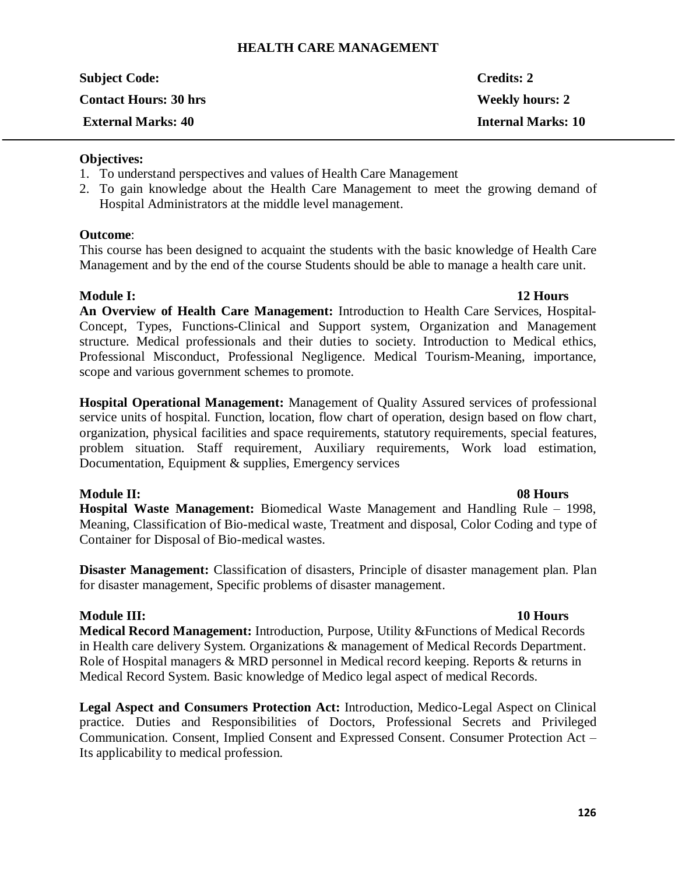#### **HEALTH CARE MANAGEMENT**

| <b>Subject Code:</b>         | <b>Credits: 2</b>         |
|------------------------------|---------------------------|
| <b>Contact Hours: 30 hrs</b> | <b>Weekly hours: 2</b>    |
| <b>External Marks: 40</b>    | <b>Internal Marks: 10</b> |

#### **Objectives:**

- 1. To understand perspectives and values of Health Care Management
- 2. To gain knowledge about the Health Care Management to meet the growing demand of Hospital Administrators at the middle level management.

#### **Outcome**:

This course has been designed to acquaint the students with the basic knowledge of Health Care Management and by the end of the course Students should be able to manage a health care unit.

#### **Module I: 12 Hours**

**An Overview of Health Care Management:** Introduction to Health Care Services, Hospital-Concept, Types, Functions-Clinical and Support system, Organization and Management structure. Medical professionals and their duties to society. Introduction to Medical ethics, Professional Misconduct, Professional Negligence. Medical Tourism-Meaning, importance, scope and various government schemes to promote.

**Hospital Operational Management:** Management of Quality Assured services of professional service units of hospital. Function, location, flow chart of operation, design based on flow chart, organization, physical facilities and space requirements, statutory requirements, special features, problem situation. Staff requirement, Auxiliary requirements, Work load estimation, Documentation, Equipment & supplies, Emergency services

### **Module II: 08 Hours**

**Hospital Waste Management:** Biomedical Waste Management and Handling Rule – 1998, Meaning, Classification of Bio-medical waste, Treatment and disposal, Color Coding and type of Container for Disposal of Bio-medical wastes.

**Disaster Management:** Classification of disasters, Principle of disaster management plan. Plan for disaster management, Specific problems of disaster management.

### **Module III:** 10 Hours

**Medical Record Management:** Introduction, Purpose, Utility &Functions of Medical Records in Health care delivery System. Organizations & management of Medical Records Department. Role of Hospital managers & MRD personnel in Medical record keeping. Reports & returns in Medical Record System. Basic knowledge of Medico legal aspect of medical Records.

**Legal Aspect and Consumers Protection Act:** Introduction, Medico-Legal Aspect on Clinical practice. Duties and Responsibilities of Doctors, Professional Secrets and Privileged Communication. Consent, Implied Consent and Expressed Consent. Consumer Protection Act – Its applicability to medical profession.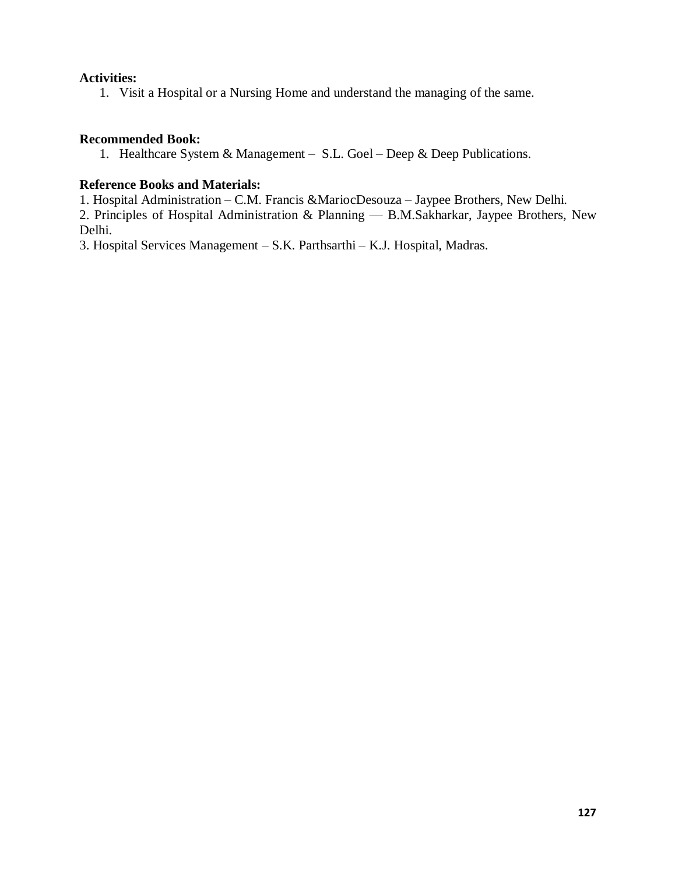#### **Activities:**

1. Visit a Hospital or a Nursing Home and understand the managing of the same.

#### **Recommended Book:**

1. Healthcare System & Management – S.L. Goel – Deep & Deep Publications.

#### **Reference Books and Materials:**

1. Hospital Administration – C.M. Francis &MariocDesouza – Jaypee Brothers, New Delhi.

2. Principles of Hospital Administration & Planning — B.M.Sakharkar, Jaypee Brothers, New Delhi.

3. Hospital Services Management – S.K. Parthsarthi – K.J. Hospital, Madras.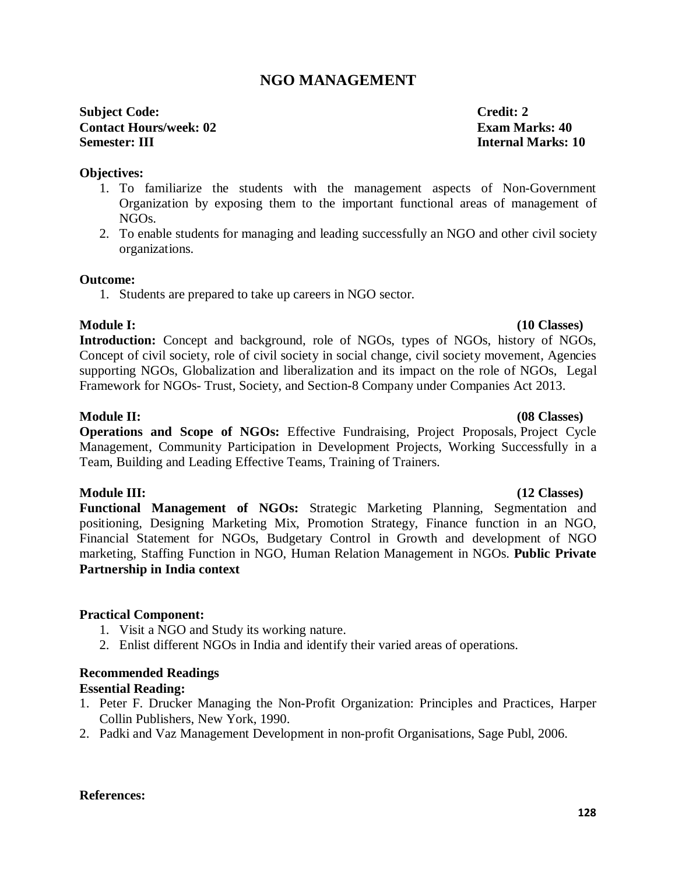# **NGO MANAGEMENT**

### **Subject Code: Credit: 2 Contact Hours/week: 02 Exam Marks: 40 Semester: III Internal Marks: 10**

#### **Objectives:**

- 1. To familiarize the students with the management aspects of Non-Government Organization by exposing them to the important functional areas of management of NGOs.
- 2. To enable students for managing and leading successfully an NGO and other civil society organizations.

#### **Outcome:**

1. Students are prepared to take up careers in NGO sector.

### **Module I: (10 Classes)**

**Introduction:** Concept and background, role of NGOs, types of NGOs, history of NGOs, Concept of civil society, role of civil society in social change, civil society movement, Agencies supporting NGOs, Globalization and liberalization and its impact on the role of NGOs, Legal Framework for NGOs- Trust, Society, and Section-8 Company under Companies Act 2013.

#### **Module II: (08 Classes)**

**Operations and Scope of NGOs:** Effective Fundraising, Project Proposals, Project Cycle Management, Community Participation in Development Projects, Working Successfully in a Team, Building and Leading Effective Teams, Training of Trainers.

### **Module III:** (12 Classes)

**Functional Management of NGOs:** Strategic Marketing Planning, Segmentation and positioning, Designing Marketing Mix, Promotion Strategy, Finance function in an NGO, Financial Statement for NGOs, Budgetary Control in Growth and development of NGO marketing, Staffing Function in NGO, Human Relation Management in NGOs. **Public Private Partnership in India context**

#### **Practical Component:**

- 1. Visit a NGO and Study its working nature.
- 2. Enlist different NGOs in India and identify their varied areas of operations.

### **Recommended Readings**

#### **Essential Reading:**

- 1. Peter F. Drucker Managing the Non-Profit Organization: Principles and Practices, Harper Collin Publishers, New York, 1990.
- 2. Padki and Vaz Management Development in non-profit Organisations, Sage Publ, 2006.

#### **References:**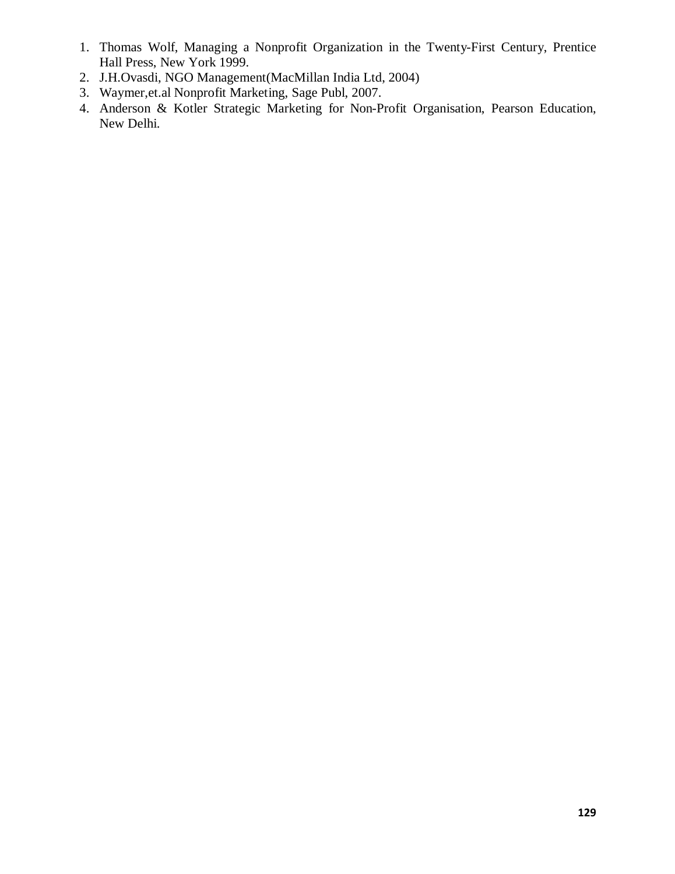- 1. Thomas Wolf, Managing a Nonprofit Organization in the Twenty-First Century, Prentice Hall Press, New York 1999.
- 2. J.H.Ovasdi, NGO Management(MacMillan India Ltd, 2004)
- 3. Waymer,et.al Nonprofit Marketing, Sage Publ, 2007.
- 4. Anderson & Kotler Strategic Marketing for Non-Profit Organisation, Pearson Education, New Delhi.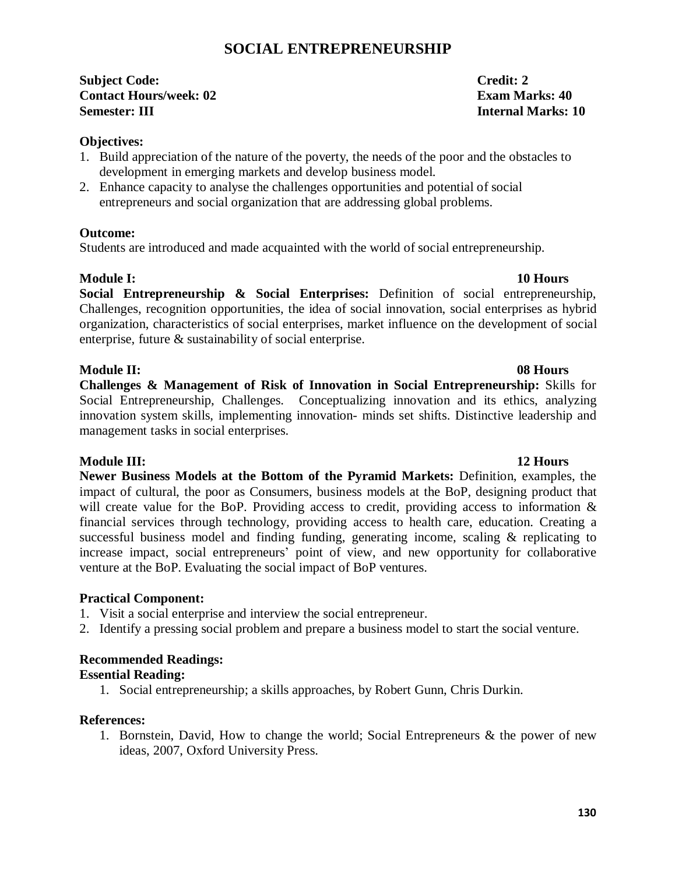# **SOCIAL ENTREPRENEURSHIP**

**Subject Code: Credit: 2 Contact Hours/week: 02 Exam Marks: 40 Semester: III Internal Marks: 10**

**Objectives:** 

- 1. Build appreciation of the nature of the poverty, the needs of the poor and the obstacles to development in emerging markets and develop business model.
- 2. Enhance capacity to analyse the challenges opportunities and potential of social entrepreneurs and social organization that are addressing global problems.

#### **Outcome:**

Students are introduced and made acquainted with the world of social entrepreneurship.

#### **Module I:** 10 Hours

**Social Entrepreneurship & Social Enterprises:** Definition of social entrepreneurship, Challenges, recognition opportunities, the idea of social innovation, social enterprises as hybrid organization, characteristics of social enterprises, market influence on the development of social enterprise, future & sustainability of social enterprise.

#### **Module II: 08 Hours**

**Challenges & Management of Risk of Innovation in Social Entrepreneurship:** Skills for Social Entrepreneurship, Challenges. Conceptualizing innovation and its ethics, analyzing innovation system skills, implementing innovation- minds set shifts. Distinctive leadership and management tasks in social enterprises.

#### **Module III: 12 Hours**

**Newer Business Models at the Bottom of the Pyramid Markets:** Definition, examples, the impact of cultural, the poor as Consumers, business models at the BoP, designing product that will create value for the BoP. Providing access to credit, providing access to information  $\&$ financial services through technology, providing access to health care, education. Creating a successful business model and finding funding, generating income, scaling & replicating to increase impact, social entrepreneurs' point of view, and new opportunity for collaborative venture at the BoP. Evaluating the social impact of BoP ventures.

### **Practical Component:**

- 1. Visit a social enterprise and interview the social entrepreneur.
- 2. Identify a pressing social problem and prepare a business model to start the social venture.

### **Recommended Readings:**

#### **Essential Reading:**

1. Social entrepreneurship; a skills approaches, by Robert Gunn, Chris Durkin.

#### **References:**

1. Bornstein, David, How to change the world; Social Entrepreneurs & the power of new ideas, 2007, Oxford University Press.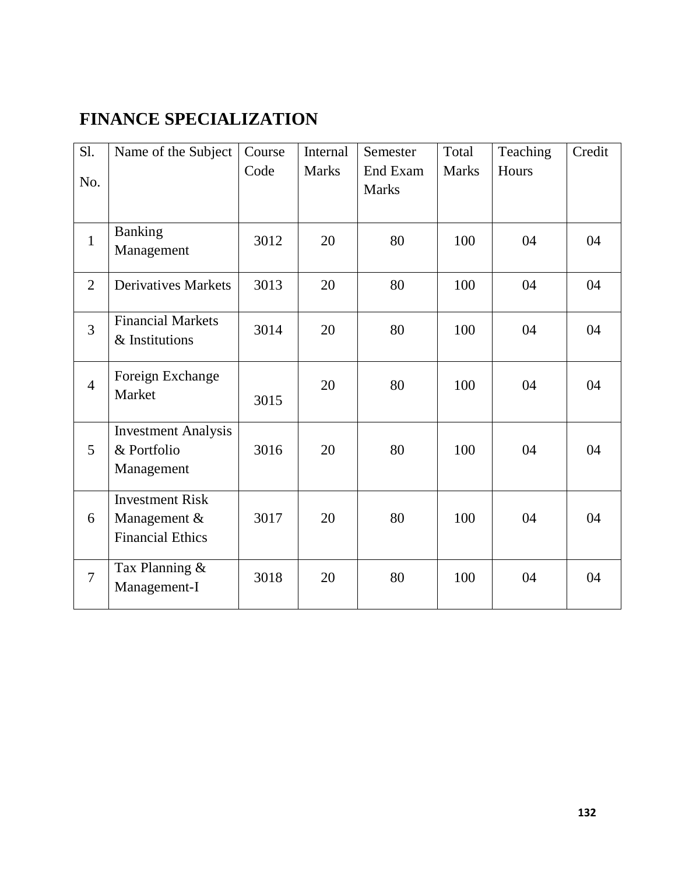# **FINANCE SPECIALIZATION**

| Sl.            | Name of the Subject                                               | Course | Internal     | Semester                 | Total        | Teaching | Credit |
|----------------|-------------------------------------------------------------------|--------|--------------|--------------------------|--------------|----------|--------|
| No.            |                                                                   | Code   | <b>Marks</b> | End Exam<br><b>Marks</b> | <b>Marks</b> | Hours    |        |
| $\mathbf{1}$   | <b>Banking</b><br>Management                                      | 3012   | 20           | 80                       | 100          | 04       | 04     |
| $\overline{2}$ | <b>Derivatives Markets</b>                                        | 3013   | 20           | 80                       | 100          | 04       | 04     |
| $\overline{3}$ | <b>Financial Markets</b><br>& Institutions                        | 3014   | 20           | 80                       | 100          | 04       | 04     |
| $\overline{4}$ | Foreign Exchange<br>Market                                        | 3015   | 20           | 80                       | 100          | 04       | 04     |
| 5              | <b>Investment Analysis</b><br>& Portfolio<br>Management           | 3016   | 20           | 80                       | 100          | 04       | 04     |
| 6              | <b>Investment Risk</b><br>Management &<br><b>Financial Ethics</b> | 3017   | 20           | 80                       | 100          | 04       | 04     |
| $\overline{7}$ | Tax Planning &<br>Management-I                                    | 3018   | 20           | 80                       | 100          | 04       | 04     |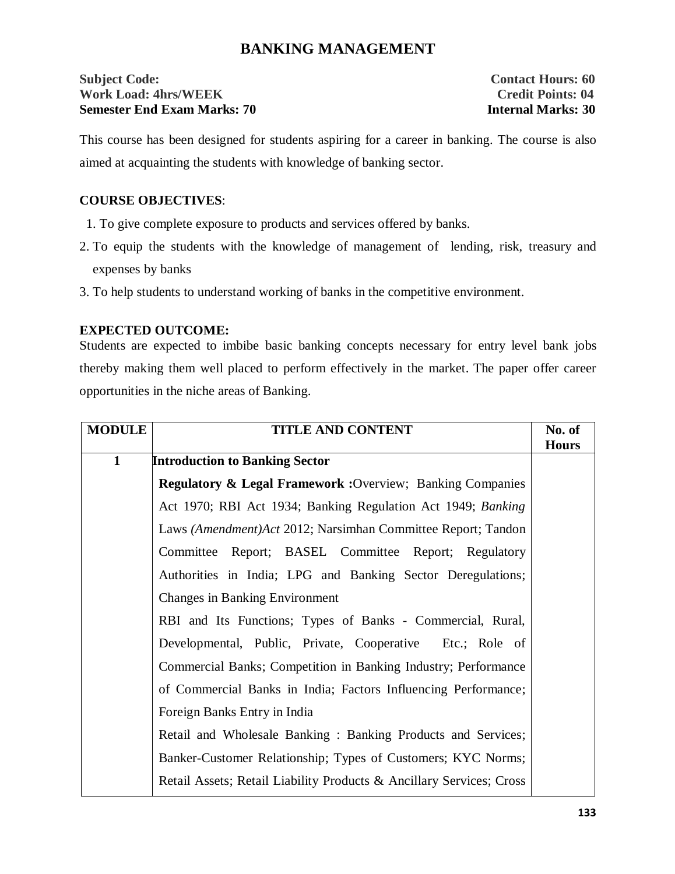# **BANKING MANAGEMENT**

#### **Subject Code:** Contact Hours: 60 **Work Load: 4hrs/WEEK Credit Points: 04 Semester End Exam Marks: 70 Internal Marks: 30**

This course has been designed for students aspiring for a career in banking. The course is also aimed at acquainting the students with knowledge of banking sector.

#### **COURSE OBJECTIVES**:

- 1. To give complete exposure to products and services offered by banks.
- 2. To equip the students with the knowledge of management of lending, risk, treasury and expenses by banks
- 3. To help students to understand working of banks in the competitive environment.

#### **EXPECTED OUTCOME:**

Students are expected to imbibe basic banking concepts necessary for entry level bank jobs thereby making them well placed to perform effectively in the market. The paper offer career opportunities in the niche areas of Banking.

| <b>MODULE</b> | <b>TITLE AND CONTENT</b>                                             | No. of       |
|---------------|----------------------------------------------------------------------|--------------|
|               |                                                                      | <b>Hours</b> |
| $\mathbf{1}$  | <b>Introduction to Banking Sector</b>                                |              |
|               | <b>Regulatory &amp; Legal Framework: Overview: Banking Companies</b> |              |
|               | Act 1970; RBI Act 1934; Banking Regulation Act 1949; Banking         |              |
|               | Laws (Amendment) Act 2012; Narsimhan Committee Report; Tandon        |              |
|               | Committee Report; BASEL Committee Report; Regulatory                 |              |
|               | Authorities in India; LPG and Banking Sector Deregulations;          |              |
|               | <b>Changes in Banking Environment</b>                                |              |
|               | RBI and Its Functions; Types of Banks - Commercial, Rural,           |              |
|               | Developmental, Public, Private, Cooperative Etc.; Role of            |              |
|               | Commercial Banks; Competition in Banking Industry; Performance       |              |
|               | of Commercial Banks in India; Factors Influencing Performance;       |              |
|               | Foreign Banks Entry in India                                         |              |
|               | Retail and Wholesale Banking: Banking Products and Services;         |              |
|               | Banker-Customer Relationship; Types of Customers; KYC Norms;         |              |
|               | Retail Assets; Retail Liability Products & Ancillary Services; Cross |              |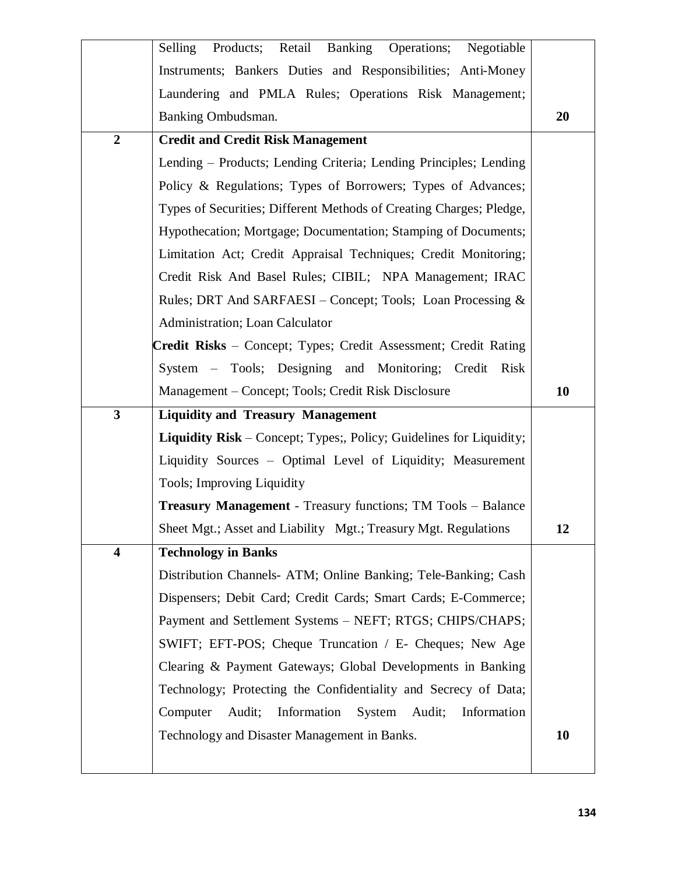|                         | Products; Retail Banking Operations;<br>Selling<br>Negotiable              |           |
|-------------------------|----------------------------------------------------------------------------|-----------|
|                         | Instruments; Bankers Duties and Responsibilities; Anti-Money               |           |
|                         | Laundering and PMLA Rules; Operations Risk Management;                     |           |
|                         | Banking Ombudsman.                                                         | 20        |
| $\boldsymbol{2}$        | <b>Credit and Credit Risk Management</b>                                   |           |
|                         | Lending – Products; Lending Criteria; Lending Principles; Lending          |           |
|                         | Policy & Regulations; Types of Borrowers; Types of Advances;               |           |
|                         | Types of Securities; Different Methods of Creating Charges; Pledge,        |           |
|                         | Hypothecation; Mortgage; Documentation; Stamping of Documents;             |           |
|                         | Limitation Act; Credit Appraisal Techniques; Credit Monitoring;            |           |
|                         | Credit Risk And Basel Rules; CIBIL; NPA Management; IRAC                   |           |
|                         | Rules; DRT And SARFAESI – Concept; Tools; Loan Processing &                |           |
|                         | Administration; Loan Calculator                                            |           |
|                         | <b>Credit Risks</b> – Concept; Types; Credit Assessment; Credit Rating     |           |
|                         | System - Tools; Designing and Monitoring; Credit Risk                      |           |
|                         | Management – Concept; Tools; Credit Risk Disclosure                        | 10        |
|                         |                                                                            |           |
| $\overline{\mathbf{3}}$ | <b>Liquidity and Treasury Management</b>                                   |           |
|                         | <b>Liquidity Risk</b> – Concept; Types;, Policy; Guidelines for Liquidity; |           |
|                         | Liquidity Sources - Optimal Level of Liquidity; Measurement                |           |
|                         | Tools; Improving Liquidity                                                 |           |
|                         | <b>Treasury Management</b> - Treasury functions; TM Tools - Balance        |           |
|                         | Sheet Mgt.; Asset and Liability Mgt.; Treasury Mgt. Regulations            | 12        |
| 4                       | <b>Technology in Banks</b>                                                 |           |
|                         | Distribution Channels- ATM; Online Banking; Tele-Banking; Cash             |           |
|                         | Dispensers; Debit Card; Credit Cards; Smart Cards; E-Commerce;             |           |
|                         | Payment and Settlement Systems - NEFT; RTGS; CHIPS/CHAPS;                  |           |
|                         | SWIFT; EFT-POS; Cheque Truncation / E- Cheques; New Age                    |           |
|                         | Clearing & Payment Gateways; Global Developments in Banking                |           |
|                         | Technology; Protecting the Confidentiality and Secrecy of Data;            |           |
|                         | Information System Audit; Information<br>Computer<br>Audit;                |           |
|                         | Technology and Disaster Management in Banks.                               | <b>10</b> |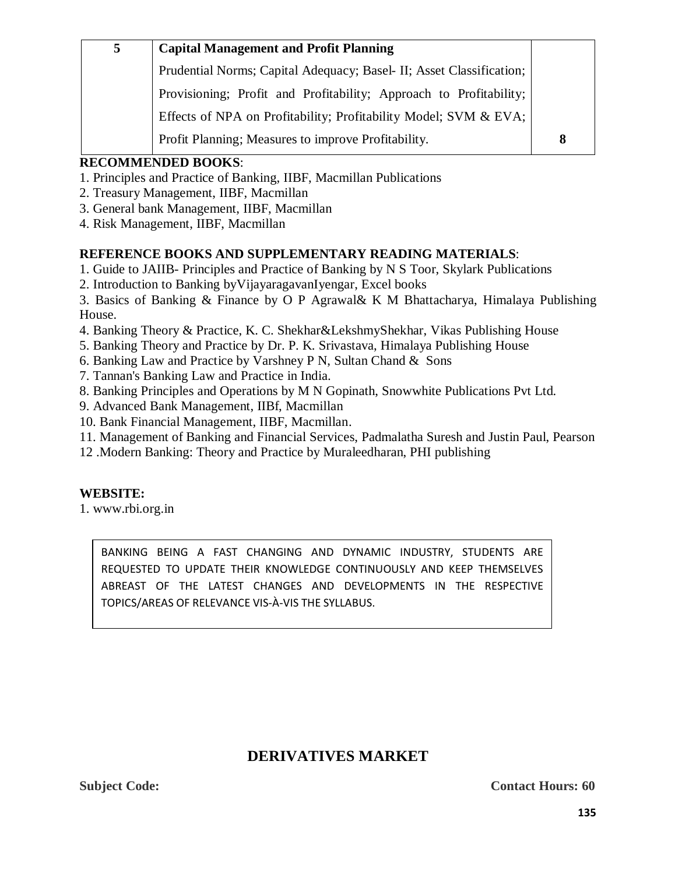| 5 | <b>Capital Management and Profit Planning</b>                        |   |
|---|----------------------------------------------------------------------|---|
|   | Prudential Norms; Capital Adequacy; Basel- II; Asset Classification; |   |
|   | Provisioning; Profit and Profitability; Approach to Profitability;   |   |
|   | Effects of NPA on Profitability; Profitability Model; SVM & EVA;     |   |
|   | Profit Planning; Measures to improve Profitability.                  | 8 |

# **RECOMMENDED BOOKS**:

- 1. Principles and Practice of Banking, IIBF, Macmillan Publications
- 2. Treasury Management, IIBF, Macmillan
- 3. General bank Management, IIBF, Macmillan
- 4. Risk Management, IIBF, Macmillan

### **REFERENCE BOOKS AND SUPPLEMENTARY READING MATERIALS**:

1. Guide to JAIIB- Principles and Practice of Banking by N S Toor, Skylark Publications

2. Introduction to Banking byVijayaragavanIyengar, Excel books

3. Basics of Banking & Finance by O P Agrawal& K M Bhattacharya, Himalaya Publishing House.

- 4. Banking Theory & Practice, K. C. Shekhar&LekshmyShekhar, Vikas Publishing House
- 5. Banking Theory and Practice by Dr. P. K. Srivastava, Himalaya Publishing House
- 6. Banking Law and Practice by Varshney P N, Sultan Chand & Sons
- 7. Tannan's Banking Law and Practice in India.
- 8. Banking Principles and Operations by M N Gopinath, Snowwhite Publications Pvt Ltd.
- 9. Advanced Bank Management, IIBf, Macmillan
- 10. Bank Financial Management, IIBF, Macmillan.
- 11. Management of Banking and Financial Services, Padmalatha Suresh and Justin Paul, Pearson
- 12 .Modern Banking: Theory and Practice by Muraleedharan, PHI publishing

#### **WEBSITE:**

1. www.rbi.org.in

BANKING BEING A FAST CHANGING AND DYNAMIC INDUSTRY, STUDENTS ARE REQUESTED TO UPDATE THEIR KNOWLEDGE CONTINUOUSLY AND KEEP THEMSELVES ABREAST OF THE LATEST CHANGES AND DEVELOPMENTS IN THE RESPECTIVE TOPICS/AREAS OF RELEVANCE VIS-À-VIS THE SYLLABUS.

# **DERIVATIVES MARKET**

**Subject Code:** Contact Hours: 60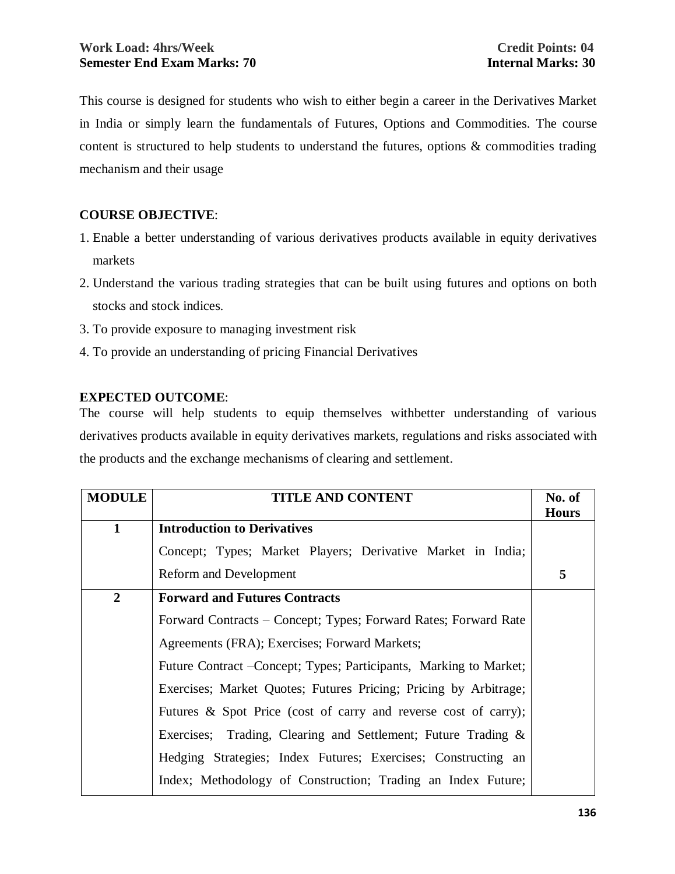This course is designed for students who wish to either begin a career in the Derivatives Market in India or simply learn the fundamentals of Futures, Options and Commodities. The course content is structured to help students to understand the futures, options & commodities trading mechanism and their usage

### **COURSE OBJECTIVE**:

- 1. Enable a better understanding of various derivatives products available in equity derivatives markets
- 2. Understand the various trading strategies that can be built using futures and options on both stocks and stock indices.
- 3. To provide exposure to managing investment risk
- 4. To provide an understanding of pricing Financial Derivatives

### **EXPECTED OUTCOME**:

The course will help students to equip themselves withbetter understanding of various derivatives products available in equity derivatives markets, regulations and risks associated with the products and the exchange mechanisms of clearing and settlement.

| <b>MODULE</b>  | <b>TITLE AND CONTENT</b>                                           | No. of       |
|----------------|--------------------------------------------------------------------|--------------|
|                |                                                                    | <b>Hours</b> |
| $\mathbf{1}$   | <b>Introduction to Derivatives</b>                                 |              |
|                | Concept; Types; Market Players; Derivative Market in India;        |              |
|                | <b>Reform and Development</b>                                      | 5            |
| $\overline{2}$ | <b>Forward and Futures Contracts</b>                               |              |
|                | Forward Contracts – Concept; Types; Forward Rates; Forward Rate    |              |
|                | Agreements (FRA); Exercises; Forward Markets;                      |              |
|                | Future Contract - Concept; Types; Participants, Marking to Market; |              |
|                | Exercises; Market Quotes; Futures Pricing; Pricing by Arbitrage;   |              |
|                | Futures & Spot Price (cost of carry and reverse cost of carry);    |              |
|                | Exercises; Trading, Clearing and Settlement; Future Trading &      |              |
|                | Hedging Strategies; Index Futures; Exercises; Constructing an      |              |
|                | Index; Methodology of Construction; Trading an Index Future;       |              |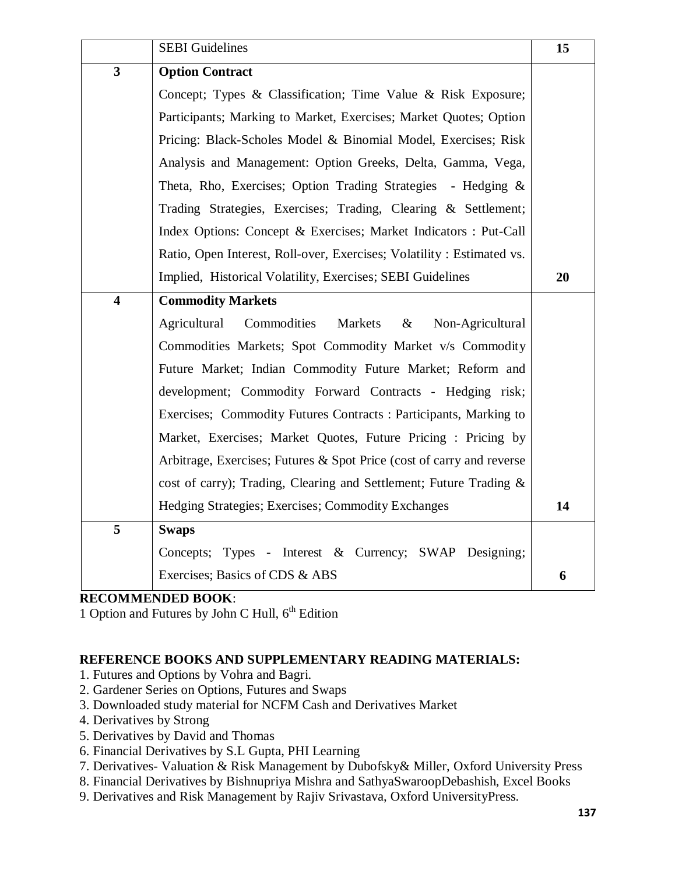|                         | <b>SEBI</b> Guidelines                                                | 15 |
|-------------------------|-----------------------------------------------------------------------|----|
| $\overline{\mathbf{3}}$ | <b>Option Contract</b>                                                |    |
|                         | Concept; Types & Classification; Time Value & Risk Exposure;          |    |
|                         | Participants; Marking to Market, Exercises; Market Quotes; Option     |    |
|                         | Pricing: Black-Scholes Model & Binomial Model, Exercises; Risk        |    |
|                         | Analysis and Management: Option Greeks, Delta, Gamma, Vega,           |    |
|                         | Theta, Rho, Exercises; Option Trading Strategies - Hedging &          |    |
|                         | Trading Strategies, Exercises; Trading, Clearing & Settlement;        |    |
|                         | Index Options: Concept & Exercises; Market Indicators : Put-Call      |    |
|                         | Ratio, Open Interest, Roll-over, Exercises; Volatility: Estimated vs. |    |
|                         | Implied, Historical Volatility, Exercises; SEBI Guidelines            | 20 |
| $\overline{\mathbf{4}}$ | <b>Commodity Markets</b>                                              |    |
|                         | Agricultural<br>Commodities<br>Markets<br>$\&$<br>Non-Agricultural    |    |
|                         | Commodities Markets; Spot Commodity Market v/s Commodity              |    |
|                         | Future Market; Indian Commodity Future Market; Reform and             |    |
|                         | development; Commodity Forward Contracts - Hedging risk;              |    |
|                         | Exercises; Commodity Futures Contracts: Participants, Marking to      |    |
|                         | Market, Exercises; Market Quotes, Future Pricing : Pricing by         |    |
|                         | Arbitrage, Exercises; Futures & Spot Price (cost of carry and reverse |    |
|                         | cost of carry); Trading, Clearing and Settlement; Future Trading &    |    |
|                         | Hedging Strategies; Exercises; Commodity Exchanges                    | 14 |
| 5                       | <b>Swaps</b>                                                          |    |
|                         | Concepts; Types - Interest & Currency; SWAP Designing;                |    |
|                         | Exercises; Basics of CDS & ABS                                        | 6  |

### **RECOMMENDED BOOK**:

1 Option and Futures by John C Hull,  $6<sup>th</sup>$  Edition

### **REFERENCE BOOKS AND SUPPLEMENTARY READING MATERIALS:**

- 1. Futures and Options by Vohra and Bagri.
- 2. Gardener Series on Options, Futures and Swaps
- 3. Downloaded study material for NCFM Cash and Derivatives Market
- 4. Derivatives by Strong
- 5. Derivatives by David and Thomas
- 6. Financial Derivatives by S.L Gupta, PHI Learning
- 7. Derivatives- Valuation & Risk Management by Dubofsky& Miller, Oxford University Press
- 8. Financial Derivatives by Bishnupriya Mishra and SathyaSwaroopDebashish, Excel Books
- 9. Derivatives and Risk Management by Rajiv Srivastava, Oxford UniversityPress.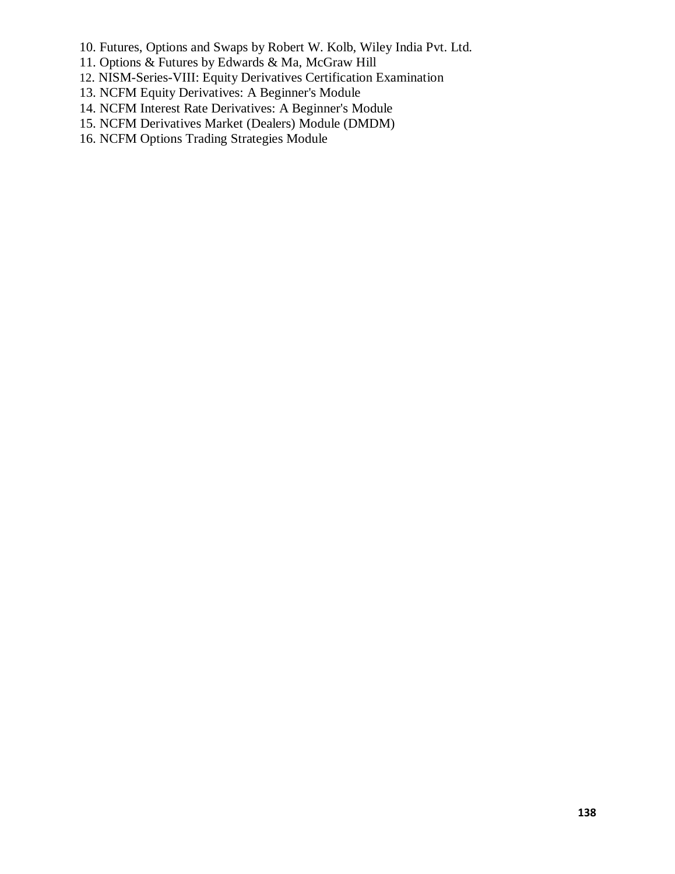- 10. Futures, Options and Swaps by Robert W. Kolb, Wiley India Pvt. Ltd.
- 11. Options & Futures by Edwards & Ma, McGraw Hill
- 12. NISM-Series-VIII: Equity Derivatives Certification Examination
- 13. NCFM Equity Derivatives: A Beginner's Module
- 14. NCFM Interest Rate Derivatives: A Beginner's Module
- 15. NCFM Derivatives Market (Dealers) Module (DMDM)
- 16. NCFM Options Trading Strategies Module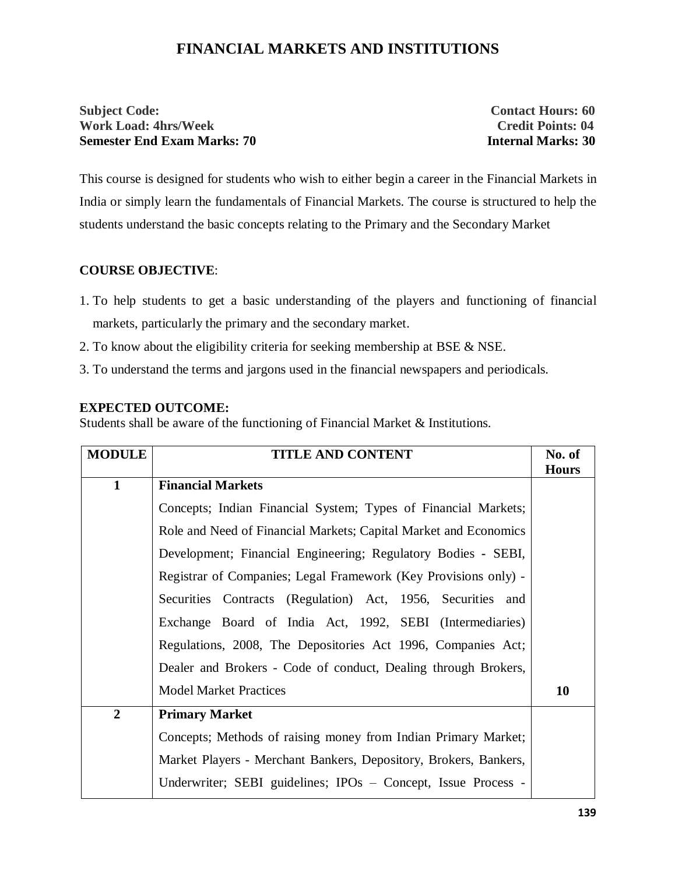# **FINANCIAL MARKETS AND INSTITUTIONS**

#### **Subject Code:** Contact Hours: 60 **Work Load: 4hrs/Week Credit Points: 04 Semester End Exam Marks: 70 Internal Marks: 30**

This course is designed for students who wish to either begin a career in the Financial Markets in India or simply learn the fundamentals of Financial Markets. The course is structured to help the students understand the basic concepts relating to the Primary and the Secondary Market

### **COURSE OBJECTIVE**:

- 1. To help students to get a basic understanding of the players and functioning of financial markets, particularly the primary and the secondary market.
- 2. To know about the eligibility criteria for seeking membership at BSE & NSE.
- 3. To understand the terms and jargons used in the financial newspapers and periodicals.

#### **EXPECTED OUTCOME:**

Students shall be aware of the functioning of Financial Market & Institutions.

| <b>MODULE</b>  | <b>TITLE AND CONTENT</b>                                         | No. of       |
|----------------|------------------------------------------------------------------|--------------|
|                |                                                                  | <b>Hours</b> |
| $\mathbf{1}$   | <b>Financial Markets</b>                                         |              |
|                | Concepts; Indian Financial System; Types of Financial Markets;   |              |
|                | Role and Need of Financial Markets; Capital Market and Economics |              |
|                | Development; Financial Engineering; Regulatory Bodies - SEBI,    |              |
|                | Registrar of Companies; Legal Framework (Key Provisions only) -  |              |
|                | Securities Contracts (Regulation) Act, 1956, Securities and      |              |
|                | Exchange Board of India Act, 1992, SEBI (Intermediaries)         |              |
|                | Regulations, 2008, The Depositories Act 1996, Companies Act;     |              |
|                | Dealer and Brokers - Code of conduct, Dealing through Brokers,   |              |
|                | <b>Model Market Practices</b>                                    | <b>10</b>    |
| $\overline{2}$ | <b>Primary Market</b>                                            |              |
|                | Concepts; Methods of raising money from Indian Primary Market;   |              |
|                | Market Players - Merchant Bankers, Depository, Brokers, Bankers, |              |
|                | Underwriter; SEBI guidelines; IPOs - Concept, Issue Process -    |              |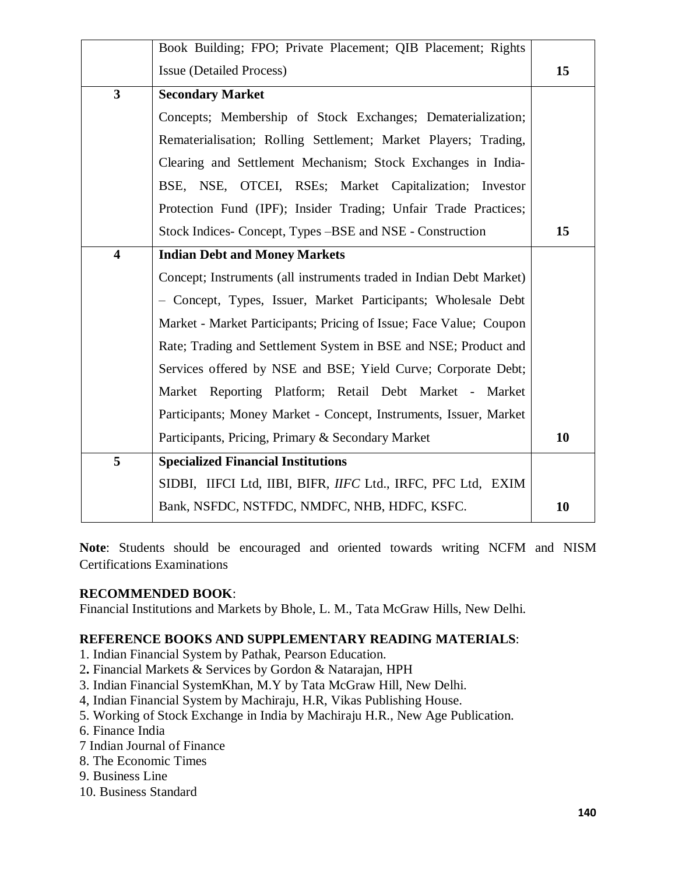|                         | Book Building; FPO; Private Placement; QIB Placement; Rights        |    |
|-------------------------|---------------------------------------------------------------------|----|
|                         | <b>Issue (Detailed Process)</b>                                     | 15 |
| $\overline{\mathbf{3}}$ | <b>Secondary Market</b>                                             |    |
|                         | Concepts; Membership of Stock Exchanges; Dematerialization;         |    |
|                         | Rematerialisation; Rolling Settlement; Market Players; Trading,     |    |
|                         | Clearing and Settlement Mechanism; Stock Exchanges in India-        |    |
|                         | BSE, NSE, OTCEI, RSEs; Market Capitalization; Investor              |    |
|                         | Protection Fund (IPF); Insider Trading; Unfair Trade Practices;     |    |
|                         | Stock Indices- Concept, Types – BSE and NSE - Construction          | 15 |
| $\overline{\mathbf{4}}$ | <b>Indian Debt and Money Markets</b>                                |    |
|                         | Concept; Instruments (all instruments traded in Indian Debt Market) |    |
|                         | - Concept, Types, Issuer, Market Participants; Wholesale Debt       |    |
|                         | Market - Market Participants; Pricing of Issue; Face Value; Coupon  |    |
|                         | Rate; Trading and Settlement System in BSE and NSE; Product and     |    |
|                         | Services offered by NSE and BSE; Yield Curve; Corporate Debt;       |    |
|                         | Market Reporting Platform; Retail Debt Market - Market              |    |
|                         | Participants; Money Market - Concept, Instruments, Issuer, Market   |    |
|                         | Participants, Pricing, Primary & Secondary Market                   | 10 |
| 5                       | <b>Specialized Financial Institutions</b>                           |    |
|                         | SIDBI, IIFCI Ltd, IIBI, BIFR, IIFC Ltd., IRFC, PFC Ltd, EXIM        |    |
|                         | Bank, NSFDC, NSTFDC, NMDFC, NHB, HDFC, KSFC.                        | 10 |

**Note**: Students should be encouraged and oriented towards writing NCFM and NISM Certifications Examinations

#### **RECOMMENDED BOOK**:

Financial Institutions and Markets by Bhole, L. M., Tata McGraw Hills, New Delhi.

#### **REFERENCE BOOKS AND SUPPLEMENTARY READING MATERIALS**:

- 1. Indian Financial System by Pathak, Pearson Education.
- 2**.** Financial Markets & Services by Gordon & Natarajan, HPH
- 3. Indian Financial SystemKhan, M.Y by Tata McGraw Hill, New Delhi.
- 4, Indian Financial System by Machiraju, H.R, Vikas Publishing House.
- 5. Working of Stock Exchange in India by Machiraju H.R., New Age Publication.
- 6. Finance India
- 7 Indian Journal of Finance
- 8. The Economic Times
- 9. Business Line
- 10. Business Standard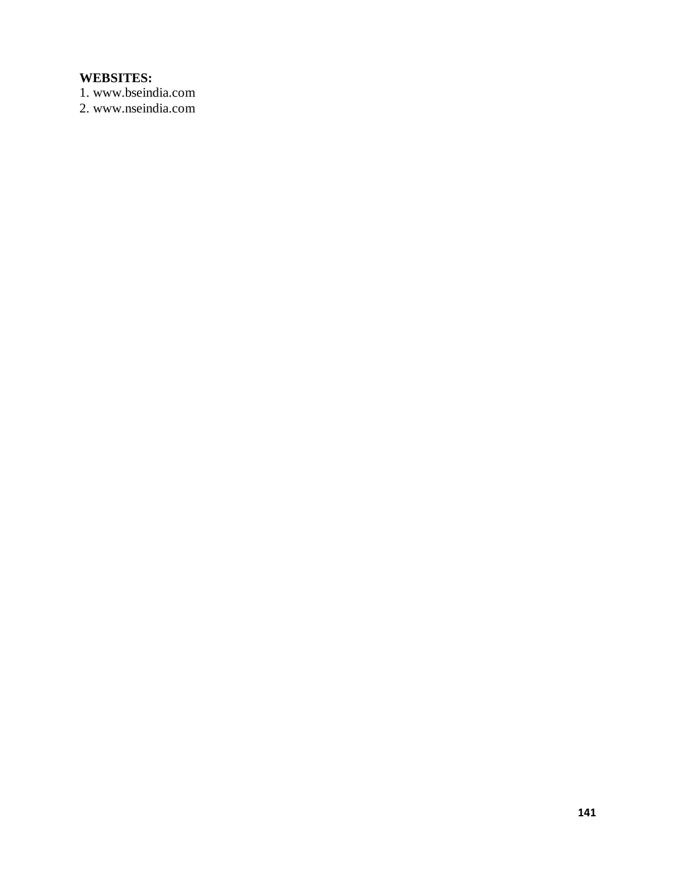# **WEBSITES:**

1. www.bseindia.com

2. www.nseindia.com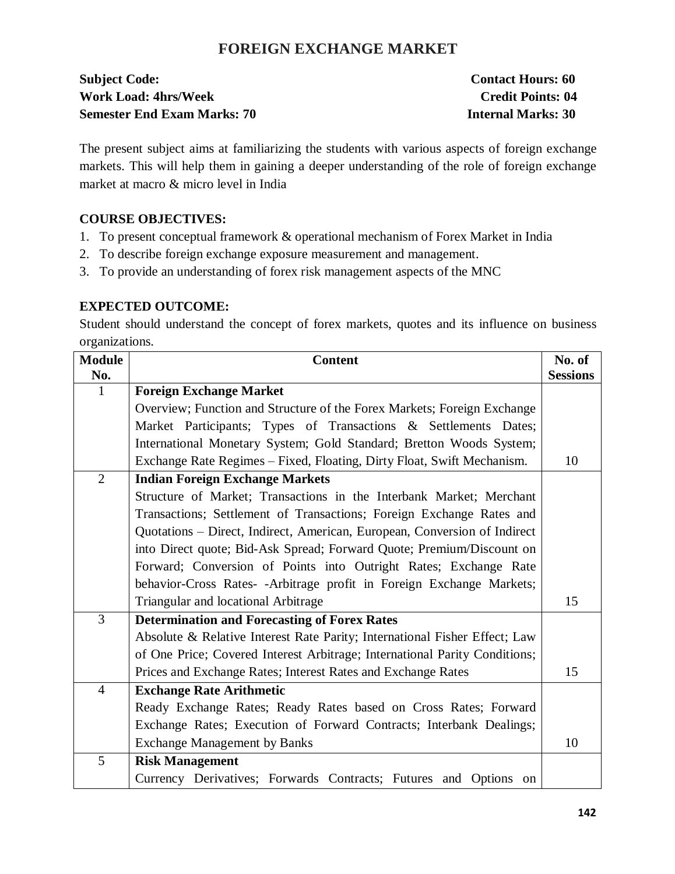# **FOREIGN EXCHANGE MARKET**

| <b>Subject Code:</b>               | <b>Contact Hours: 60</b>  |
|------------------------------------|---------------------------|
| <b>Work Load: 4hrs/Week</b>        | <b>Credit Points: 04</b>  |
| <b>Semester End Exam Marks: 70</b> | <b>Internal Marks: 30</b> |

The present subject aims at familiarizing the students with various aspects of foreign exchange markets. This will help them in gaining a deeper understanding of the role of foreign exchange market at macro & micro level in India

### **COURSE OBJECTIVES:**

- 1. To present conceptual framework & operational mechanism of Forex Market in India
- 2. To describe foreign exchange exposure measurement and management.
- 3. To provide an understanding of forex risk management aspects of the MNC

### **EXPECTED OUTCOME:**

Student should understand the concept of forex markets, quotes and its influence on business organizations.

| <b>Module</b><br>No. | <b>Content</b>                                                             | No. of<br><b>Sessions</b> |
|----------------------|----------------------------------------------------------------------------|---------------------------|
| $\mathbf{1}$         | <b>Foreign Exchange Market</b>                                             |                           |
|                      | Overview; Function and Structure of the Forex Markets; Foreign Exchange    |                           |
|                      | Market Participants; Types of Transactions & Settlements Dates;            |                           |
|                      | International Monetary System; Gold Standard; Bretton Woods System;        |                           |
|                      | Exchange Rate Regimes – Fixed, Floating, Dirty Float, Swift Mechanism.     | 10                        |
| $\overline{2}$       | <b>Indian Foreign Exchange Markets</b>                                     |                           |
|                      | Structure of Market; Transactions in the Interbank Market; Merchant        |                           |
|                      |                                                                            |                           |
|                      | Transactions; Settlement of Transactions; Foreign Exchange Rates and       |                           |
|                      | Quotations - Direct, Indirect, American, European, Conversion of Indirect  |                           |
|                      | into Direct quote; Bid-Ask Spread; Forward Quote; Premium/Discount on      |                           |
|                      | Forward; Conversion of Points into Outright Rates; Exchange Rate           |                           |
|                      | behavior-Cross Rates- -Arbitrage profit in Foreign Exchange Markets;       |                           |
|                      | Triangular and locational Arbitrage                                        | 15                        |
| $\overline{3}$       | <b>Determination and Forecasting of Forex Rates</b>                        |                           |
|                      | Absolute & Relative Interest Rate Parity; International Fisher Effect; Law |                           |
|                      | of One Price; Covered Interest Arbitrage; International Parity Conditions; |                           |
|                      | Prices and Exchange Rates; Interest Rates and Exchange Rates               | 15                        |
| $\overline{4}$       | <b>Exchange Rate Arithmetic</b>                                            |                           |
|                      | Ready Exchange Rates; Ready Rates based on Cross Rates; Forward            |                           |
|                      | Exchange Rates; Execution of Forward Contracts; Interbank Dealings;        |                           |
|                      | <b>Exchange Management by Banks</b>                                        | 10                        |
| 5                    | <b>Risk Management</b>                                                     |                           |
|                      | Currency Derivatives; Forwards Contracts; Futures and Options on           |                           |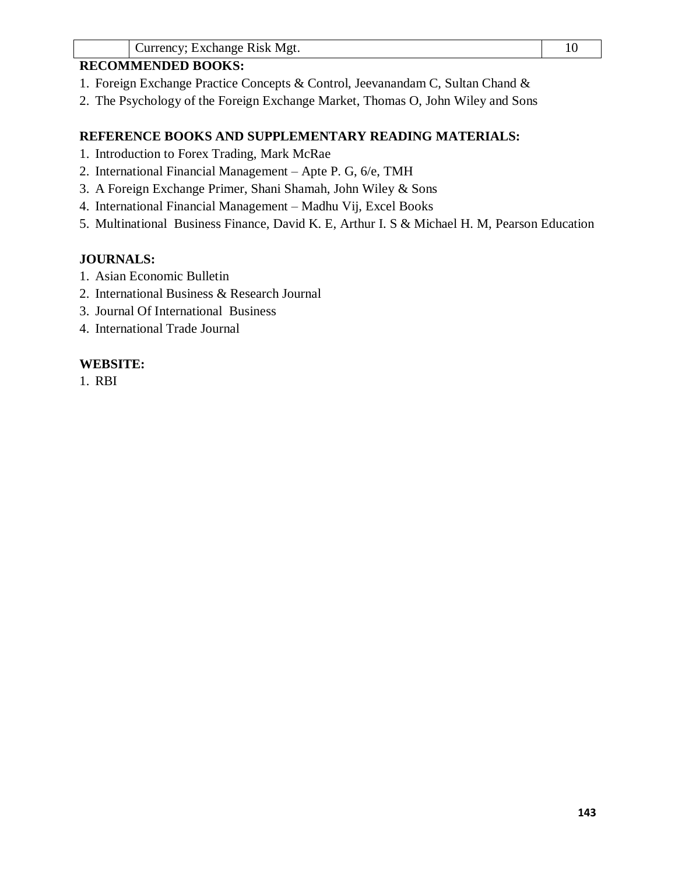### **RECOMMENDED BOOKS:**

- 1. Foreign Exchange Practice Concepts & Control, Jeevanandam C, Sultan Chand &
- 2. The Psychology of the Foreign Exchange Market, Thomas O, John Wiley and Sons

### **REFERENCE BOOKS AND SUPPLEMENTARY READING MATERIALS:**

- 1. Introduction to Forex Trading, Mark McRae
- 2. International Financial Management Apte P. G, 6/e, TMH
- 3. A Foreign Exchange Primer, Shani Shamah, John Wiley & Sons
- 4. International Financial Management Madhu Vij, Excel Books
- 5. Multinational Business Finance, David K. E, Arthur I. S & Michael H. M, Pearson Education

### **JOURNALS:**

- 1. Asian Economic Bulletin
- 2. International Business & Research Journal
- 3. Journal Of International Business
- 4. International Trade Journal

### **WEBSITE:**

1. RBI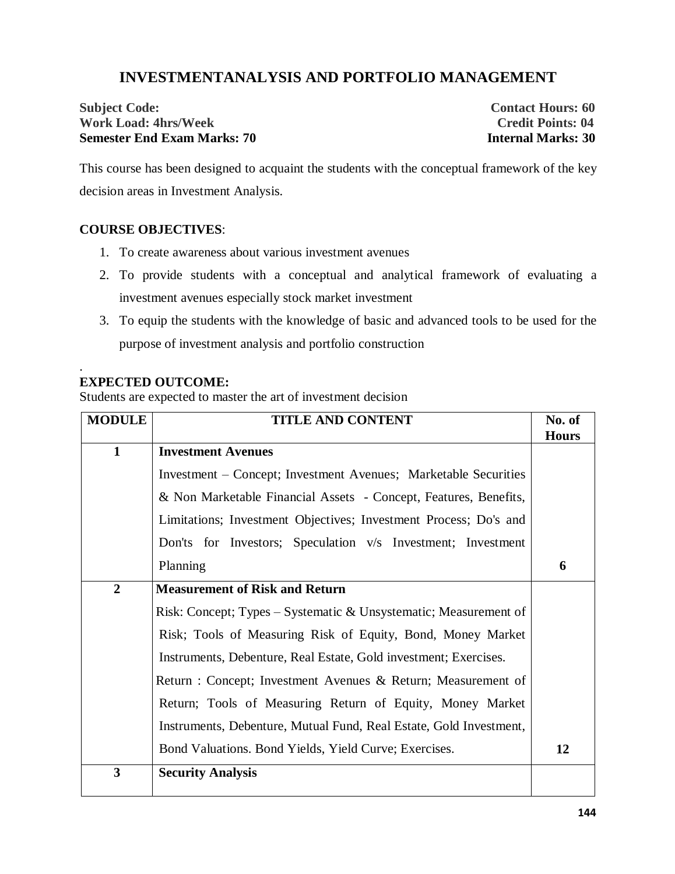# **INVESTMENTANALYSIS AND PORTFOLIO MANAGEMENT**

### **Subject Code:** Contact Hours: 60<br> **Subject Code:** Contact Hours: 60<br>
Credit Points: 04 **Work Load: 4hrs/Week Semester End Exam Marks: 70 Internal Marks: 30**

This course has been designed to acquaint the students with the conceptual framework of the key decision areas in Investment Analysis.

#### **COURSE OBJECTIVES**:

- 1. To create awareness about various investment avenues
- 2. To provide students with a conceptual and analytical framework of evaluating a investment avenues especially stock market investment
- 3. To equip the students with the knowledge of basic and advanced tools to be used for the purpose of investment analysis and portfolio construction

#### **EXPECTED OUTCOME:**

.

Students are expected to master the art of investment decision

| <b>MODULE</b>           | <b>TITLE AND CONTENT</b>                                           | No. of       |
|-------------------------|--------------------------------------------------------------------|--------------|
|                         |                                                                    | <b>Hours</b> |
| $\mathbf{1}$            | <b>Investment Avenues</b>                                          |              |
|                         | Investment – Concept; Investment Avenues; Marketable Securities    |              |
|                         | & Non Marketable Financial Assets - Concept, Features, Benefits,   |              |
|                         | Limitations; Investment Objectives; Investment Process; Do's and   |              |
|                         | Don'ts for Investors; Speculation v/s Investment; Investment       |              |
|                         | Planning                                                           | 6            |
| $\overline{2}$          | <b>Measurement of Risk and Return</b>                              |              |
|                         | Risk: Concept; Types – Systematic & Unsystematic; Measurement of   |              |
|                         | Risk; Tools of Measuring Risk of Equity, Bond, Money Market        |              |
|                         | Instruments, Debenture, Real Estate, Gold investment; Exercises.   |              |
|                         | Return : Concept; Investment Avenues & Return; Measurement of      |              |
|                         | Return; Tools of Measuring Return of Equity, Money Market          |              |
|                         | Instruments, Debenture, Mutual Fund, Real Estate, Gold Investment, |              |
|                         | Bond Valuations. Bond Yields, Yield Curve; Exercises.              | 12           |
| $\overline{\mathbf{3}}$ | <b>Security Analysis</b>                                           |              |
|                         |                                                                    |              |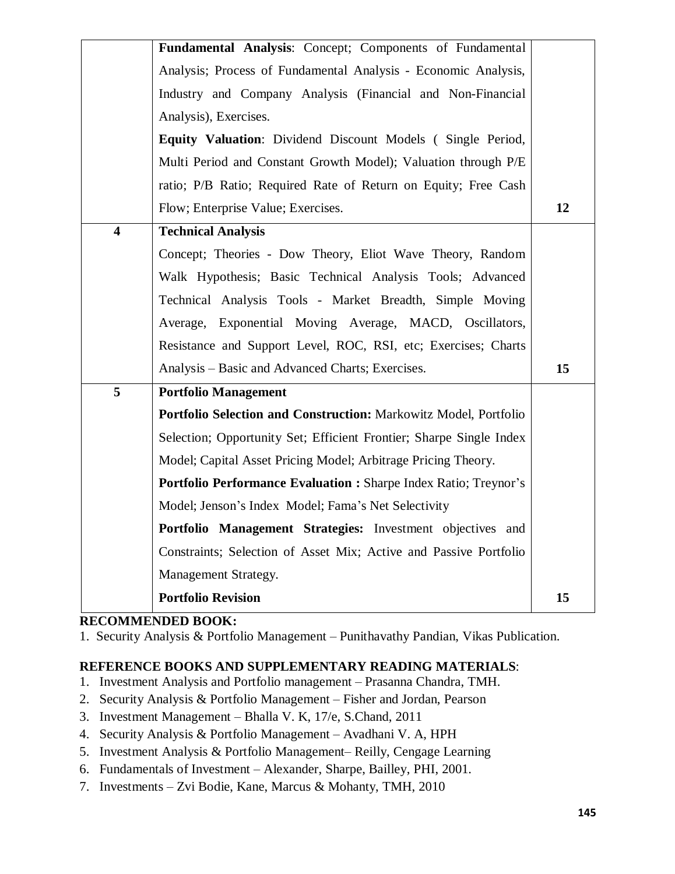|                         | Fundamental Analysis: Concept; Components of Fundamental                |    |
|-------------------------|-------------------------------------------------------------------------|----|
|                         | Analysis; Process of Fundamental Analysis - Economic Analysis,          |    |
|                         | Industry and Company Analysis (Financial and Non-Financial              |    |
|                         | Analysis), Exercises.                                                   |    |
|                         | <b>Equity Valuation:</b> Dividend Discount Models (Single Period,       |    |
|                         | Multi Period and Constant Growth Model); Valuation through P/E          |    |
|                         | ratio; P/B Ratio; Required Rate of Return on Equity; Free Cash          |    |
|                         | Flow; Enterprise Value; Exercises.                                      | 12 |
| $\overline{\mathbf{4}}$ | <b>Technical Analysis</b>                                               |    |
|                         | Concept; Theories - Dow Theory, Eliot Wave Theory, Random               |    |
|                         | Walk Hypothesis; Basic Technical Analysis Tools; Advanced               |    |
|                         | Technical Analysis Tools - Market Breadth, Simple Moving                |    |
|                         | Average, Exponential Moving Average, MACD, Oscillators,                 |    |
|                         | Resistance and Support Level, ROC, RSI, etc; Exercises; Charts          |    |
|                         | Analysis – Basic and Advanced Charts; Exercises.                        | 15 |
| 5                       | <b>Portfolio Management</b>                                             |    |
|                         | Portfolio Selection and Construction: Markowitz Model, Portfolio        |    |
|                         | Selection; Opportunity Set; Efficient Frontier; Sharpe Single Index     |    |
|                         | Model; Capital Asset Pricing Model; Arbitrage Pricing Theory.           |    |
|                         | <b>Portfolio Performance Evaluation : Sharpe Index Ratio; Treynor's</b> |    |
|                         | Model; Jenson's Index Model; Fama's Net Selectivity                     |    |
|                         | Portfolio Management Strategies: Investment objectives and              |    |
|                         | Constraints; Selection of Asset Mix; Active and Passive Portfolio       |    |
|                         | Management Strategy.                                                    |    |
|                         | <b>Portfolio Revision</b>                                               | 15 |
|                         |                                                                         |    |

### **RECOMMENDED BOOK:**

1. Security Analysis & Portfolio Management – Punithavathy Pandian, Vikas Publication.

### **REFERENCE BOOKS AND SUPPLEMENTARY READING MATERIALS**:

- 1. Investment Analysis and Portfolio management Prasanna Chandra, TMH.
- 2. Security Analysis & Portfolio Management Fisher and Jordan, Pearson
- 3. Investment Management Bhalla V. K, 17/e, S.Chand, 2011
- 4. Security Analysis & Portfolio Management Avadhani V. A, HPH
- 5. Investment Analysis & Portfolio Management– Reilly, Cengage Learning
- 6. Fundamentals of Investment Alexander, Sharpe, Bailley, PHI, 2001.
- 7. Investments Zvi Bodie, Kane, Marcus & Mohanty, TMH, 2010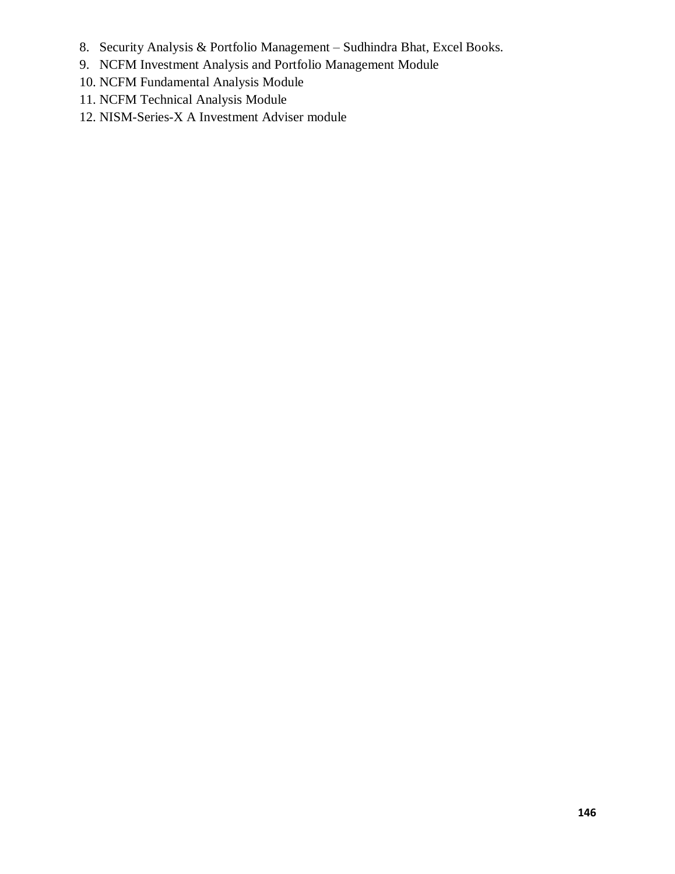- 8. Security Analysis & Portfolio Management Sudhindra Bhat, Excel Books.
- 9. NCFM Investment Analysis and Portfolio Management Module
- 10. NCFM Fundamental Analysis Module
- 11. NCFM Technical Analysis Module
- 12. NISM-Series-X A Investment Adviser module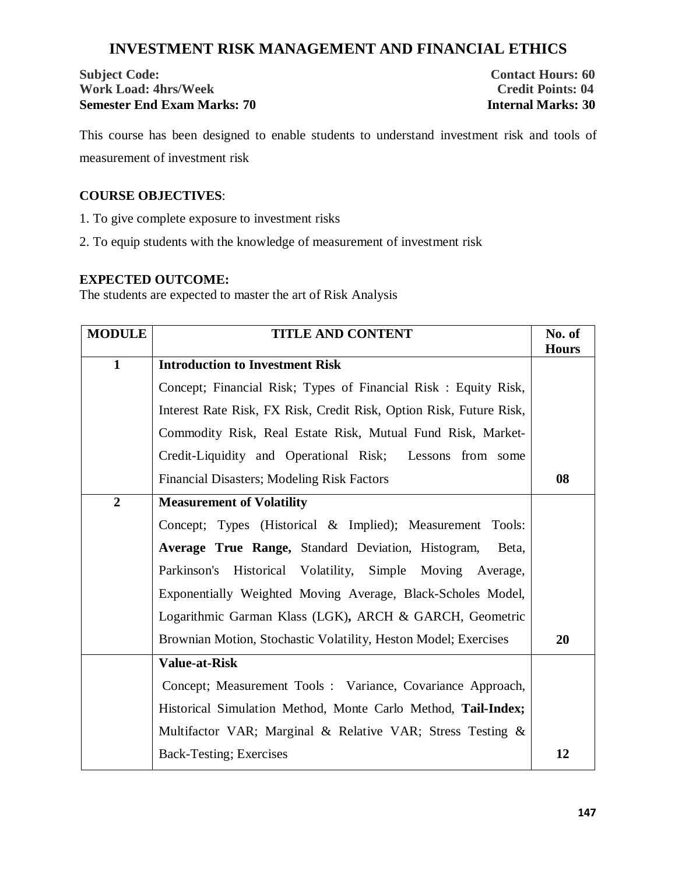# **INVESTMENT RISK MANAGEMENT AND FINANCIAL ETHICS**

## **Subject Code: Contact Hours: 60 Work Load: 4hrs/Week Credit Points: 04 Semester End Exam Marks: 70 Internal Marks: 30**

This course has been designed to enable students to understand investment risk and tools of measurement of investment risk

### **COURSE OBJECTIVES**:

1. To give complete exposure to investment risks

2. To equip students with the knowledge of measurement of investment risk

## **EXPECTED OUTCOME:**

The students are expected to master the art of Risk Analysis

| <b>MODULE</b>  | <b>TITLE AND CONTENT</b>                                            | No. of       |
|----------------|---------------------------------------------------------------------|--------------|
| $\mathbf{1}$   | <b>Introduction to Investment Risk</b>                              | <b>Hours</b> |
|                |                                                                     |              |
|                | Concept; Financial Risk; Types of Financial Risk : Equity Risk,     |              |
|                | Interest Rate Risk, FX Risk, Credit Risk, Option Risk, Future Risk, |              |
|                | Commodity Risk, Real Estate Risk, Mutual Fund Risk, Market-         |              |
|                | Credit-Liquidity and Operational Risk; Lessons from some            |              |
|                | Financial Disasters; Modeling Risk Factors                          | 08           |
| $\overline{2}$ | <b>Measurement of Volatility</b>                                    |              |
|                | Concept; Types (Historical & Implied); Measurement Tools:           |              |
|                | Average True Range, Standard Deviation, Histogram,<br>Beta,         |              |
|                | Parkinson's Historical Volatility, Simple Moving Average,           |              |
|                | Exponentially Weighted Moving Average, Black-Scholes Model,         |              |
|                | Logarithmic Garman Klass (LGK), ARCH & GARCH, Geometric             |              |
|                | Brownian Motion, Stochastic Volatility, Heston Model; Exercises     | <b>20</b>    |
|                | <b>Value-at-Risk</b>                                                |              |
|                | Concept; Measurement Tools: Variance, Covariance Approach,          |              |
|                | Historical Simulation Method, Monte Carlo Method, Tail-Index;       |              |
|                | Multifactor VAR; Marginal & Relative VAR; Stress Testing &          |              |
|                | Back-Testing; Exercises                                             | 12           |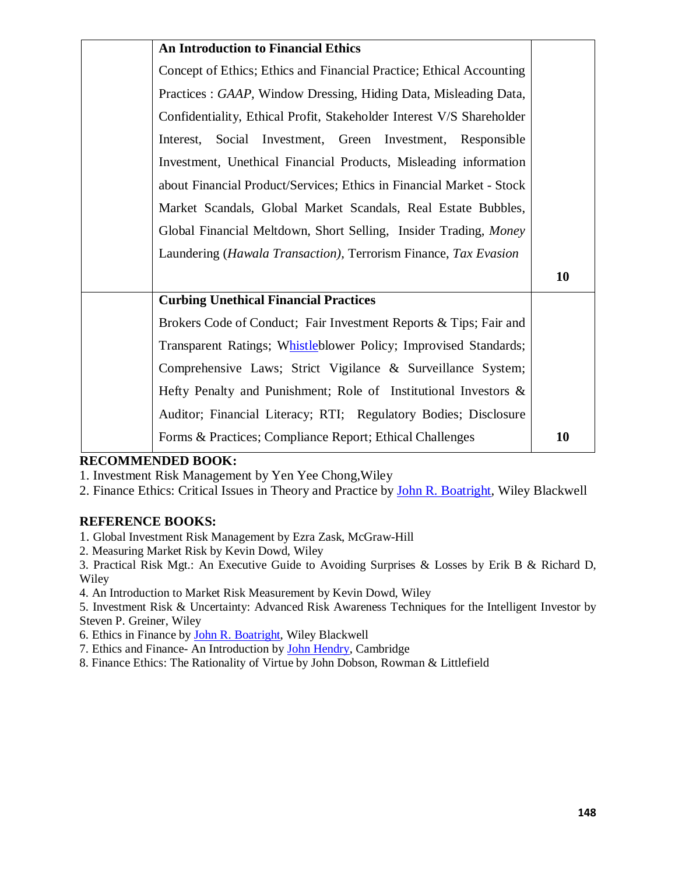| <b>An Introduction to Financial Ethics</b>                            |    |
|-----------------------------------------------------------------------|----|
| Concept of Ethics; Ethics and Financial Practice; Ethical Accounting  |    |
| Practices : GAAP, Window Dressing, Hiding Data, Misleading Data,      |    |
| Confidentiality, Ethical Profit, Stakeholder Interest V/S Shareholder |    |
| Interest, Social Investment, Green Investment, Responsible            |    |
| Investment, Unethical Financial Products, Misleading information      |    |
| about Financial Product/Services; Ethics in Financial Market - Stock  |    |
| Market Scandals, Global Market Scandals, Real Estate Bubbles,         |    |
| Global Financial Meltdown, Short Selling, Insider Trading, Money      |    |
| Laundering (Hawala Transaction), Terrorism Finance, Tax Evasion       |    |
|                                                                       | 10 |
| <b>Curbing Unethical Financial Practices</b>                          |    |
| Brokers Code of Conduct; Fair Investment Reports & Tips; Fair and     |    |
| Transparent Ratings; Whistleblower Policy; Improvised Standards;      |    |
| Comprehensive Laws; Strict Vigilance & Surveillance System;           |    |
| Hefty Penalty and Punishment; Role of Institutional Investors $\&$    |    |
| Auditor; Financial Literacy; RTI; Regulatory Bodies; Disclosure       |    |
| Forms & Practices; Compliance Report; Ethical Challenges              | 10 |

### **RECOMMENDED BOOK:**

1. Investment Risk Management by Yen Yee Chong,Wiley

2. Finance Ethics: Critical Issues in Theory and Practice by John R. Boatright, Wiley Blackwell

# **REFERENCE BOOKS:**

- 1. Global Investment Risk Management by Ezra Zask, McGraw-Hill
- 2. Measuring Market Risk by Kevin Dowd, Wiley

3. Practical Risk Mgt.: An Executive Guide to Avoiding Surprises & Losses by Erik B & Richard D, Wiley

4. An Introduction to Market Risk Measurement by Kevin Dowd, Wiley

5. Investment Risk & Uncertainty: Advanced Risk Awareness Techniques for the Intelligent Investor by Steven P. Greiner, Wiley

6. Ethics in Finance by John R. Boatright, Wiley Blackwell

7. Ethics and Finance- An Introduction by John Hendry, Cambridge

8. Finance Ethics: The Rationality of Virtue by John Dobson, Rowman & Littlefield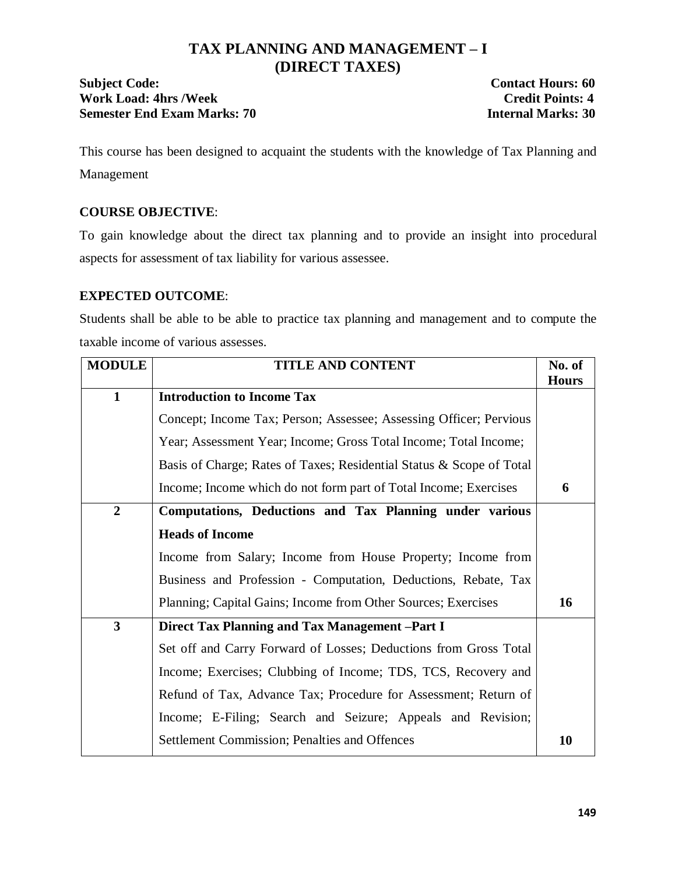# **TAX PLANNING AND MANAGEMENT – I (DIRECT TAXES)**

# **Subject Code:** Contact Hours: 60 Work Load: 4hrs /Week **Credit Points: 4**<br>
Semester End Exam Marks: 70 **Credit Points: 4 Semester End Exam Marks: 70**

This course has been designed to acquaint the students with the knowledge of Tax Planning and Management

# **COURSE OBJECTIVE**:

To gain knowledge about the direct tax planning and to provide an insight into procedural aspects for assessment of tax liability for various assessee.

# **EXPECTED OUTCOME**:

Students shall be able to be able to practice tax planning and management and to compute the taxable income of various assesses.

| <b>MODULE</b>           | <b>TITLE AND CONTENT</b>                                             |              |  |  |
|-------------------------|----------------------------------------------------------------------|--------------|--|--|
|                         |                                                                      | <b>Hours</b> |  |  |
| $\mathbf{1}$            | <b>Introduction to Income Tax</b>                                    |              |  |  |
|                         | Concept; Income Tax; Person; Assessee; Assessing Officer; Pervious   |              |  |  |
|                         | Year; Assessment Year; Income; Gross Total Income; Total Income;     |              |  |  |
|                         | Basis of Charge; Rates of Taxes; Residential Status & Scope of Total |              |  |  |
|                         | Income; Income which do not form part of Total Income; Exercises     | 6            |  |  |
| $\overline{2}$          | Computations, Deductions and Tax Planning under various              |              |  |  |
|                         | <b>Heads of Income</b>                                               |              |  |  |
|                         | Income from Salary; Income from House Property; Income from          |              |  |  |
|                         | Business and Profession - Computation, Deductions, Rebate, Tax       |              |  |  |
|                         | Planning; Capital Gains; Income from Other Sources; Exercises        | 16           |  |  |
| $\overline{\mathbf{3}}$ | Direct Tax Planning and Tax Management -Part I                       |              |  |  |
|                         | Set off and Carry Forward of Losses; Deductions from Gross Total     |              |  |  |
|                         | Income; Exercises; Clubbing of Income; TDS, TCS, Recovery and        |              |  |  |
|                         | Refund of Tax, Advance Tax; Procedure for Assessment; Return of      |              |  |  |
|                         | Income; E-Filing; Search and Seizure; Appeals and Revision;          |              |  |  |
|                         | <b>Settlement Commission; Penalties and Offences</b>                 | 10           |  |  |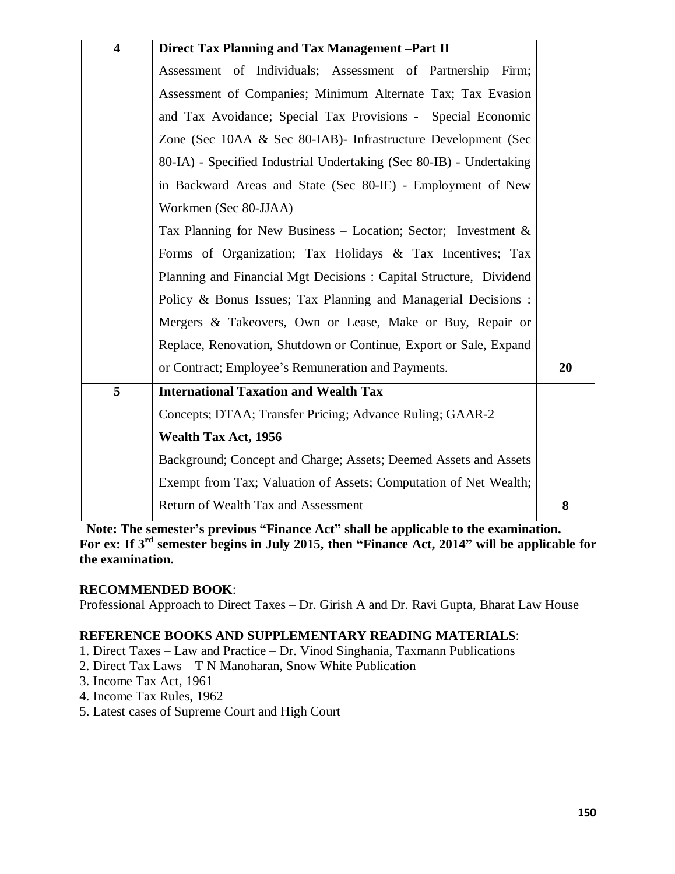| $\overline{\mathbf{4}}$ | Direct Tax Planning and Tax Management -Part II                     |    |
|-------------------------|---------------------------------------------------------------------|----|
|                         | Assessment of Individuals; Assessment of Partnership Firm;          |    |
|                         | Assessment of Companies; Minimum Alternate Tax; Tax Evasion         |    |
|                         | and Tax Avoidance; Special Tax Provisions - Special Economic        |    |
|                         | Zone (Sec 10AA & Sec 80-IAB)- Infrastructure Development (Sec       |    |
|                         | 80-IA) - Specified Industrial Undertaking (Sec 80-IB) - Undertaking |    |
|                         | in Backward Areas and State (Sec 80-IE) - Employment of New         |    |
|                         | Workmen (Sec 80-JJAA)                                               |    |
|                         | Tax Planning for New Business – Location; Sector; Investment $\&$   |    |
|                         | Forms of Organization; Tax Holidays & Tax Incentives; Tax           |    |
|                         | Planning and Financial Mgt Decisions: Capital Structure, Dividend   |    |
|                         | Policy & Bonus Issues; Tax Planning and Managerial Decisions:       |    |
|                         | Mergers & Takeovers, Own or Lease, Make or Buy, Repair or           |    |
|                         | Replace, Renovation, Shutdown or Continue, Export or Sale, Expand   |    |
|                         | or Contract; Employee's Remuneration and Payments.                  | 20 |
| 5                       | <b>International Taxation and Wealth Tax</b>                        |    |
|                         | Concepts; DTAA; Transfer Pricing; Advance Ruling; GAAR-2            |    |
|                         | <b>Wealth Tax Act, 1956</b>                                         |    |
|                         | Background; Concept and Charge; Assets; Deemed Assets and Assets    |    |
|                         | Exempt from Tax; Valuation of Assets; Computation of Net Wealth;    |    |
|                         | Return of Wealth Tax and Assessment                                 | 8  |
|                         |                                                                     |    |

**Note: The semester's previous "Finance Act" shall be applicable to the examination. For ex: If 3rd semester begins in July 2015, then "Finance Act, 2014" will be applicable for the examination.**

# **RECOMMENDED BOOK**:

Professional Approach to Direct Taxes – Dr. Girish A and Dr. Ravi Gupta, Bharat Law House

# **REFERENCE BOOKS AND SUPPLEMENTARY READING MATERIALS**:

- 1. Direct Taxes Law and Practice Dr. Vinod Singhania, Taxmann Publications
- 2. Direct Tax Laws T N Manoharan, Snow White Publication
- 3. Income Tax Act, 1961
- 4. Income Tax Rules, 1962
- 5. Latest cases of Supreme Court and High Court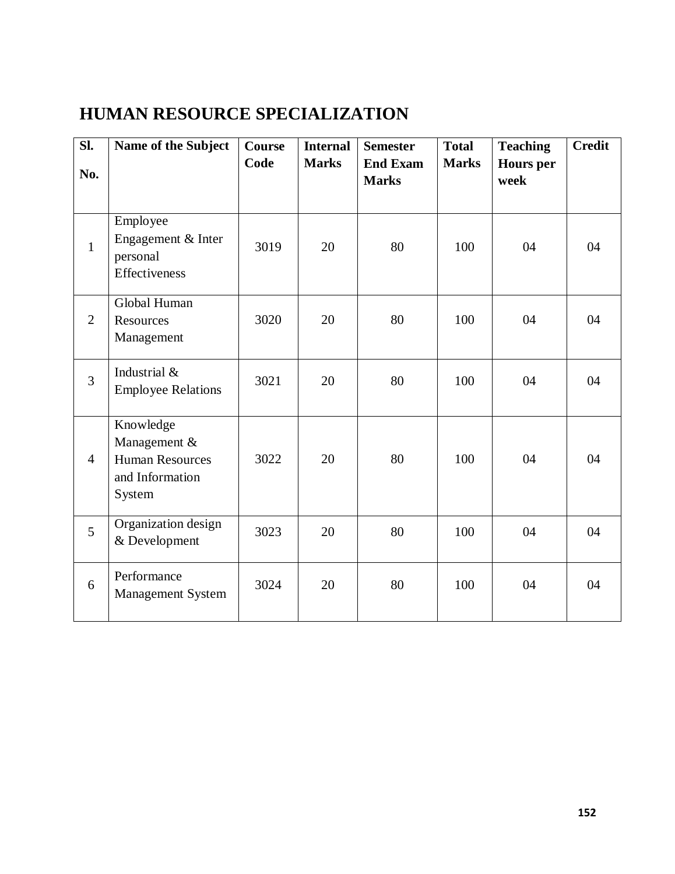# **HUMAN RESOURCE SPECIALIZATION**

| SI.<br>No.     | Name of the Subject                                                              | Course<br>Code | <b>Internal</b><br><b>Marks</b> | <b>Semester</b><br><b>End Exam</b><br><b>Marks</b> | <b>Total</b><br><b>Marks</b> | <b>Teaching</b><br><b>Hours</b> per<br>week | <b>Credit</b> |
|----------------|----------------------------------------------------------------------------------|----------------|---------------------------------|----------------------------------------------------|------------------------------|---------------------------------------------|---------------|
|                |                                                                                  |                |                                 |                                                    |                              |                                             |               |
| $\mathbf{1}$   | Employee<br>Engagement & Inter<br>personal<br>Effectiveness                      | 3019           | 20                              | 80                                                 | 100                          | 04                                          | 04            |
| $\overline{2}$ | Global Human<br>Resources<br>Management                                          | 3020           | 20                              | 80                                                 | 100                          | 04                                          | 04            |
| $\overline{3}$ | Industrial &<br><b>Employee Relations</b>                                        | 3021           | 20                              | 80                                                 | 100                          | 04                                          | 04            |
| $\overline{4}$ | Knowledge<br>Management &<br><b>Human Resources</b><br>and Information<br>System | 3022           | 20                              | 80                                                 | 100                          | 04                                          | 04            |
| 5              | Organization design<br>& Development                                             | 3023           | 20                              | 80                                                 | 100                          | 04                                          | 04            |
| 6              | Performance<br><b>Management System</b>                                          | 3024           | 20                              | 80                                                 | 100                          | 04                                          | 04            |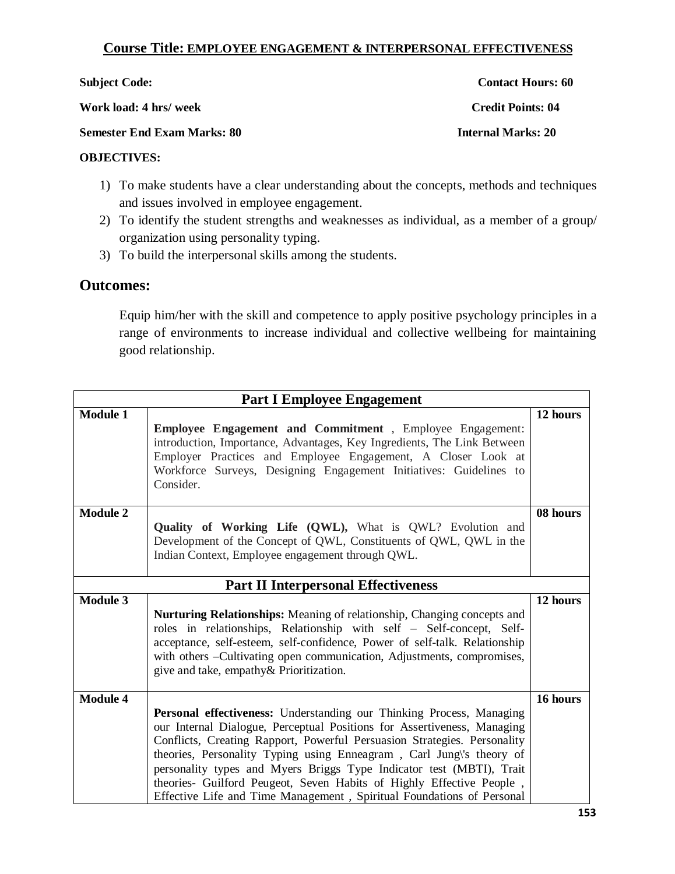# **Course Title: EMPLOYEE ENGAGEMENT & INTERPERSONAL EFFECTIVENESS**

| <b>Subject Code:</b>               | <b>Contact Hours: 60</b>  |
|------------------------------------|---------------------------|
| Work load: 4 hrs/ week             | <b>Credit Points: 04</b>  |
| <b>Semester End Exam Marks: 80</b> | <b>Internal Marks: 20</b> |
| <b>OBJECTIVES:</b>                 |                           |

- 1) To make students have a clear understanding about the concepts, methods and techniques and issues involved in employee engagement.
- 2) To identify the student strengths and weaknesses as individual, as a member of a group/ organization using personality typing.
- 3) To build the interpersonal skills among the students.

# **Outcomes:**

Equip him/her with the skill and competence to apply positive psychology principles in a range of environments to increase individual and collective wellbeing for maintaining good relationship.

| <b>Part I Employee Engagement</b>          |                                                                                                                                                                                                                                                                                                                                                                                                                                                                                                                              |          |  |  |
|--------------------------------------------|------------------------------------------------------------------------------------------------------------------------------------------------------------------------------------------------------------------------------------------------------------------------------------------------------------------------------------------------------------------------------------------------------------------------------------------------------------------------------------------------------------------------------|----------|--|--|
| <b>Module 1</b>                            | <b>Employee Engagement and Commitment</b> , Employee Engagement:<br>introduction, Importance, Advantages, Key Ingredients, The Link Between<br>Employer Practices and Employee Engagement, A Closer Look at<br>Workforce Surveys, Designing Engagement Initiatives: Guidelines to<br>Consider.                                                                                                                                                                                                                               | 12 hours |  |  |
| <b>Module 2</b>                            | Quality of Working Life (QWL), What is QWL? Evolution and<br>Development of the Concept of QWL, Constituents of QWL, QWL in the<br>Indian Context, Employee engagement through QWL.                                                                                                                                                                                                                                                                                                                                          | 08 hours |  |  |
| <b>Part II Interpersonal Effectiveness</b> |                                                                                                                                                                                                                                                                                                                                                                                                                                                                                                                              |          |  |  |
| <b>Module 3</b>                            | Nurturing Relationships: Meaning of relationship, Changing concepts and<br>roles in relationships, Relationship with self - Self-concept, Self-<br>acceptance, self-esteem, self-confidence, Power of self-talk. Relationship<br>with others - Cultivating open communication, Adjustments, compromises,<br>give and take, empathy& Prioritization.                                                                                                                                                                          | 12 hours |  |  |
| <b>Module 4</b>                            | Personal effectiveness: Understanding our Thinking Process, Managing<br>our Internal Dialogue, Perceptual Positions for Assertiveness, Managing<br>Conflicts, Creating Rapport, Powerful Persuasion Strategies. Personality<br>theories, Personality Typing using Enneagram, Carl Jung\'s theory of<br>personality types and Myers Briggs Type Indicator test (MBTI), Trait<br>theories- Guilford Peugeot, Seven Habits of Highly Effective People,<br>Effective Life and Time Management, Spiritual Foundations of Personal | 16 hours |  |  |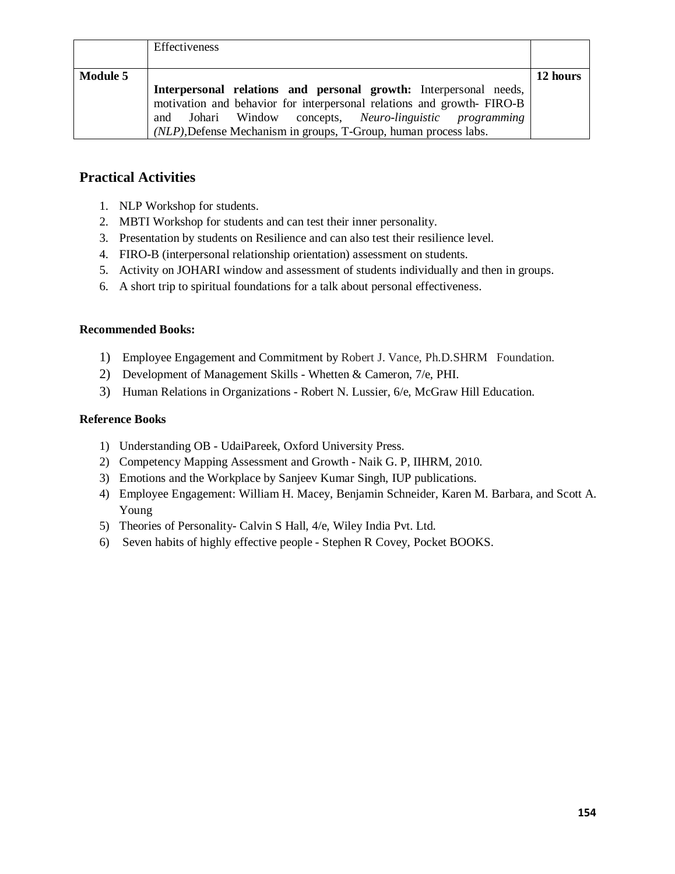|                 | Effectiveness                                                                                                                              |          |
|-----------------|--------------------------------------------------------------------------------------------------------------------------------------------|----------|
| <b>Module 5</b> |                                                                                                                                            | 12 hours |
|                 | Interpersonal relations and personal growth: Interpersonal needs,<br>motivation and behavior for interpersonal relations and growth-FIRO-B |          |
|                 | and Johari Window concepts, Neuro-linguistic programming                                                                                   |          |
|                 | (NLP), Defense Mechanism in groups, T-Group, human process labs.                                                                           |          |

# **Practical Activities**

- 1. NLP Workshop for students.
- 2. MBTI Workshop for students and can test their inner personality.
- 3. Presentation by students on Resilience and can also test their resilience level.
- 4. FIRO-B (interpersonal relationship orientation) assessment on students.
- 5. Activity on JOHARI window and assessment of students individually and then in groups.
- 6. A short trip to spiritual foundations for a talk about personal effectiveness.

### **Recommended Books:**

- 1) Employee Engagement and Commitment by Robert J. Vance, Ph.D.SHRM Foundation.
- 2) Development of Management Skills Whetten & Cameron, 7/e, PHI.
- 3) Human Relations in Organizations Robert N. Lussier, 6/e, McGraw Hill Education.

### **Reference Books**

- 1) Understanding OB UdaiPareek, Oxford University Press.
- 2) Competency Mapping Assessment and Growth Naik G. P, IIHRM, 2010.
- 3) Emotions and the Workplace by Sanjeev Kumar Singh, IUP publications.
- 4) Employee Engagement: William H. Macey, Benjamin Schneider, Karen M. Barbara, and Scott A. Young
- 5) Theories of Personality- Calvin S Hall, 4/e, Wiley India Pvt. Ltd.
- 6) Seven habits of highly effective people Stephen R Covey, Pocket BOOKS.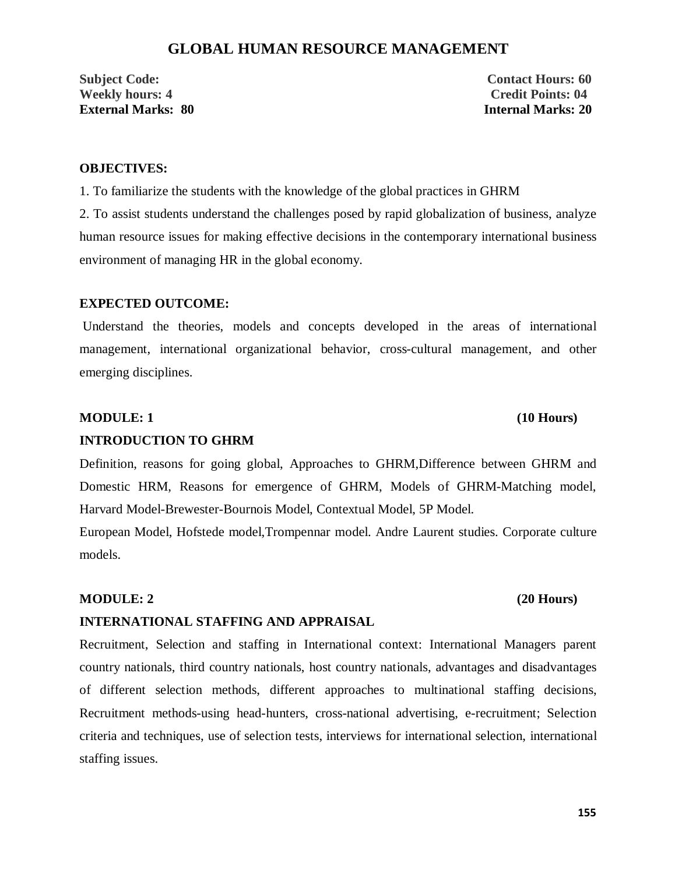# **GLOBAL HUMAN RESOURCE MANAGEMENT**

**Subject Code:** Contact Hours: 60 **Weekly hours: 4 Credit Points: 04 External Marks: 80 Internal Marks: 20**

### **OBJECTIVES:**

1. To familiarize the students with the knowledge of the global practices in GHRM

2. To assist students understand the challenges posed by rapid globalization of business, analyze human resource issues for making effective decisions in the contemporary international business environment of managing HR in the global economy.

#### **EXPECTED OUTCOME:**

Understand the theories, models and concepts developed in the areas of international management, international organizational behavior, cross-cultural management, and other emerging disciplines.

#### **MODULE: 1 (10 Hours)**

#### **INTRODUCTION TO GHRM**

Definition, reasons for going global, Approaches to GHRM,Difference between GHRM and Domestic HRM, Reasons for emergence of GHRM, Models of GHRM-Matching model, Harvard Model-Brewester-Bournois Model, Contextual Model, 5P Model.

European Model, Hofstede model,Trompennar model. Andre Laurent studies. Corporate culture models.

#### **MODULE: 2** (20 Hours)

## **INTERNATIONAL STAFFING AND APPRAISAL**

Recruitment, Selection and staffing in International context: International Managers parent country nationals, third country nationals, host country nationals, advantages and disadvantages of different selection methods, different approaches to multinational staffing decisions, Recruitment methods-using head-hunters, cross-national advertising, e-recruitment; Selection criteria and techniques, use of selection tests, interviews for international selection, international staffing issues.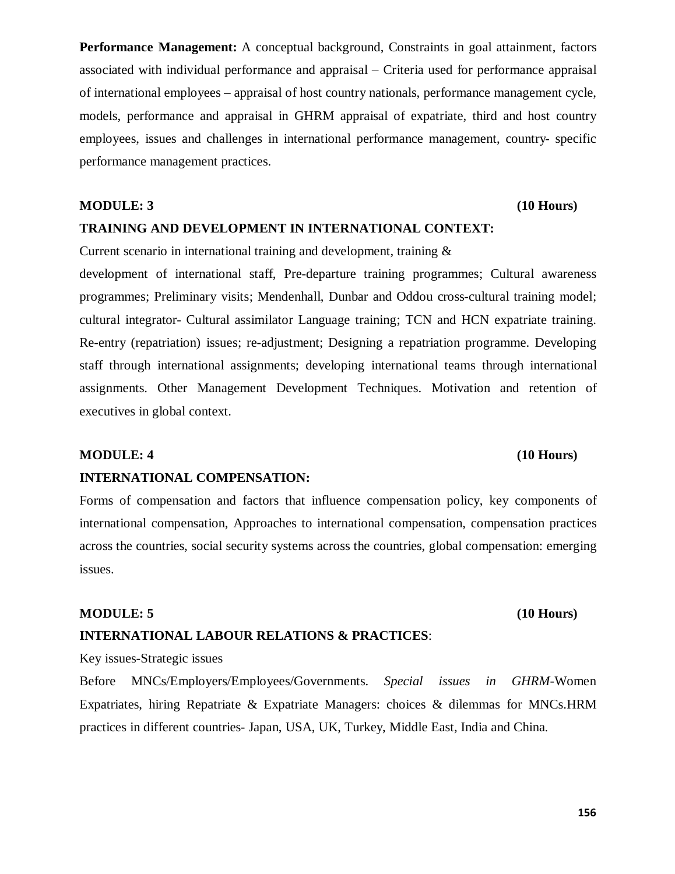**156**

**Performance Management:** A conceptual background, Constraints in goal attainment, factors associated with individual performance and appraisal – Criteria used for performance appraisal of international employees – appraisal of host country nationals, performance management cycle, models, performance and appraisal in GHRM appraisal of expatriate, third and host country employees, issues and challenges in international performance management, country- specific performance management practices.

# **MODULE: 3** (10 Hours) **TRAINING AND DEVELOPMENT IN INTERNATIONAL CONTEXT:**

Current scenario in international training and development, training &

development of international staff, Pre-departure training programmes; Cultural awareness programmes; Preliminary visits; Mendenhall, Dunbar and Oddou cross-cultural training model; cultural integrator- Cultural assimilator Language training; TCN and HCN expatriate training. Re-entry (repatriation) issues; re-adjustment; Designing a repatriation programme. Developing staff through international assignments; developing international teams through international assignments. Other Management Development Techniques. Motivation and retention of executives in global context.

## **MODULE: 4** (10 Hours)

#### **INTERNATIONAL COMPENSATION:**

Forms of compensation and factors that influence compensation policy, key components of international compensation, Approaches to international compensation, compensation practices across the countries, social security systems across the countries, global compensation: emerging issues.

#### **MODULE: 5 (10 Hours)**

### **INTERNATIONAL LABOUR RELATIONS & PRACTICES**:

Key issues-Strategic issues

Before MNCs/Employers/Employees/Governments. *Special issues in GHRM*-Women Expatriates, hiring Repatriate & Expatriate Managers: choices & dilemmas for MNCs.HRM practices in different countries- Japan, USA, UK, Turkey, Middle East, India and China.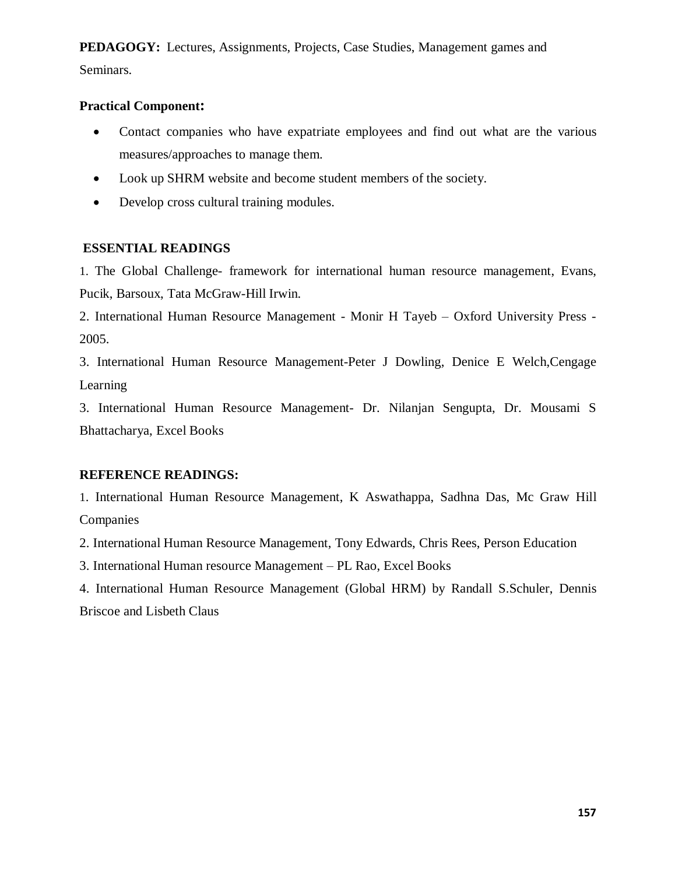**PEDAGOGY:** Lectures, Assignments, Projects, Case Studies, Management games and Seminars.

## **Practical Component:**

- · Contact companies who have expatriate employees and find out what are the various measures/approaches to manage them.
- · Look up SHRM website and become student members of the society.
- Develop cross cultural training modules.

# **ESSENTIAL READINGS**

1. The Global Challenge- framework for international human resource management, Evans, Pucik, Barsoux, Tata McGraw-Hill Irwin.

2. International Human Resource Management - Monir H Tayeb – Oxford University Press - 2005.

3. International Human Resource Management-Peter J Dowling, Denice E Welch,Cengage Learning

3. International Human Resource Management- Dr. Nilanjan Sengupta, Dr. Mousami S Bhattacharya, Excel Books

# **REFERENCE READINGS:**

1. International Human Resource Management, K Aswathappa, Sadhna Das, Mc Graw Hill Companies

2. International Human Resource Management, Tony Edwards, Chris Rees, Person Education

3. International Human resource Management – PL Rao, Excel Books

4. International Human Resource Management (Global HRM) by Randall S.Schuler, Dennis Briscoe and Lisbeth Claus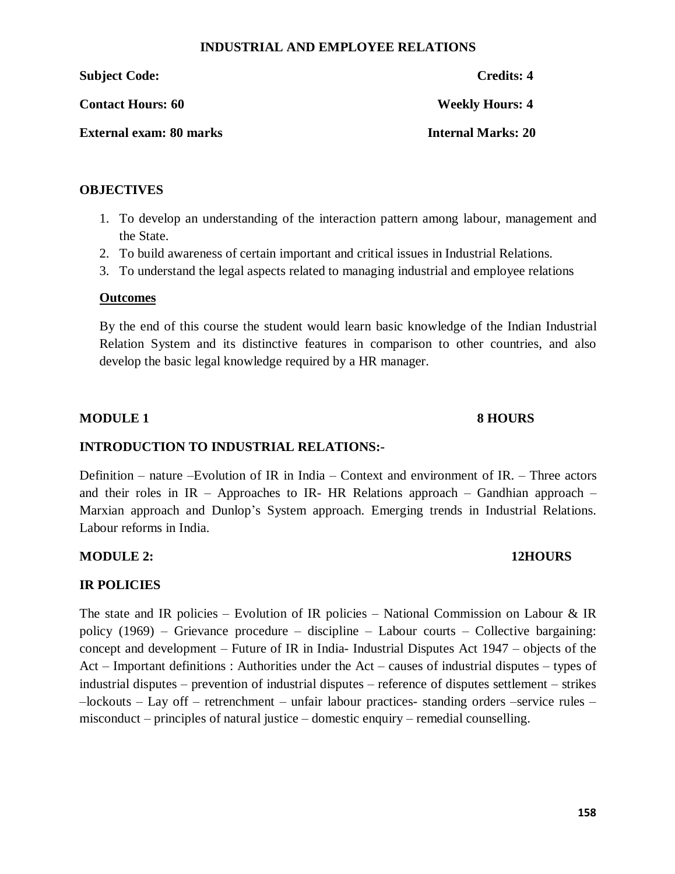### **INDUSTRIAL AND EMPLOYEE RELATIONS**

**Subject Code: Credits: 4**

**Contact Hours: 60 Weekly Hours: 4** 

**External exam: 80 marks Internal Marks: 20** 

## **OBJECTIVES**

- 1. To develop an understanding of the interaction pattern among labour, management and the State.
- 2. To build awareness of certain important and critical issues in Industrial Relations.
- 3. To understand the legal aspects related to managing industrial and employee relations

# **Outcomes**

By the end of this course the student would learn basic knowledge of the Indian Industrial Relation System and its distinctive features in comparison to other countries, and also develop the basic legal knowledge required by a HR manager.

## **MODULE 1 8 HOURS**

# **INTRODUCTION TO INDUSTRIAL RELATIONS:-**

Definition – nature –Evolution of IR in India – Context and environment of IR. – Three actors and their roles in IR – Approaches to IR- HR Relations approach – Gandhian approach – Marxian approach and Dunlop's System approach. Emerging trends in Industrial Relations. Labour reforms in India.

# **MODULE 2: 12HOURS**

# **IR POLICIES**

The state and IR policies – Evolution of IR policies – National Commission on Labour & IR policy (1969) – Grievance procedure – discipline – Labour courts – Collective bargaining: concept and development – Future of IR in India- Industrial Disputes Act 1947 – objects of the Act – Important definitions : Authorities under the Act – causes of industrial disputes – types of industrial disputes – prevention of industrial disputes – reference of disputes settlement – strikes –lockouts – Lay off – retrenchment – unfair labour practices- standing orders –service rules – misconduct – principles of natural justice – domestic enquiry – remedial counselling.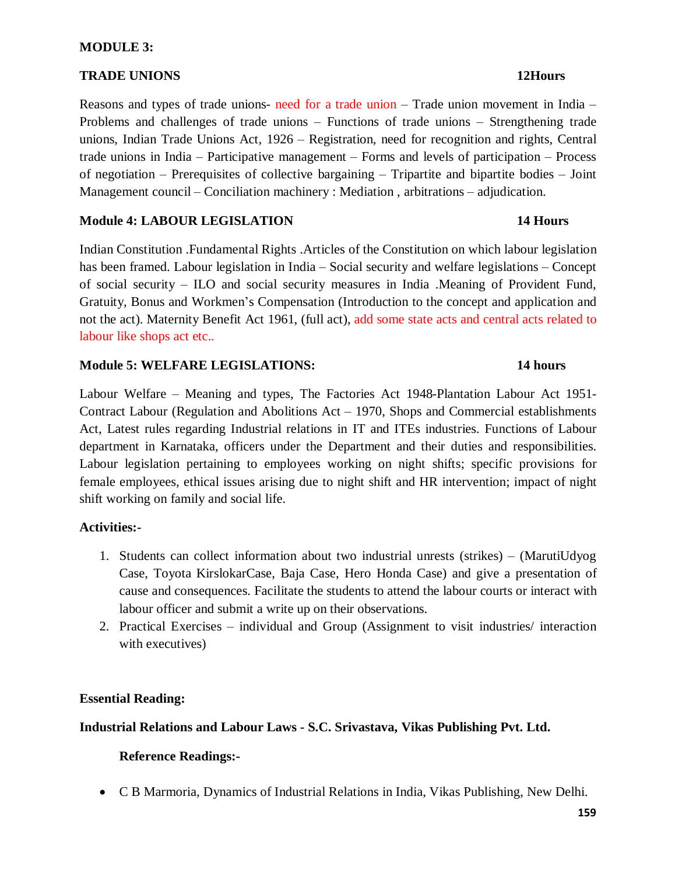### **MODULE 3:**

## **TRADE UNIONS** 12Hours

Reasons and types of trade unions- need for a trade union – Trade union movement in India – Problems and challenges of trade unions – Functions of trade unions – Strengthening trade unions, Indian Trade Unions Act, 1926 – Registration, need for recognition and rights, Central trade unions in India – Participative management – Forms and levels of participation – Process of negotiation – Prerequisites of collective bargaining – Tripartite and bipartite bodies – Joint Management council – Conciliation machinery : Mediation , arbitrations – adjudication.

### **Module 4: LABOUR LEGISLATION 14 Hours**

Indian Constitution .Fundamental Rights .Articles of the Constitution on which labour legislation has been framed. Labour legislation in India – Social security and welfare legislations – Concept of social security – ILO and social security measures in India .Meaning of Provident Fund, Gratuity, Bonus and Workmen's Compensation (Introduction to the concept and application and not the act). Maternity Benefit Act 1961, (full act), add some state acts and central acts related to labour like shops act etc..

### **Module 5: WELFARE LEGISLATIONS: 14 hours**

Labour Welfare – Meaning and types, The Factories Act 1948-Plantation Labour Act 1951- Contract Labour (Regulation and Abolitions Act – 1970, Shops and Commercial establishments Act, Latest rules regarding Industrial relations in IT and ITEs industries. Functions of Labour department in Karnataka, officers under the Department and their duties and responsibilities. Labour legislation pertaining to employees working on night shifts; specific provisions for female employees, ethical issues arising due to night shift and HR intervention; impact of night shift working on family and social life.

### **Activities:-**

- 1. Students can collect information about two industrial unrests (strikes) (MarutiUdyog Case, Toyota KirslokarCase, Baja Case, Hero Honda Case) and give a presentation of cause and consequences. Facilitate the students to attend the labour courts or interact with labour officer and submit a write up on their observations.
- 2. Practical Exercises individual and Group (Assignment to visit industries/ interaction with executives)

# **Essential Reading:**

# **Industrial Relations and Labour Laws - S.C. Srivastava, Vikas Publishing Pvt. Ltd.**

# **Reference Readings:-**

· C B Marmoria, Dynamics of Industrial Relations in India, Vikas Publishing, New Delhi.

### **159**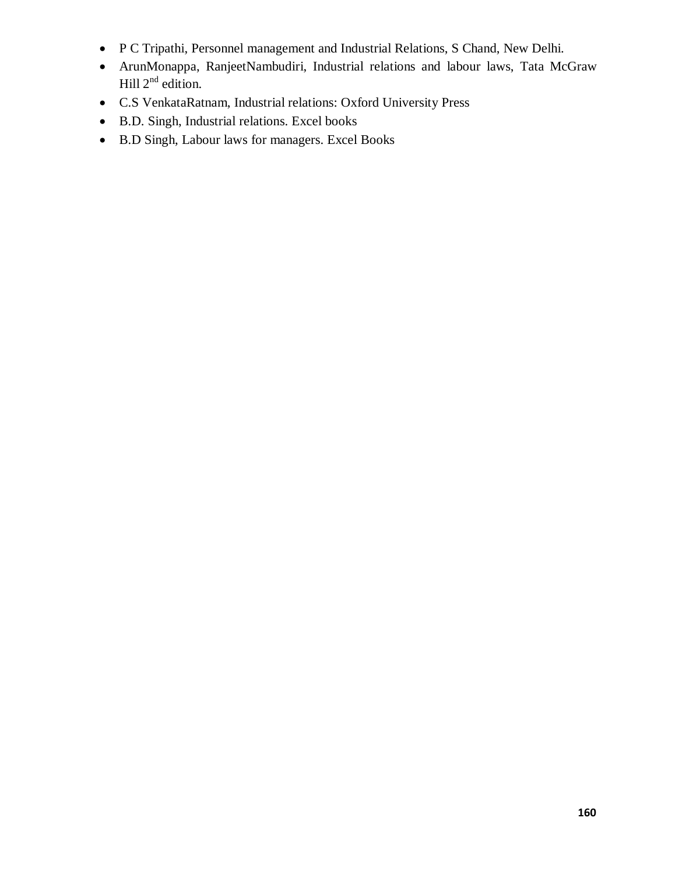- · P C Tripathi, Personnel management and Industrial Relations, S Chand, New Delhi.
- · ArunMonappa, RanjeetNambudiri, Industrial relations and labour laws, Tata McGraw Hill  $2^{nd}$  edition.
- · C.S VenkataRatnam, Industrial relations: Oxford University Press
- · B.D. Singh, Industrial relations. Excel books
- · B.D Singh, Labour laws for managers. Excel Books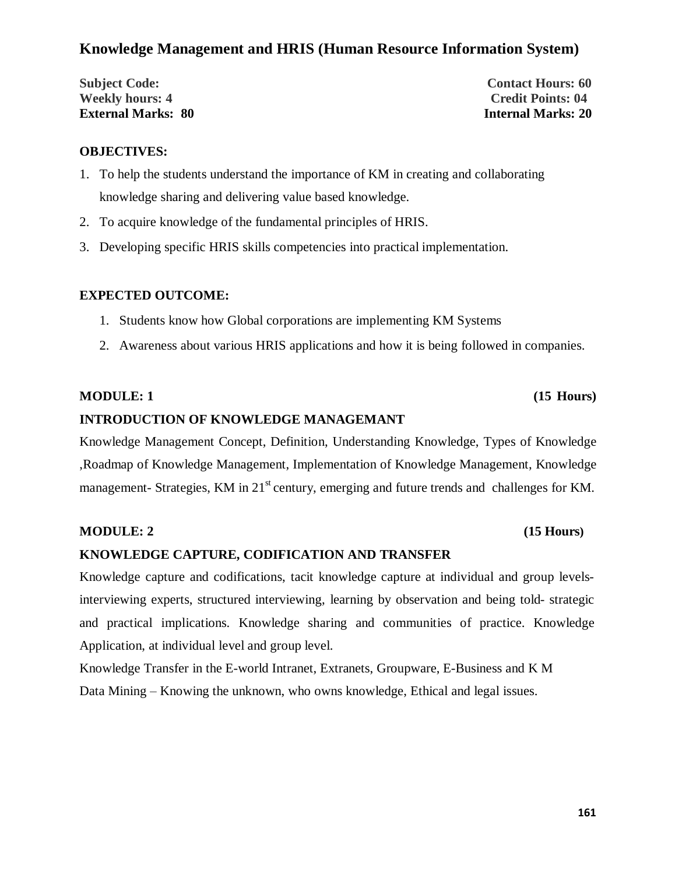# **Knowledge Management and HRIS (Human Resource Information System)**

**Subject Code: Contact Hours: 60 Weekly hours: 4 Credit Points: 04 External Marks: 80 Internal Marks: 20**

### **OBJECTIVES:**

- 1. To help the students understand the importance of KM in creating and collaborating knowledge sharing and delivering value based knowledge.
- 2. To acquire knowledge of the fundamental principles of HRIS.
- 3. Developing specific HRIS skills competencies into practical implementation.

## **EXPECTED OUTCOME:**

- 1. Students know how Global corporations are implementing KM Systems
- 2. Awareness about various HRIS applications and how it is being followed in companies.

### **MODULE: 1 (15 Hours)**

## **INTRODUCTION OF KNOWLEDGE MANAGEMANT**

Knowledge Management Concept, Definition, Understanding Knowledge, Types of Knowledge ,Roadmap of Knowledge Management, Implementation of Knowledge Management, Knowledge management- Strategies, KM in 21<sup>st</sup> century, emerging and future trends and challenges for KM.

### **MODULE: 2** (15 Hours)

### **KNOWLEDGE CAPTURE, CODIFICATION AND TRANSFER**

Knowledge capture and codifications, tacit knowledge capture at individual and group levelsinterviewing experts, structured interviewing, learning by observation and being told- strategic and practical implications. Knowledge sharing and communities of practice. Knowledge Application, at individual level and group level.

Knowledge Transfer in the E-world Intranet, Extranets, Groupware, E-Business and K M Data Mining – Knowing the unknown, who owns knowledge, Ethical and legal issues.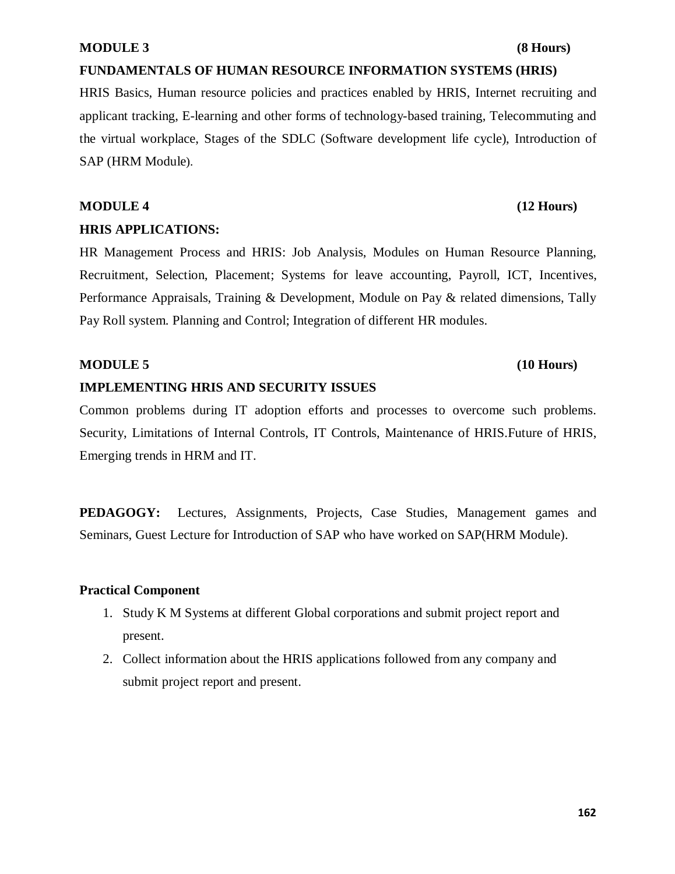### **MODULE 3** (8 Hours)

### **FUNDAMENTALS OF HUMAN RESOURCE INFORMATION SYSTEMS (HRIS)**

HRIS Basics, Human resource policies and practices enabled by HRIS, Internet recruiting and applicant tracking, E-learning and other forms of technology-based training, Telecommuting and the virtual workplace, Stages of the SDLC (Software development life cycle), Introduction of SAP (HRM Module).

# **MODULE 4 (12 Hours) HRIS APPLICATIONS:**

HR Management Process and HRIS: Job Analysis, Modules on Human Resource Planning, Recruitment, Selection, Placement; Systems for leave accounting, Payroll, ICT, Incentives, Performance Appraisals, Training & Development, Module on Pay & related dimensions, Tally Pay Roll system. Planning and Control; Integration of different HR modules.

### **MODULE 5 (10 Hours)**

# **IMPLEMENTING HRIS AND SECURITY ISSUES**

Common problems during IT adoption efforts and processes to overcome such problems. Security, Limitations of Internal Controls, IT Controls, Maintenance of HRIS.Future of HRIS, Emerging trends in HRM and IT.

**PEDAGOGY:** Lectures, Assignments, Projects, Case Studies, Management games and Seminars, Guest Lecture for Introduction of SAP who have worked on SAP(HRM Module).

### **Practical Component**

- 1. Study K M Systems at different Global corporations and submit project report and present.
- 2. Collect information about the HRIS applications followed from any company and submit project report and present.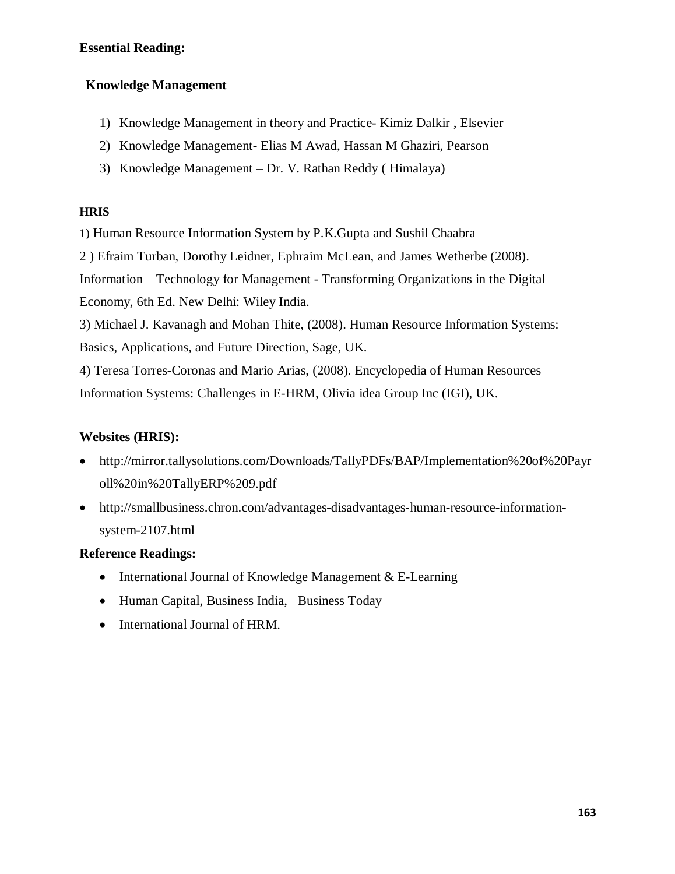# **Essential Reading:**

## **Knowledge Management**

- 1) Knowledge Management in theory and Practice- Kimiz Dalkir , Elsevier
- 2) Knowledge Management- Elias M Awad, Hassan M Ghaziri, Pearson
- 3) Knowledge Management Dr. V. Rathan Reddy ( Himalaya)

### **HRIS**

1) Human Resource Information System by P.K.Gupta and Sushil Chaabra

2 ) Efraim Turban, Dorothy Leidner, Ephraim McLean, and James Wetherbe (2008).

Information Technology for Management - Transforming Organizations in the Digital Economy, 6th Ed. New Delhi: Wiley India.

3) Michael J. Kavanagh and Mohan Thite, (2008). Human Resource Information Systems: Basics, Applications, and Future Direction, Sage, UK.

4) Teresa Torres-Coronas and Mario Arias, (2008). Encyclopedia of Human Resources Information Systems: Challenges in E-HRM, Olivia idea Group Inc (IGI), UK.

## **Websites (HRIS):**

- · http://mirror.tallysolutions.com/Downloads/TallyPDFs/BAP/Implementation%20of%20Payr oll%20in%20TallyERP%209.pdf
- · http://smallbusiness.chron.com/advantages-disadvantages-human-resource-informationsystem-2107.html

### **Reference Readings:**

- International Journal of Knowledge Management & E-Learning
- · Human Capital, Business India, Business Today
- · International Journal of HRM.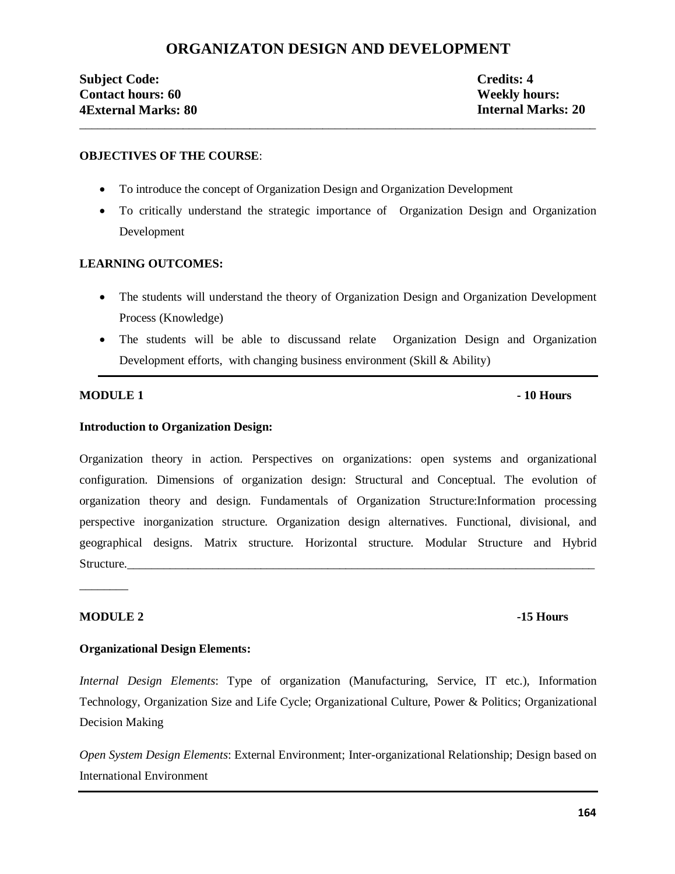# **ORGANIZATON DESIGN AND DEVELOPMENT**

\_\_\_\_\_\_\_\_\_\_\_\_\_\_\_\_\_\_\_\_\_\_\_\_\_\_\_\_\_\_\_\_\_\_\_\_\_\_\_\_\_\_\_\_\_\_\_\_\_\_\_\_\_\_\_\_\_\_\_\_\_\_\_\_\_\_\_\_\_\_\_\_\_\_\_\_\_\_\_\_\_\_\_\_\_

## **Subject Code: Credits: 4 Contact hours: 60** Weekly hours: **4External Marks: 80 Internal Marks: 20**

#### **OBJECTIVES OF THE COURSE**:

- · To introduce the concept of Organization Design and Organization Development
- · To critically understand the strategic importance of Organization Design and Organization Development

#### **LEARNING OUTCOMES:**

- The students will understand the theory of Organization Design and Organization Development Process (Knowledge)
- The students will be able to discussand relate Organization Design and Organization Development efforts, with changing business environment (Skill & Ability)

#### **MODULE 1**  $\blacksquare$  **10 Hours**

#### **Introduction to Organization Design:**

Organization theory in action. Perspectives on organizations: open systems and organizational configuration. Dimensions of organization design: Structural and Conceptual. The evolution of organization theory and design. Fundamentals of Organization Structure:Information processing perspective inorganization structure. Organization design alternatives. Functional, divisional, and geographical designs. Matrix structure. Horizontal structure. Modular Structure and Hybrid Structure.

#### **MODULE 2** -15 Hours

\_\_\_\_\_\_\_\_

#### **Organizational Design Elements:**

*Internal Design Elements*: Type of organization (Manufacturing, Service, IT etc.), Information Technology, Organization Size and Life Cycle; Organizational Culture, Power & Politics; Organizational Decision Making

*Open System Design Elements*: External Environment; Inter-organizational Relationship; Design based on International Environment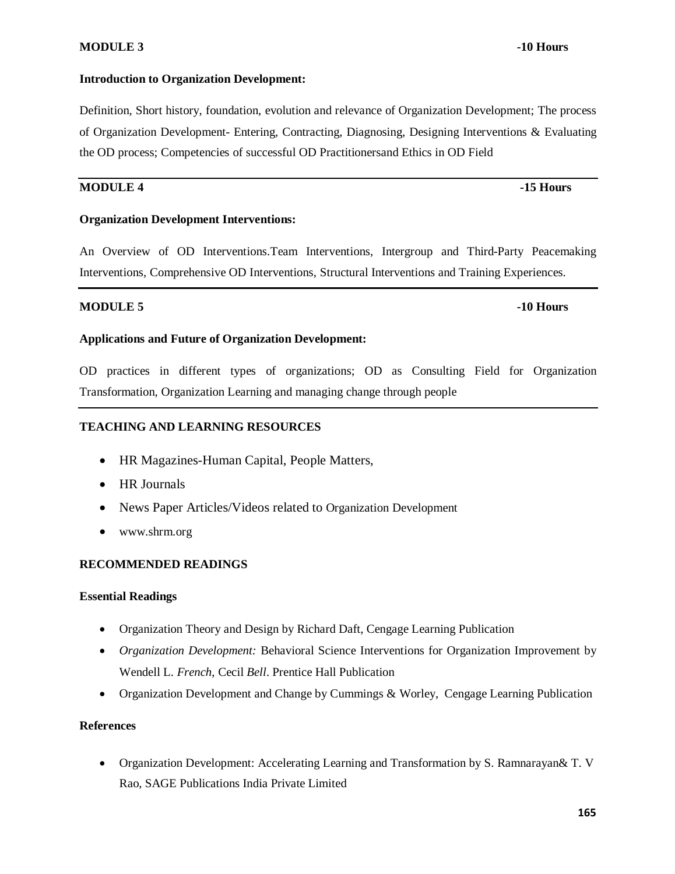### **MODULE 3** -10 Hours

#### **Introduction to Organization Development:**

# Definition, Short history, foundation, evolution and relevance of Organization Development; The process of Organization Development- Entering, Contracting, Diagnosing, Designing Interventions & Evaluating the OD process; Competencies of successful OD Practitionersand Ethics in OD Field

### **MODULE 4 -15 Hours**

#### **Organization Development Interventions:**

An Overview of OD Interventions.Team Interventions, Intergroup and Third-Party Peacemaking Interventions, Comprehensive OD Interventions, Structural Interventions and Training Experiences.

#### **MODULE 5 -10 Hours**

#### **Applications and Future of Organization Development:**

OD practices in different types of organizations; OD as Consulting Field for Organization Transformation, Organization Learning and managing change through people

#### **TEACHING AND LEARNING RESOURCES**

- · HR Magazines-Human Capital, People Matters,
- · HR Journals
- · News Paper Articles/Videos related to Organization Development
- www.shrm.org

#### **RECOMMENDED READINGS**

#### **Essential Readings**

- · Organization Theory and Design by Richard Daft, Cengage Learning Publication
- · *Organization Development:* Behavioral Science Interventions for Organization Improvement by Wendell L. *French*, Cecil *Bell*. Prentice Hall Publication
- Organization Development and Change by Cummings & Worley, Cengage Learning Publication

#### **References**

· Organization Development: Accelerating Learning and Transformation by S. Ramnarayan& T. V Rao, SAGE Publications India Private Limited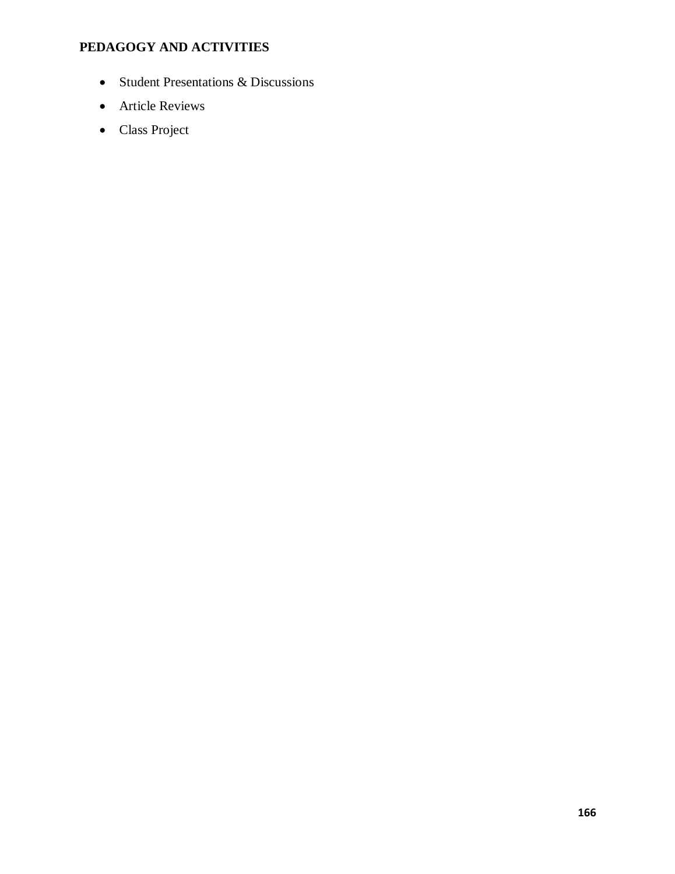# **PEDAGOGY AND ACTIVITIES**

- · Student Presentations & Discussions
- Article Reviews
- Class Project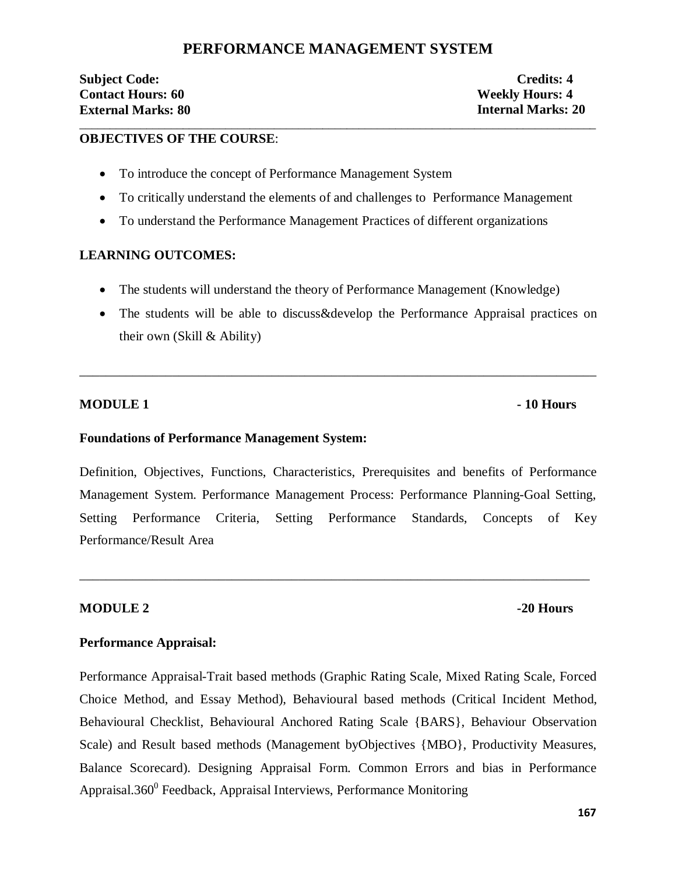# **PERFORMANCE MANAGEMENT SYSTEM**

\_\_\_\_\_\_\_\_\_\_\_\_\_\_\_\_\_\_\_\_\_\_\_\_\_\_\_\_\_\_\_\_\_\_\_\_\_\_\_\_\_\_\_\_\_\_\_\_\_\_\_\_\_\_\_\_\_\_\_\_\_\_\_\_\_\_\_\_\_\_\_\_\_\_\_\_\_\_\_\_\_\_\_\_\_

## **Subject Code: Credits: 4 Contact Hours: 60 Weekly Hours: 4 External Marks: 80 Internal Marks: 20**

### **OBJECTIVES OF THE COURSE**:

- To introduce the concept of Performance Management System
- · To critically understand the elements of and challenges to Performance Management
- · To understand the Performance Management Practices of different organizations

### **LEARNING OUTCOMES:**

- The students will understand the theory of Performance Management (Knowledge)
- The students will be able to discuss&develop the Performance Appraisal practices on their own (Skill & Ability)

\_\_\_\_\_\_\_\_\_\_\_\_\_\_\_\_\_\_\_\_\_\_\_\_\_\_\_\_\_\_\_\_\_\_\_\_\_\_\_\_\_\_\_\_\_\_\_\_\_\_\_\_\_\_\_\_\_\_\_\_\_\_\_\_\_\_\_\_\_\_\_\_\_\_\_\_\_\_

#### **MODULE 1 Fig. 10 Hours**

#### **Foundations of Performance Management System:**

Definition, Objectives, Functions, Characteristics, Prerequisites and benefits of Performance Management System. Performance Management Process: Performance Planning-Goal Setting, Setting Performance Criteria, Setting Performance Standards, Concepts of Key Performance/Result Area

\_\_\_\_\_\_\_\_\_\_\_\_\_\_\_\_\_\_\_\_\_\_\_\_\_\_\_\_\_\_\_\_\_\_\_\_\_\_\_\_\_\_\_\_\_\_\_\_\_\_\_\_\_\_\_\_\_\_\_\_\_\_\_\_\_\_\_\_\_\_\_\_\_\_\_\_\_

### **MODULE 2** -20 Hours

### **Performance Appraisal:**

Performance Appraisal-Trait based methods (Graphic Rating Scale, Mixed Rating Scale, Forced Choice Method, and Essay Method), Behavioural based methods (Critical Incident Method, Behavioural Checklist, Behavioural Anchored Rating Scale {BARS}, Behaviour Observation Scale) and Result based methods (Management byObjectives {MBO}, Productivity Measures, Balance Scorecard). Designing Appraisal Form. Common Errors and bias in Performance Appraisal.360 $^0$  Feedback, Appraisal Interviews, Performance Monitoring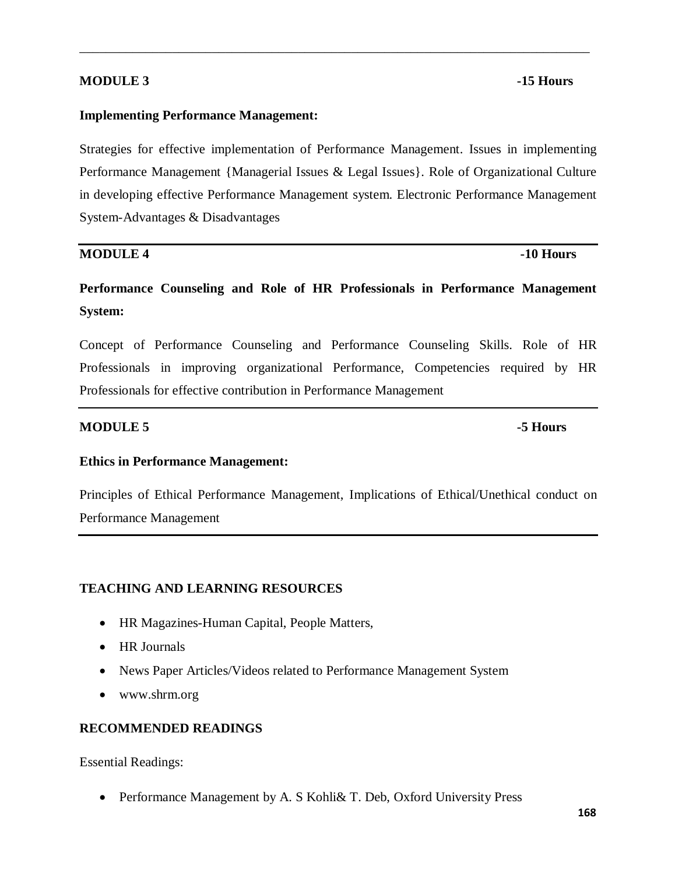### **MODULE 3** -15 Hours

#### **Implementing Performance Management:**

Strategies for effective implementation of Performance Management. Issues in implementing Performance Management {Managerial Issues & Legal Issues}. Role of Organizational Culture in developing effective Performance Management system. Electronic Performance Management System-Advantages & Disadvantages

\_\_\_\_\_\_\_\_\_\_\_\_\_\_\_\_\_\_\_\_\_\_\_\_\_\_\_\_\_\_\_\_\_\_\_\_\_\_\_\_\_\_\_\_\_\_\_\_\_\_\_\_\_\_\_\_\_\_\_\_\_\_\_\_\_\_\_\_\_\_\_\_\_\_\_\_\_

#### **MODULE 4 -10 Hours**

# **Performance Counseling and Role of HR Professionals in Performance Management System:**

Concept of Performance Counseling and Performance Counseling Skills. Role of HR Professionals in improving organizational Performance, Competencies required by HR Professionals for effective contribution in Performance Management

### **MODULE 5 -5 Hours**

# **Ethics in Performance Management:**

Principles of Ethical Performance Management, Implications of Ethical/Unethical conduct on Performance Management

# **TEACHING AND LEARNING RESOURCES**

- · HR Magazines-Human Capital, People Matters,
- HR Journals
- · News Paper Articles/Videos related to Performance Management System
- www.shrm.org

### **RECOMMENDED READINGS**

Essential Readings:

· Performance Management by A. S Kohli& T. Deb, Oxford University Press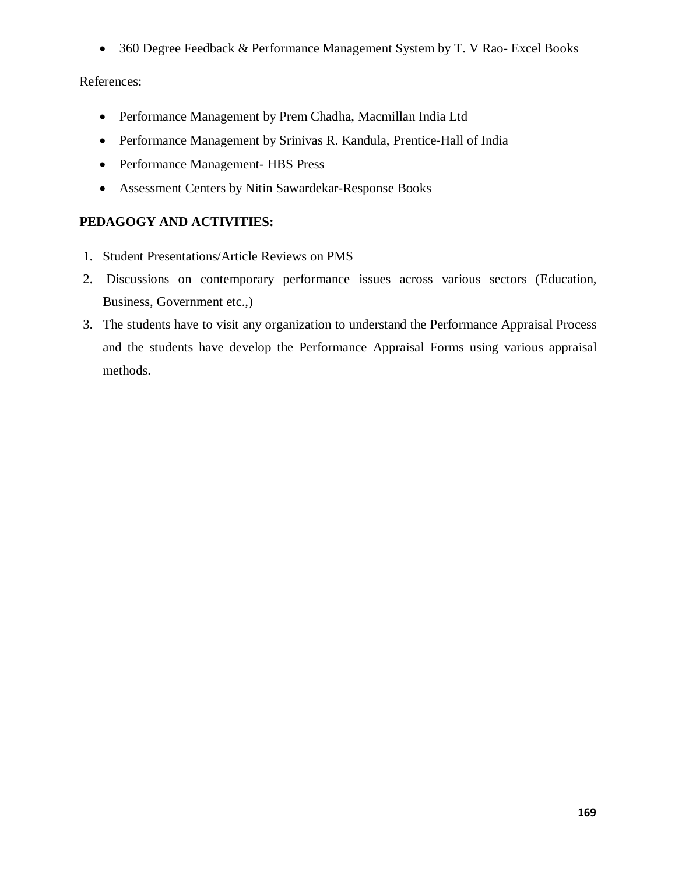· 360 Degree Feedback & Performance Management System by T. V Rao- Excel Books

## References:

- · Performance Management by Prem Chadha, Macmillan India Ltd
- · Performance Management by Srinivas R. Kandula, Prentice-Hall of India
- Performance Management- HBS Press
- · Assessment Centers by Nitin Sawardekar-Response Books

## **PEDAGOGY AND ACTIVITIES:**

- 1. Student Presentations/Article Reviews on PMS
- 2. Discussions on contemporary performance issues across various sectors (Education, Business, Government etc.,)
- 3. The students have to visit any organization to understand the Performance Appraisal Process and the students have develop the Performance Appraisal Forms using various appraisal methods.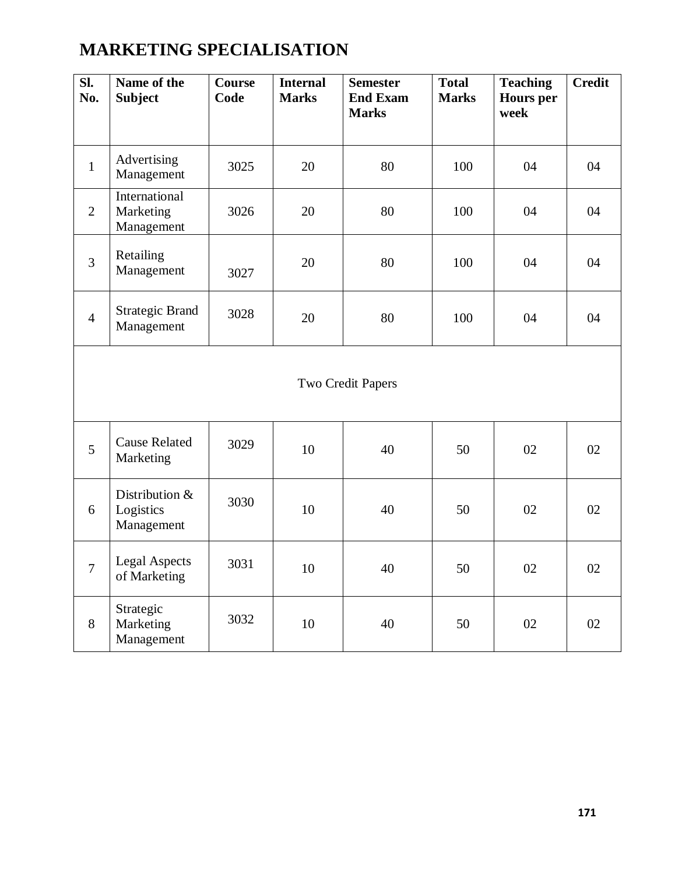# **MARKETING SPECIALISATION**

| $\overline{\text{SL}}$<br>No. | Name of the<br><b>Subject</b>             | <b>Course</b><br>Code | <b>Internal</b><br><b>Marks</b> | <b>Semester</b><br><b>End Exam</b><br><b>Marks</b> | <b>Total</b><br><b>Marks</b> | <b>Teaching</b><br><b>Hours</b> per<br>week | <b>Credit</b> |
|-------------------------------|-------------------------------------------|-----------------------|---------------------------------|----------------------------------------------------|------------------------------|---------------------------------------------|---------------|
| $\mathbf{1}$                  | Advertising<br>Management                 | 3025                  | 20                              | 80                                                 | 100                          | 04                                          | 04            |
| $\overline{2}$                | International<br>Marketing<br>Management  | 3026                  | 20                              | 80                                                 | 100                          | 04                                          | 04            |
| $\overline{3}$                | Retailing<br>Management                   | 3027                  | 20                              | 80                                                 | 100                          | 04                                          | 04            |
| $\overline{4}$                | <b>Strategic Brand</b><br>Management      | 3028                  | 20                              | 80                                                 | 100                          | 04                                          | 04            |
|                               | Two Credit Papers                         |                       |                                 |                                                    |                              |                                             |               |
| 5                             | <b>Cause Related</b><br>Marketing         | 3029                  | 10                              | 40                                                 | 50                           | 02                                          | 02            |
| 6                             | Distribution &<br>Logistics<br>Management | 3030                  | 10                              | 40                                                 | 50                           | 02                                          | 02            |
| $\overline{7}$                | <b>Legal Aspects</b><br>of Marketing      | 3031                  | 10                              | 40                                                 | 50                           | 02                                          | 02            |
| 8                             | Strategic<br>Marketing<br>Management      | 3032                  | 10                              | 40                                                 | 50                           | 02                                          | 02            |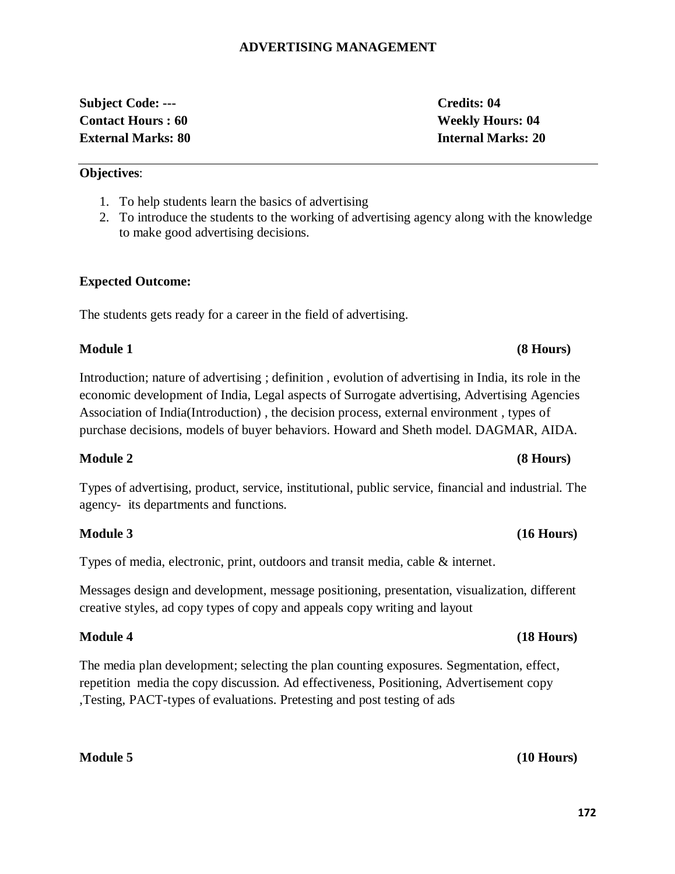# **ADVERTISING MANAGEMENT**

# **Subject Code: --- Credits: 04 Contact Hours : 60 Weekly Hours: 04 External Marks: 80 Internal Marks: 20**

**Objectives**:

1. To help students learn the basics of advertising

2. To introduce the students to the working of advertising agency along with the knowledge to make good advertising decisions.

# **Expected Outcome:**

The students gets ready for a career in the field of advertising.

# **Module 1 (8 Hours)**

Introduction; nature of advertising ; definition , evolution of advertising in India, its role in the economic development of India, Legal aspects of Surrogate advertising, Advertising Agencies Association of India(Introduction) , the decision process, external environment , types of purchase decisions, models of buyer behaviors. Howard and Sheth model. DAGMAR, AIDA.

# **Module 2 (8 Hours)**

Types of advertising, product, service, institutional, public service, financial and industrial. The agency- its departments and functions.

# **Module 3 (16 Hours)**

Types of media, electronic, print, outdoors and transit media, cable & internet.

Messages design and development, message positioning, presentation, visualization, different creative styles, ad copy types of copy and appeals copy writing and layout

# **Module 4 (18 Hours)**

The media plan development; selecting the plan counting exposures. Segmentation, effect, repetition media the copy discussion. Ad effectiveness, Positioning, Advertisement copy ,Testing, PACT-types of evaluations. Pretesting and post testing of ads

# **Module 5 (10 Hours)**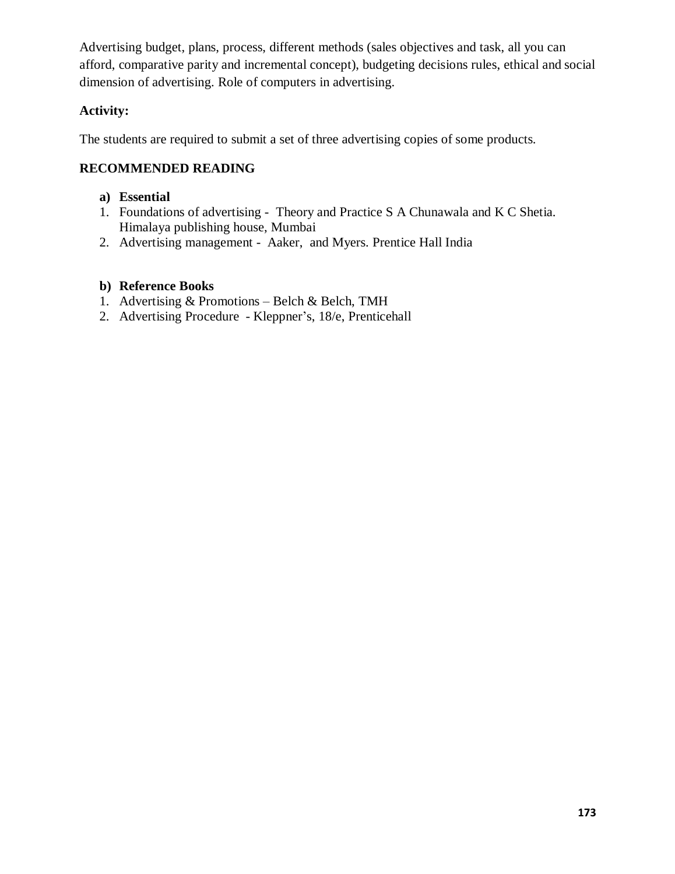Advertising budget, plans, process, different methods (sales objectives and task, all you can afford, comparative parity and incremental concept), budgeting decisions rules, ethical and social dimension of advertising. Role of computers in advertising.

# **Activity:**

The students are required to submit a set of three advertising copies of some products.

# **RECOMMENDED READING**

## **a) Essential**

- 1. Foundations of advertising Theory and Practice S A Chunawala and K C Shetia. Himalaya publishing house, Mumbai
- 2. Advertising management Aaker, and Myers. Prentice Hall India

# **b) Reference Books**

- 1. Advertising & Promotions Belch & Belch, TMH
- 2. Advertising Procedure Kleppner's, 18/e, Prenticehall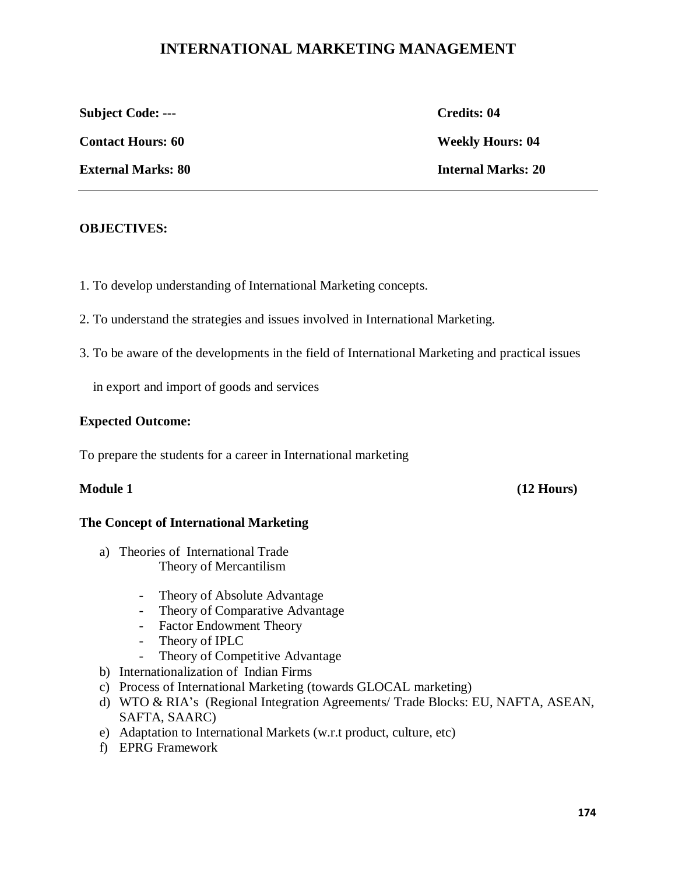# **INTERNATIONAL MARKETING MANAGEMENT**

**Subject Code: --- Credits: 04**

**Contact Hours: 60 Weekly Hours: 04** 

**External Marks: 80 Internal Marks: 20**

**OBJECTIVES:**

1. To develop understanding of International Marketing concepts.

- 2. To understand the strategies and issues involved in International Marketing.
- 3. To be aware of the developments in the field of International Marketing and practical issues

in export and import of goods and services

# **Expected Outcome:**

To prepare the students for a career in International marketing

**Module 1 (12 Hours)**

# **The Concept of International Marketing**

- a) Theories of International Trade Theory of Mercantilism
	- Theory of Absolute Advantage
	- Theory of Comparative Advantage
	- Factor Endowment Theory
	- Theory of IPLC
	- Theory of Competitive Advantage
- b) Internationalization of Indian Firms
- c) Process of International Marketing (towards GLOCAL marketing)
- d) WTO & RIA's (Regional Integration Agreements/ Trade Blocks: EU, NAFTA, ASEAN, SAFTA, SAARC)
- e) Adaptation to International Markets (w.r.t product, culture, etc)
- f) EPRG Framework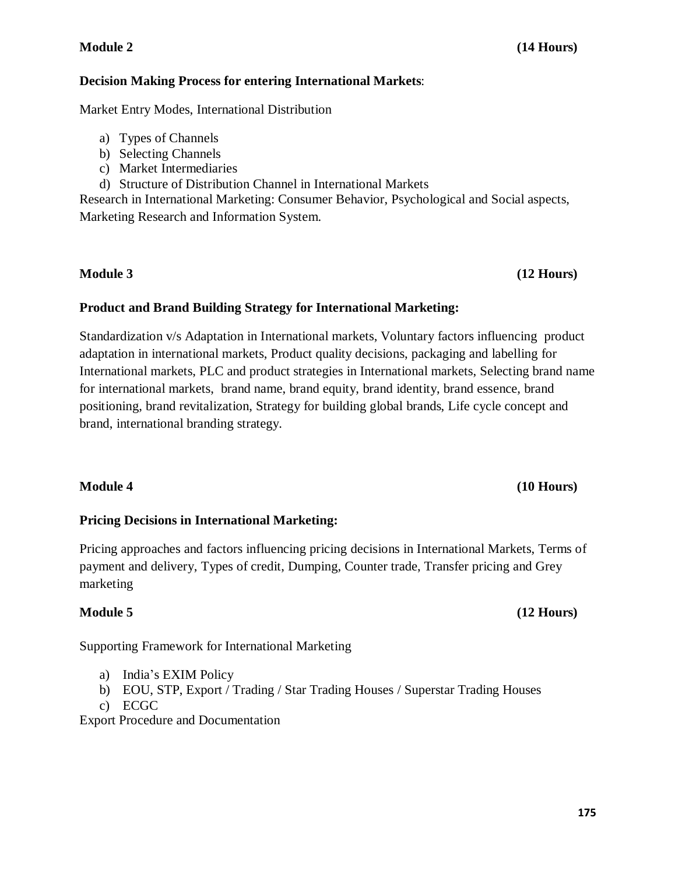## **Module 2 (14 Hours)**

## **Decision Making Process for entering International Markets**:

Market Entry Modes, International Distribution

- a) Types of Channels
- b) Selecting Channels
- c) Market Intermediaries
- d) Structure of Distribution Channel in International Markets

Research in International Marketing: Consumer Behavior, Psychological and Social aspects, Marketing Research and Information System.

# **Product and Brand Building Strategy for International Marketing:**

Standardization v/s Adaptation in International markets, Voluntary factors influencing product adaptation in international markets, Product quality decisions, packaging and labelling for International markets, PLC and product strategies in International markets, Selecting brand name for international markets, brand name, brand equity, brand identity, brand essence, brand positioning, brand revitalization, Strategy for building global brands, Life cycle concept and brand, international branding strategy.

# **Module 4 (10 Hours)**

# **Pricing Decisions in International Marketing:**

Pricing approaches and factors influencing pricing decisions in International Markets, Terms of payment and delivery, Types of credit, Dumping, Counter trade, Transfer pricing and Grey marketing

# **Module 5 (12 Hours)**

Supporting Framework for International Marketing

- a) India's EXIM Policy
- b) EOU, STP, Export / Trading / Star Trading Houses / Superstar Trading Houses
- c) ECGC

Export Procedure and Documentation

# **Module 3 (12 Hours)**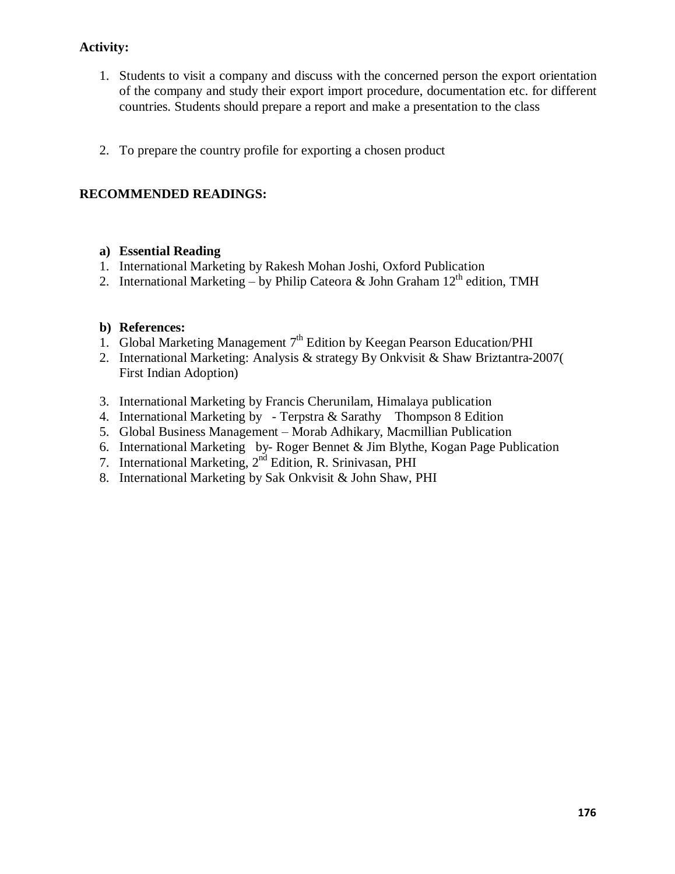# **Activity:**

- 1. Students to visit a company and discuss with the concerned person the export orientation of the company and study their export import procedure, documentation etc. for different countries. Students should prepare a report and make a presentation to the class
- 2. To prepare the country profile for exporting a chosen product

# **RECOMMENDED READINGS:**

## **a) Essential Reading**

- 1. International Marketing by Rakesh Mohan Joshi, Oxford Publication
- 2. International Marketing by Philip Cateora & John Graham  $12<sup>th</sup>$  edition, TMH

## **b) References:**

- 1. Global Marketing Management  $7<sup>th</sup>$  Edition by Keegan Pearson Education/PHI
- 2. International Marketing: Analysis & strategy By Onkvisit & Shaw Briztantra-2007( First Indian Adoption)
- 3. International Marketing by Francis Cherunilam, Himalaya publication
- 4. International Marketing by Terpstra & Sarathy Thompson 8 Edition
- 5. Global Business Management Morab Adhikary, Macmillian Publication
- 6. International Marketing by- Roger Bennet & Jim Blythe, Kogan Page Publication
- 7. International Marketing,  $2<sup>nd</sup>$  Edition, R. Srinivasan, PHI
- 8. International Marketing by Sak Onkvisit & John Shaw, PHI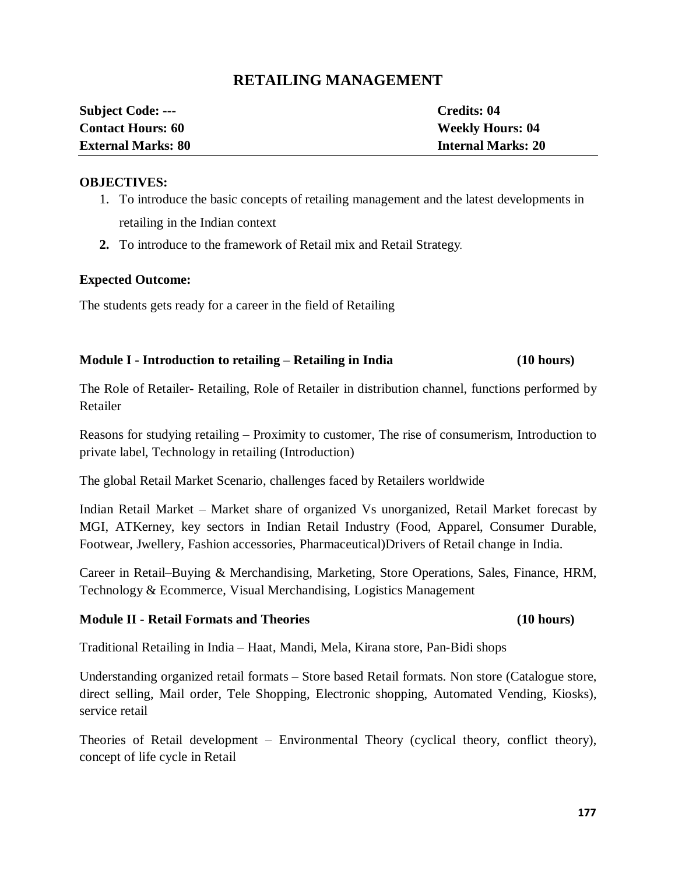# **RETAILING MANAGEMENT**

| <b>Subject Code: ---</b>  | Credits: 04               |
|---------------------------|---------------------------|
| <b>Contact Hours: 60</b>  | <b>Weekly Hours: 04</b>   |
| <b>External Marks: 80</b> | <b>Internal Marks: 20</b> |

#### **OBJECTIVES:**

- 1. To introduce the basic concepts of retailing management and the latest developments in retailing in the Indian context
- **2.** To introduce to the framework of Retail mix and Retail Strategy.

### **Expected Outcome:**

The students gets ready for a career in the field of Retailing

## **Module I - Introduction to retailing – Retailing in India (10 hours)**

The Role of Retailer- Retailing, Role of Retailer in distribution channel, functions performed by Retailer

Reasons for studying retailing – Proximity to customer, The rise of consumerism, Introduction to private label, Technology in retailing (Introduction)

The global Retail Market Scenario, challenges faced by Retailers worldwide

Indian Retail Market – Market share of organized Vs unorganized, Retail Market forecast by MGI, ATKerney, key sectors in Indian Retail Industry (Food, Apparel, Consumer Durable, Footwear, Jwellery, Fashion accessories, Pharmaceutical)Drivers of Retail change in India.

Career in Retail–Buying & Merchandising, Marketing, Store Operations, Sales, Finance, HRM, Technology & Ecommerce, Visual Merchandising, Logistics Management

### **Module II - Retail Formats and Theories (10 hours)**

Traditional Retailing in India – Haat, Mandi, Mela, Kirana store, Pan-Bidi shops

Understanding organized retail formats – Store based Retail formats. Non store (Catalogue store, direct selling, Mail order, Tele Shopping, Electronic shopping, Automated Vending, Kiosks), service retail

Theories of Retail development – Environmental Theory (cyclical theory, conflict theory), concept of life cycle in Retail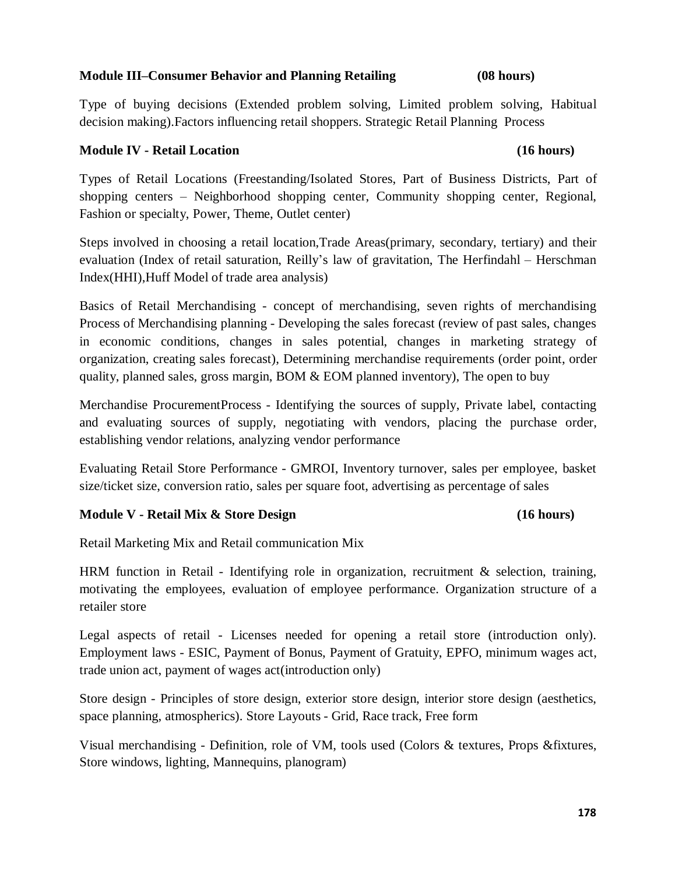#### **178**

### **Module III–Consumer Behavior and Planning Retailing (08 hours)**

Type of buying decisions (Extended problem solving, Limited problem solving, Habitual decision making).Factors influencing retail shoppers. Strategic Retail Planning Process

### **Module IV - Retail Location (16 hours)**

Types of Retail Locations (Freestanding/Isolated Stores, Part of Business Districts, Part of shopping centers – Neighborhood shopping center, Community shopping center, Regional, Fashion or specialty, Power, Theme, Outlet center)

Steps involved in choosing a retail location,Trade Areas(primary, secondary, tertiary) and their evaluation (Index of retail saturation, Reilly's law of gravitation, The Herfindahl – Herschman Index(HHI),Huff Model of trade area analysis)

Basics of Retail Merchandising - concept of merchandising, seven rights of merchandising Process of Merchandising planning - Developing the sales forecast (review of past sales, changes in economic conditions, changes in sales potential, changes in marketing strategy of organization, creating sales forecast), Determining merchandise requirements (order point, order quality, planned sales, gross margin, BOM & EOM planned inventory), The open to buy

Merchandise ProcurementProcess - Identifying the sources of supply, Private label, contacting and evaluating sources of supply, negotiating with vendors, placing the purchase order, establishing vendor relations, analyzing vendor performance

Evaluating Retail Store Performance - GMROI, Inventory turnover, sales per employee, basket size/ticket size, conversion ratio, sales per square foot, advertising as percentage of sales

# **Module V - Retail Mix & Store Design (16 hours)**

Retail Marketing Mix and Retail communication Mix

HRM function in Retail - Identifying role in organization, recruitment & selection, training, motivating the employees, evaluation of employee performance. Organization structure of a retailer store

Legal aspects of retail - Licenses needed for opening a retail store (introduction only). Employment laws - ESIC, Payment of Bonus, Payment of Gratuity, EPFO, minimum wages act, trade union act, payment of wages act(introduction only)

Store design - Principles of store design, exterior store design, interior store design (aesthetics, space planning, atmospherics). Store Layouts - Grid, Race track, Free form

Visual merchandising - Definition, role of VM, tools used (Colors & textures, Props &fixtures, Store windows, lighting, Mannequins, planogram)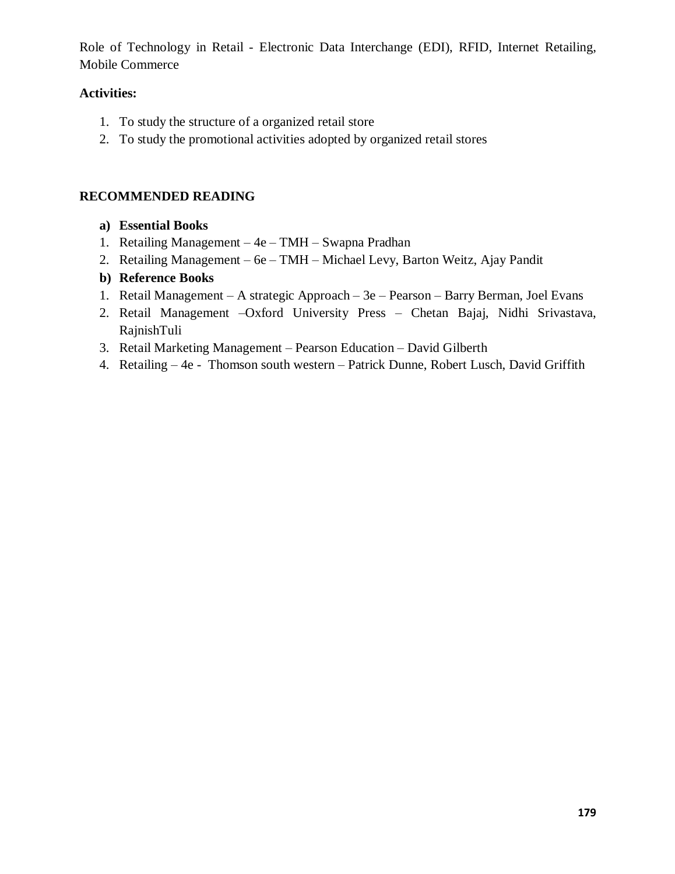Role of Technology in Retail - Electronic Data Interchange (EDI), RFID, Internet Retailing, Mobile Commerce

# **Activities:**

- 1. To study the structure of a organized retail store
- 2. To study the promotional activities adopted by organized retail stores

# **RECOMMENDED READING**

- **a) Essential Books**
- 1. Retailing Management 4e TMH Swapna Pradhan
- 2. Retailing Management 6e TMH Michael Levy, Barton Weitz, Ajay Pandit
- **b) Reference Books**
- 1. Retail Management A strategic Approach 3e Pearson Barry Berman, Joel Evans
- 2. Retail Management –Oxford University Press Chetan Bajaj, Nidhi Srivastava, RajnishTuli
- 3. Retail Marketing Management Pearson Education David Gilberth
- 4. Retailing 4e Thomson south western Patrick Dunne, Robert Lusch, David Griffith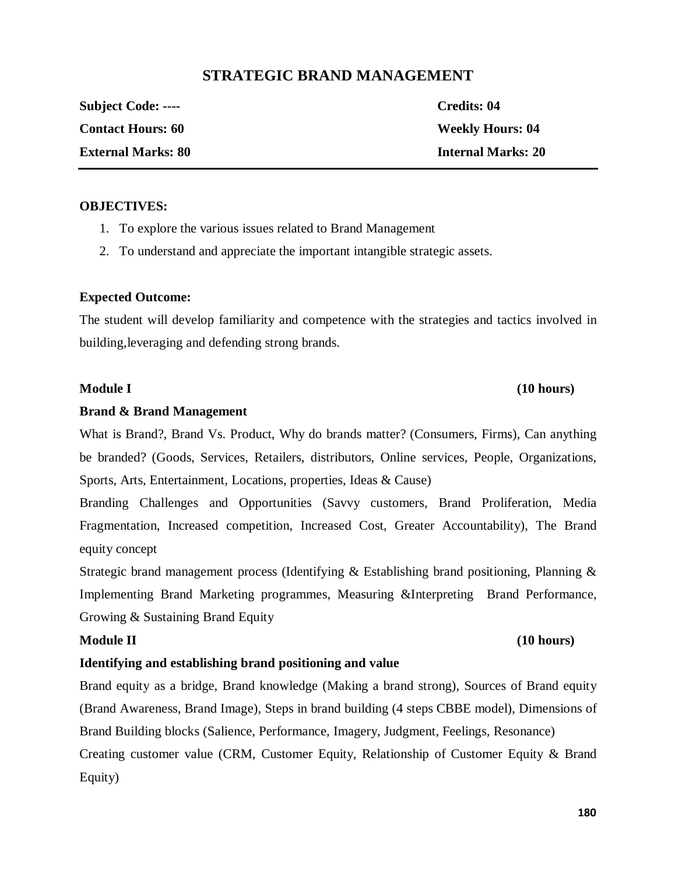# **STRATEGIC BRAND MANAGEMENT**

| <b>Subject Code: ----</b> | Credits: 04               |
|---------------------------|---------------------------|
| <b>Contact Hours: 60</b>  | <b>Weekly Hours: 04</b>   |
| <b>External Marks: 80</b> | <b>Internal Marks: 20</b> |

#### **OBJECTIVES:**

- 1. To explore the various issues related to Brand Management
- 2. To understand and appreciate the important intangible strategic assets.

#### **Expected Outcome:**

The student will develop familiarity and competence with the strategies and tactics involved in building,leveraging and defending strong brands.

#### **Brand & Brand Management**

What is Brand?, Brand Vs. Product, Why do brands matter? (Consumers, Firms), Can anything be branded? (Goods, Services, Retailers, distributors, Online services, People, Organizations, Sports, Arts, Entertainment, Locations, properties, Ideas & Cause)

Branding Challenges and Opportunities (Savvy customers, Brand Proliferation, Media Fragmentation, Increased competition, Increased Cost, Greater Accountability), The Brand equity concept

Strategic brand management process (Identifying  $\&$  Establishing brand positioning, Planning  $\&$ Implementing Brand Marketing programmes, Measuring &Interpreting Brand Performance, Growing & Sustaining Brand Equity

# **Identifying and establishing brand positioning and value**

Brand equity as a bridge, Brand knowledge (Making a brand strong), Sources of Brand equity (Brand Awareness, Brand Image), Steps in brand building (4 steps CBBE model), Dimensions of Brand Building blocks (Salience, Performance, Imagery, Judgment, Feelings, Resonance) Creating customer value (CRM, Customer Equity, Relationship of Customer Equity & Brand Equity)

#### **180**

# **Module II (10 hours)**

**Module I (10 hours)**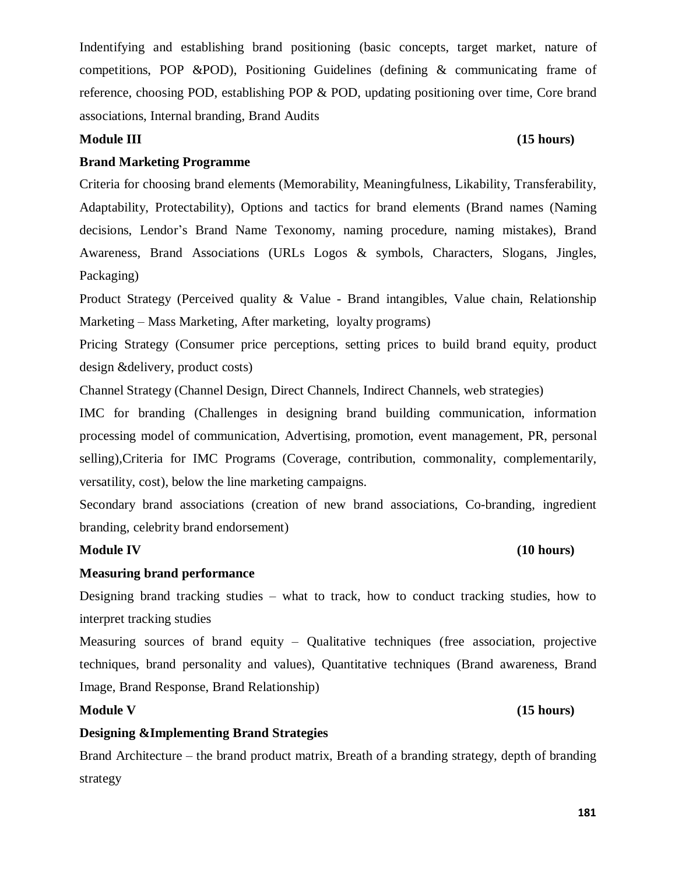Indentifying and establishing brand positioning (basic concepts, target market, nature of competitions, POP &POD), Positioning Guidelines (defining & communicating frame of reference, choosing POD, establishing POP & POD, updating positioning over time, Core brand associations, Internal branding, Brand Audits

# **Module III (15 hours)**

# **Brand Marketing Programme**

Criteria for choosing brand elements (Memorability, Meaningfulness, Likability, Transferability, Adaptability, Protectability), Options and tactics for brand elements (Brand names (Naming decisions, Lendor's Brand Name Texonomy, naming procedure, naming mistakes), Brand Awareness, Brand Associations (URLs Logos & symbols, Characters, Slogans, Jingles, Packaging)

Product Strategy (Perceived quality & Value - Brand intangibles, Value chain, Relationship Marketing – Mass Marketing, After marketing, loyalty programs)

Pricing Strategy (Consumer price perceptions, setting prices to build brand equity, product design &delivery, product costs)

Channel Strategy (Channel Design, Direct Channels, Indirect Channels, web strategies)

IMC for branding (Challenges in designing brand building communication, information processing model of communication, Advertising, promotion, event management, PR, personal selling),Criteria for IMC Programs (Coverage, contribution, commonality, complementarily, versatility, cost), below the line marketing campaigns.

Secondary brand associations (creation of new brand associations, Co-branding, ingredient branding, celebrity brand endorsement)

# **Module IV (10 hours)**

# **Measuring brand performance**

Designing brand tracking studies – what to track, how to conduct tracking studies, how to interpret tracking studies

Measuring sources of brand equity – Qualitative techniques (free association, projective techniques, brand personality and values), Quantitative techniques (Brand awareness, Brand Image, Brand Response, Brand Relationship)

# **Module V (15 hours)**

# **Designing &Implementing Brand Strategies**

Brand Architecture – the brand product matrix, Breath of a branding strategy, depth of branding strategy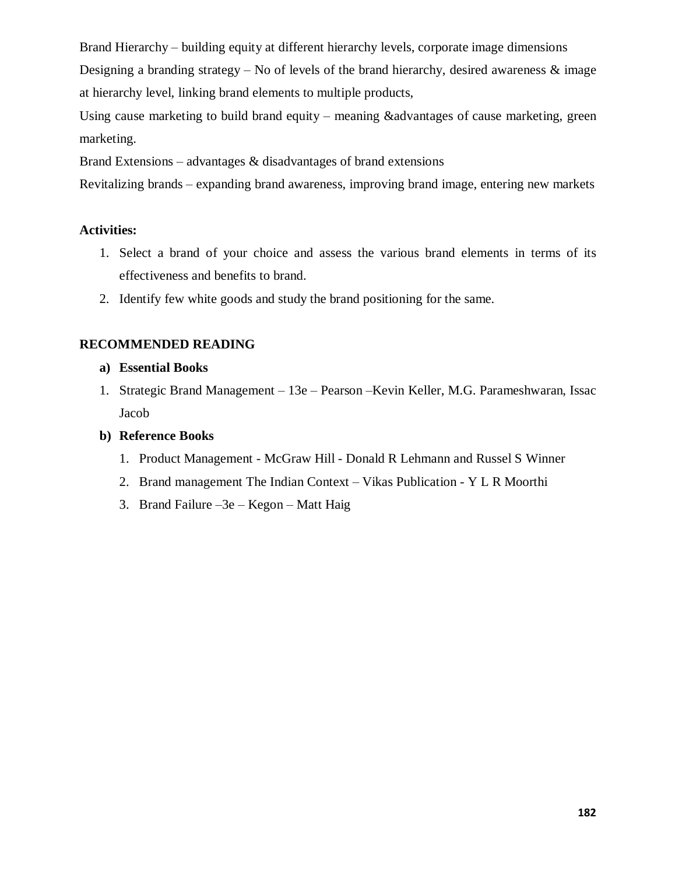Brand Hierarchy – building equity at different hierarchy levels, corporate image dimensions Designing a branding strategy – No of levels of the brand hierarchy, desired awareness  $\&$  image at hierarchy level, linking brand elements to multiple products,

Using cause marketing to build brand equity – meaning &advantages of cause marketing, green marketing.

Brand Extensions – advantages  $\&$  disadvantages of brand extensions

Revitalizing brands – expanding brand awareness, improving brand image, entering new markets

## **Activities:**

- 1. Select a brand of your choice and assess the various brand elements in terms of its effectiveness and benefits to brand.
- 2. Identify few white goods and study the brand positioning for the same.

# **RECOMMENDED READING**

- **a) Essential Books**
- 1. Strategic Brand Management 13e Pearson –Kevin Keller, M.G. Parameshwaran, Issac Jacob
- **b) Reference Books**
	- 1. Product Management McGraw Hill Donald R Lehmann and Russel S Winner
	- 2. Brand management The Indian Context Vikas Publication Y L R Moorthi
	- 3. Brand Failure –3e Kegon Matt Haig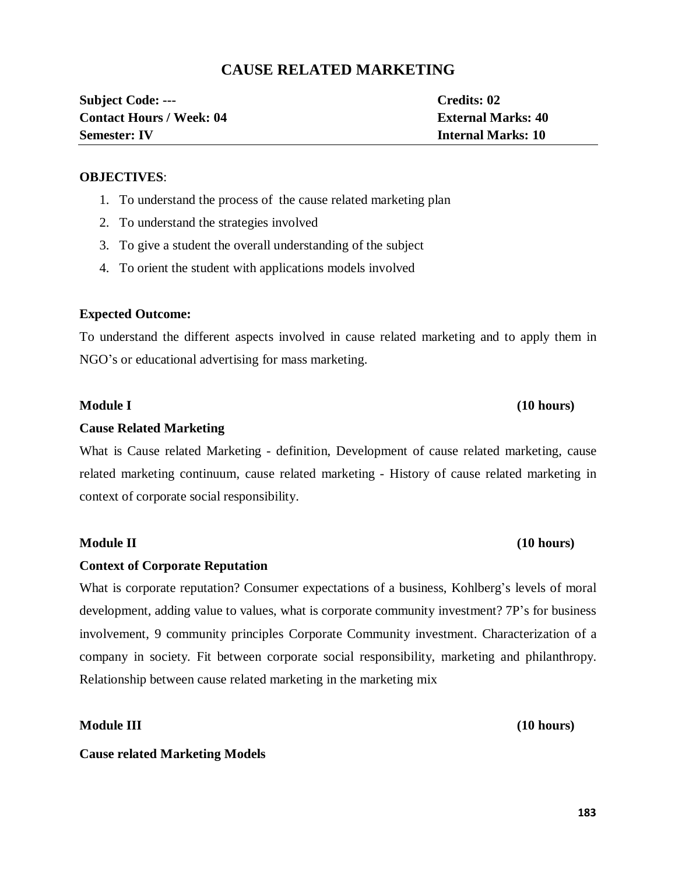# **CAUSE RELATED MARKETING**

| <b>Subject Code: ---</b>        | Credits: 02               |
|---------------------------------|---------------------------|
| <b>Contact Hours / Week: 04</b> | <b>External Marks: 40</b> |
| <b>Semester: IV</b>             | <b>Internal Marks: 10</b> |

#### **OBJECTIVES**:

- 1. To understand the process of the cause related marketing plan
- 2. To understand the strategies involved
- 3. To give a student the overall understanding of the subject
- 4. To orient the student with applications models involved

### **Expected Outcome:**

To understand the different aspects involved in cause related marketing and to apply them in NGO's or educational advertising for mass marketing.

### **Module I (10 hours)**

#### **Cause Related Marketing**

What is Cause related Marketing - definition, Development of cause related marketing, cause related marketing continuum, cause related marketing - History of cause related marketing in context of corporate social responsibility.

#### **Module II (10 hours)**

### **Context of Corporate Reputation**

What is corporate reputation? Consumer expectations of a business, Kohlberg's levels of moral development, adding value to values, what is corporate community investment? 7P's for business involvement, 9 community principles Corporate Community investment. Characterization of a company in society. Fit between corporate social responsibility, marketing and philanthropy. Relationship between cause related marketing in the marketing mix

**Cause related Marketing Models** 

**Module III (10 hours)**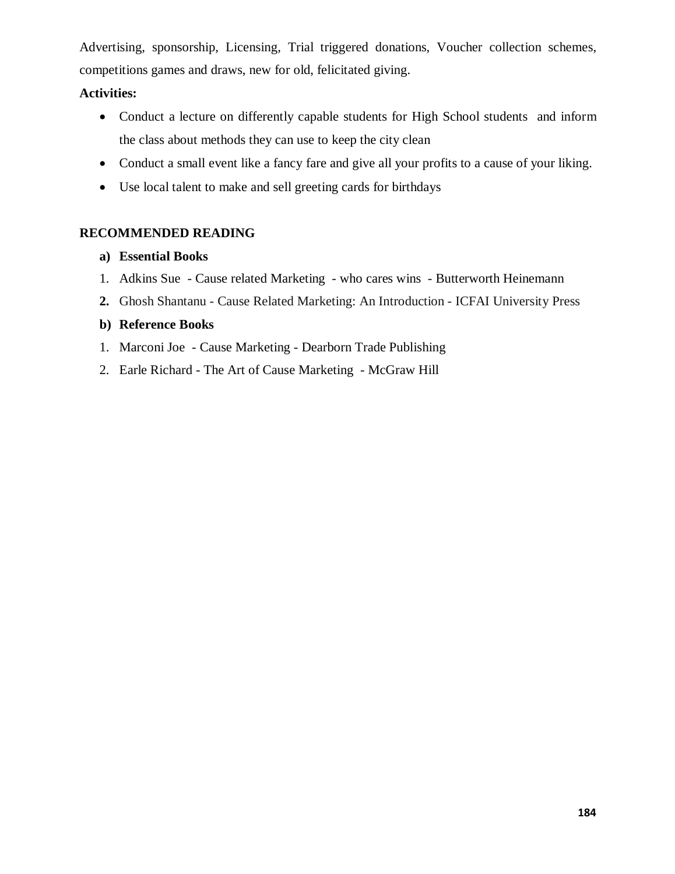Advertising, sponsorship, Licensing, Trial triggered donations, Voucher collection schemes, competitions games and draws, new for old, felicitated giving.

# **Activities:**

- · Conduct a lecture on differently capable students for High School students and inform the class about methods they can use to keep the city clean
- Conduct a small event like a fancy fare and give all your profits to a cause of your liking.
- · Use local talent to make and sell greeting cards for birthdays

# **RECOMMENDED READING**

# **a) Essential Books**

- 1. Adkins Sue Cause related Marketing who cares wins Butterworth Heinemann
- **2.** Ghosh Shantanu Cause Related Marketing: An Introduction ICFAI University Press

# **b) Reference Books**

- 1. Marconi Joe Cause Marketing Dearborn Trade Publishing
- 2. Earle Richard The Art of Cause Marketing McGraw Hill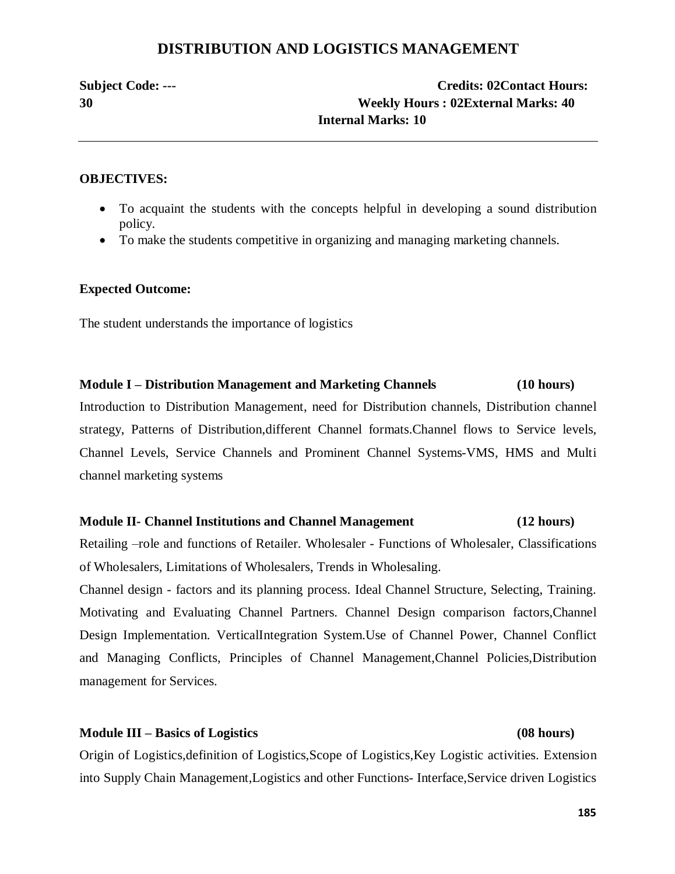# **DISTRIBUTION AND LOGISTICS MANAGEMENT**

# **Subject Code: --- Credits: 02Contact Hours: 30 Weekly Hours : 02External Marks: 40 Internal Marks: 10**

### **OBJECTIVES:**

- · To acquaint the students with the concepts helpful in developing a sound distribution policy.
- · To make the students competitive in organizing and managing marketing channels.

### **Expected Outcome:**

The student understands the importance of logistics

### **Module I – Distribution Management and Marketing Channels (10 hours)**

Introduction to Distribution Management, need for Distribution channels, Distribution channel strategy, Patterns of Distribution,different Channel formats.Channel flows to Service levels, Channel Levels, Service Channels and Prominent Channel Systems-VMS, HMS and Multi channel marketing systems

### **Module II- Channel Institutions and Channel Management (12 hours)**

Retailing –role and functions of Retailer. Wholesaler - Functions of Wholesaler, Classifications of Wholesalers, Limitations of Wholesalers, Trends in Wholesaling.

Channel design - factors and its planning process. Ideal Channel Structure, Selecting, Training. Motivating and Evaluating Channel Partners. Channel Design comparison factors,Channel Design Implementation. VerticalIntegration System.Use of Channel Power, Channel Conflict and Managing Conflicts, Principles of Channel Management,Channel Policies,Distribution management for Services.

### **Module III – Basics of Logistics (08 hours)**

Origin of Logistics,definition of Logistics,Scope of Logistics,Key Logistic activities. Extension into Supply Chain Management,Logistics and other Functions- Interface,Service driven Logistics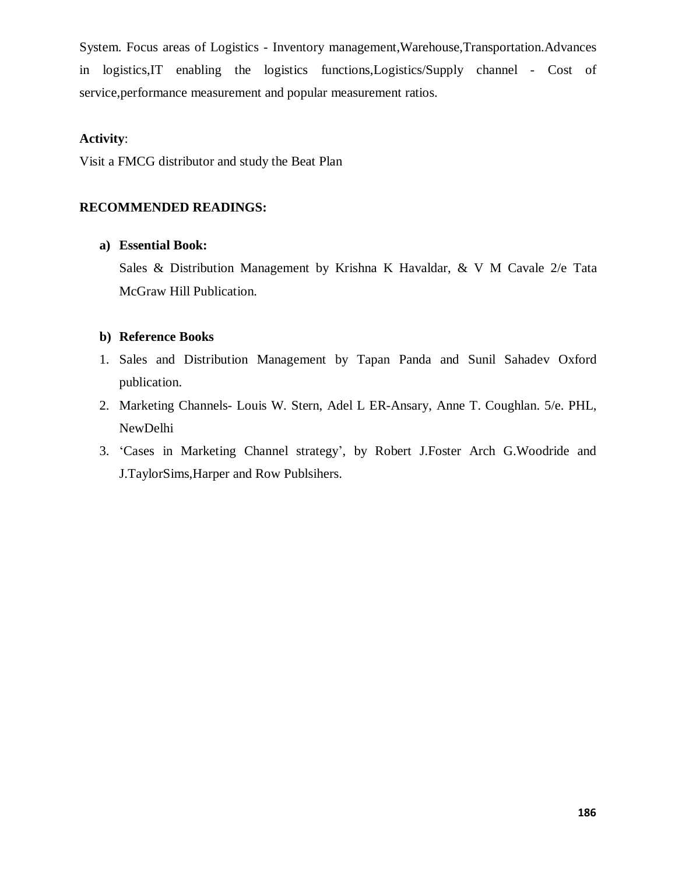System. Focus areas of Logistics - Inventory management,Warehouse,Transportation.Advances in logistics,IT enabling the logistics functions,Logistics/Supply channel - Cost of service,performance measurement and popular measurement ratios.

### **Activity**:

Visit a FMCG distributor and study the Beat Plan

## **RECOMMENDED READINGS:**

### **a) Essential Book:**

Sales & Distribution Management by Krishna K Havaldar, & V M Cavale 2/e Tata McGraw Hill Publication.

### **b) Reference Books**

- 1. Sales and Distribution Management by Tapan Panda and Sunil Sahadev Oxford publication.
- 2. Marketing Channels- Louis W. Stern, Adel L ER-Ansary, Anne T. Coughlan. 5/e. PHL, NewDelhi
- 3. 'Cases in Marketing Channel strategy', by Robert J.Foster Arch G.Woodride and J.TaylorSims,Harper and Row Publsihers.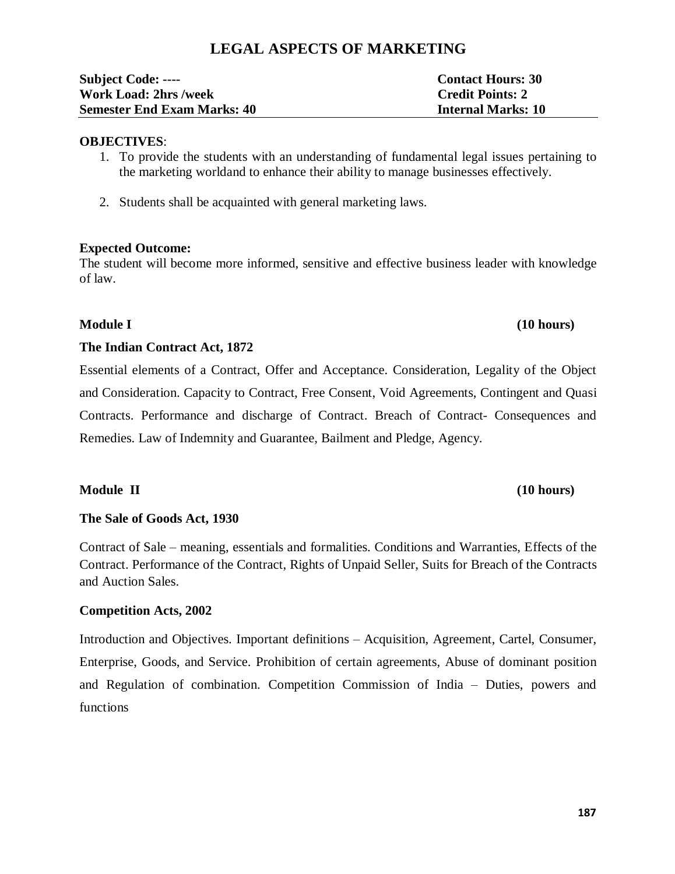# **LEGAL ASPECTS OF MARKETING**

| <b>Subject Code: ----</b>          | <b>Contact Hours: 30</b>  |
|------------------------------------|---------------------------|
| <b>Work Load: 2hrs /week</b>       | <b>Credit Points: 2</b>   |
| <b>Semester End Exam Marks: 40</b> | <b>Internal Marks: 10</b> |

### **OBJECTIVES**:

1. To provide the students with an understanding of fundamental legal issues pertaining to the marketing worldand to enhance their ability to manage businesses effectively.

2. Students shall be acquainted with general marketing laws.

# **Expected Outcome:**

The student will become more informed, sensitive and effective business leader with knowledge of law.

### **The Indian Contract Act, 1872**

Essential elements of a Contract, Offer and Acceptance. Consideration, Legality of the Object and Consideration. Capacity to Contract, Free Consent, Void Agreements, Contingent and Quasi Contracts. Performance and discharge of Contract. Breach of Contract- Consequences and Remedies. Law of Indemnity and Guarantee, Bailment and Pledge, Agency.

# **Module II (10 hours)**

# **The Sale of Goods Act, 1930**

Contract of Sale – meaning, essentials and formalities. Conditions and Warranties, Effects of the Contract. Performance of the Contract, Rights of Unpaid Seller, Suits for Breach of the Contracts and Auction Sales.

# **Competition Acts, 2002**

Introduction and Objectives. Important definitions – Acquisition, Agreement, Cartel, Consumer, Enterprise, Goods, and Service. Prohibition of certain agreements, Abuse of dominant position and Regulation of combination. Competition Commission of India – Duties, powers and functions

# **Module I (10 hours)**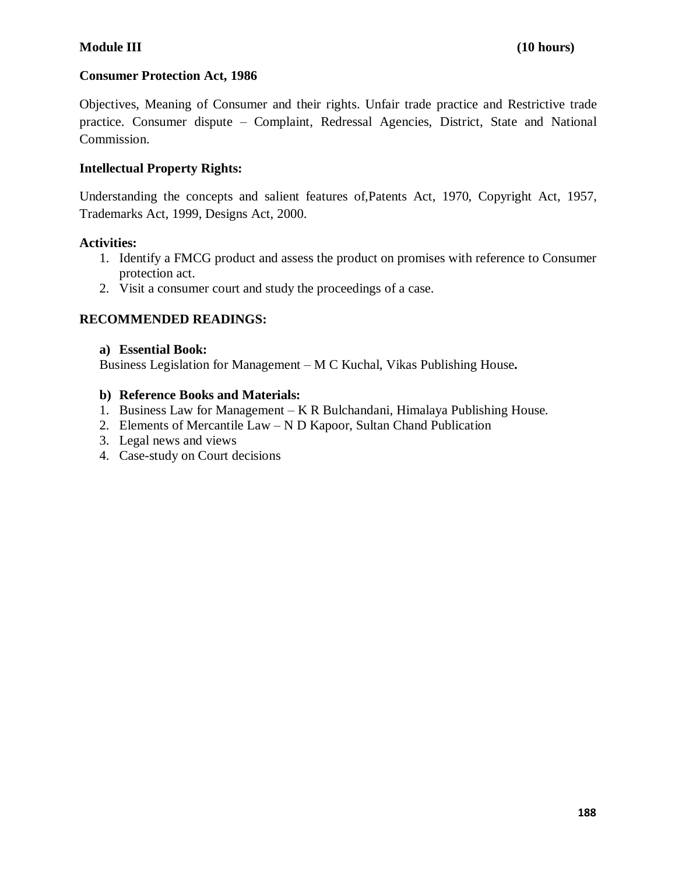## **Consumer Protection Act, 1986**

Objectives, Meaning of Consumer and their rights. Unfair trade practice and Restrictive trade practice. Consumer dispute – Complaint, Redressal Agencies, District, State and National Commission.

## **Intellectual Property Rights:**

Understanding the concepts and salient features of,Patents Act, 1970, Copyright Act, 1957, Trademarks Act, 1999, Designs Act, 2000.

### **Activities:**

- 1. Identify a FMCG product and assess the product on promises with reference to Consumer protection act.
- 2. Visit a consumer court and study the proceedings of a case.

### **RECOMMENDED READINGS:**

### **a) Essential Book:**

Business Legislation for Management – M C Kuchal, Vikas Publishing House**.**

### **b) Reference Books and Materials:**

- 1. Business Law for Management K R Bulchandani, Himalaya Publishing House.
- 2. Elements of Mercantile Law N D Kapoor, Sultan Chand Publication
- 3. Legal news and views
- 4. Case-study on Court decisions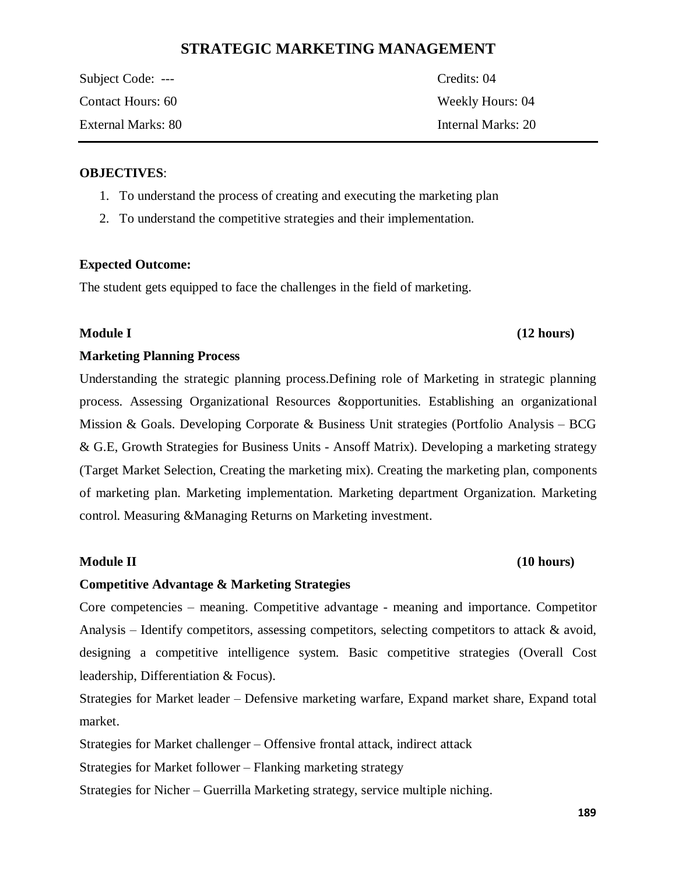# **STRATEGIC MARKETING MANAGEMENT**

| Subject Code: ---  | Credits: 04        |
|--------------------|--------------------|
| Contact Hours: 60  | Weekly Hours: 04   |
| External Marks: 80 | Internal Marks: 20 |

### **OBJECTIVES**:

- 1. To understand the process of creating and executing the marketing plan
- 2. To understand the competitive strategies and their implementation.

### **Expected Outcome:**

The student gets equipped to face the challenges in the field of marketing.

# **Module I (12 hours)**

### **Marketing Planning Process**

Understanding the strategic planning process.Defining role of Marketing in strategic planning process. Assessing Organizational Resources &opportunities. Establishing an organizational Mission & Goals. Developing Corporate & Business Unit strategies (Portfolio Analysis – BCG & G.E, Growth Strategies for Business Units - Ansoff Matrix). Developing a marketing strategy (Target Market Selection, Creating the marketing mix). Creating the marketing plan, components of marketing plan. Marketing implementation. Marketing department Organization. Marketing control. Measuring &Managing Returns on Marketing investment.

# **Module II (10 hours)**

# **Competitive Advantage & Marketing Strategies**

Core competencies – meaning. Competitive advantage - meaning and importance. Competitor Analysis – Identify competitors, assessing competitors, selecting competitors to attack & avoid, designing a competitive intelligence system. Basic competitive strategies (Overall Cost leadership, Differentiation & Focus).

Strategies for Market leader – Defensive marketing warfare, Expand market share, Expand total market.

Strategies for Market challenger – Offensive frontal attack, indirect attack

Strategies for Market follower – Flanking marketing strategy

Strategies for Nicher – Guerrilla Marketing strategy, service multiple niching.